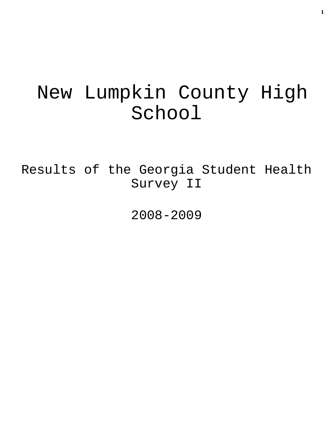# New Lumpkin County High School

Results of the Georgia Student Health Survey II

2008-2009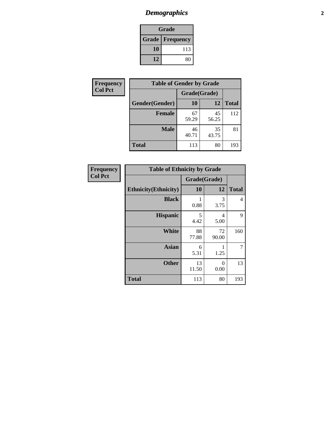# *Demographics* **2**

| Grade                    |     |  |  |  |
|--------------------------|-----|--|--|--|
| <b>Grade   Frequency</b> |     |  |  |  |
| 10                       | 113 |  |  |  |
| 12<br>80                 |     |  |  |  |

| Frequency      | <b>Table of Gender by Grade</b> |              |             |              |  |
|----------------|---------------------------------|--------------|-------------|--------------|--|
| <b>Col Pct</b> |                                 | Grade(Grade) |             |              |  |
|                | Gender(Gender)                  | 10           | 12          | <b>Total</b> |  |
|                | <b>Female</b>                   | 67<br>59.29  | 45<br>56.25 | 112          |  |
|                | <b>Male</b>                     | 46<br>40.71  | 35<br>43.75 | 81           |  |
|                | <b>Total</b>                    | 113          | 80          | 193          |  |

| <b>Frequency</b> |  |
|------------------|--|
| <b>Col Pct</b>   |  |

| <b>Table of Ethnicity by Grade</b> |              |                  |              |  |  |
|------------------------------------|--------------|------------------|--------------|--|--|
|                                    | Grade(Grade) |                  |              |  |  |
| <b>Ethnicity</b> (Ethnicity)       | 10           | 12               | <b>Total</b> |  |  |
| <b>Black</b>                       | 1<br>0.88    | 3<br>3.75        | 4            |  |  |
| <b>Hispanic</b>                    | 5<br>4.42    | 4<br>5.00        | 9            |  |  |
| <b>White</b>                       | 88<br>77.88  | 72<br>90.00      | 160          |  |  |
| <b>Asian</b>                       | 6<br>5.31    | 1<br>1.25        | 7            |  |  |
| <b>Other</b>                       | 13<br>11.50  | $\Omega$<br>0.00 | 13           |  |  |
| <b>Total</b>                       | 113          | 80               | 193          |  |  |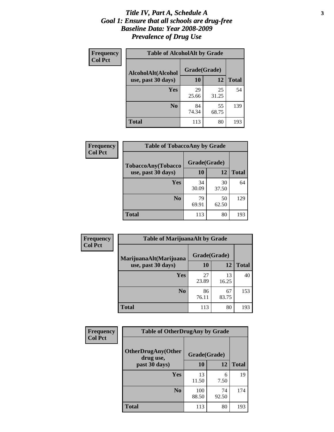### *Title IV, Part A, Schedule A* **3** *Goal 1: Ensure that all schools are drug-free Baseline Data: Year 2008-2009 Prevalence of Drug Use*

| Frequency<br><b>Col Pct</b> | <b>Table of AlcoholAlt by Grade</b> |              |             |              |  |  |
|-----------------------------|-------------------------------------|--------------|-------------|--------------|--|--|
|                             | AlcoholAlt(Alcohol                  | Grade(Grade) |             |              |  |  |
|                             | use, past 30 days)                  | <b>10</b>    | 12          | <b>Total</b> |  |  |
|                             | Yes                                 | 29<br>25.66  | 25<br>31.25 | 54           |  |  |
|                             | N <sub>0</sub>                      | 84<br>74.34  | 55<br>68.75 | 139          |  |  |
|                             | Total                               | 113          | 80          | 193          |  |  |

| <b>Frequency</b> | <b>Table of TobaccoAny by Grade</b> |              |             |              |  |  |
|------------------|-------------------------------------|--------------|-------------|--------------|--|--|
| <b>Col Pct</b>   | TobaccoAny(Tobacco                  | Grade(Grade) |             |              |  |  |
|                  | use, past 30 days)                  | 10           | 12          | <b>Total</b> |  |  |
|                  | Yes                                 | 34<br>30.09  | 30<br>37.50 | 64           |  |  |
|                  | N <sub>0</sub>                      | 79<br>69.91  | 50<br>62.50 | 129          |  |  |
|                  | Total                               | 113          | 80          | 193          |  |  |

| Frequency<br><b>Col Pct</b> | <b>Table of MarijuanaAlt by Grade</b> |              |             |              |  |
|-----------------------------|---------------------------------------|--------------|-------------|--------------|--|
|                             | MarijuanaAlt(Marijuana                | Grade(Grade) |             |              |  |
|                             | use, past 30 days)                    | 10           | 12          | <b>Total</b> |  |
|                             | Yes                                   | 27<br>23.89  | 13<br>16.25 | 40           |  |
|                             | N <sub>0</sub>                        | 86<br>76.11  | 67<br>83.75 | 153          |  |
|                             | <b>Total</b>                          | 113          | 80          | 193          |  |

| <b>Frequency</b> | <b>Table of OtherDrugAny by Grade</b>  |              |             |              |  |
|------------------|----------------------------------------|--------------|-------------|--------------|--|
| <b>Col Pct</b>   | <b>OtherDrugAny(Other</b><br>drug use, | Grade(Grade) |             |              |  |
|                  | past 30 days)                          | 10           | 12          | <b>Total</b> |  |
|                  | Yes                                    | 13<br>11.50  | 6<br>7.50   | 19           |  |
|                  | N <sub>0</sub>                         | 100<br>88.50 | 74<br>92.50 | 174          |  |
|                  | <b>Total</b>                           | 113          | 80          | 193          |  |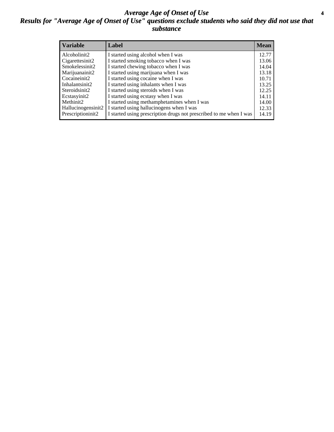### *Average Age of Onset of Use* **4** *Results for "Average Age of Onset of Use" questions exclude students who said they did not use that substance*

| <b>Variable</b>    | Label                                                              | <b>Mean</b> |
|--------------------|--------------------------------------------------------------------|-------------|
| Alcoholinit2       | I started using alcohol when I was                                 | 12.77       |
| Cigarettesinit2    | I started smoking tobacco when I was                               | 13.06       |
| Smokelessinit2     | I started chewing tobacco when I was                               | 14.04       |
| Marijuanainit2     | I started using marijuana when I was                               | 13.18       |
| Cocaineinit2       | I started using cocaine when I was                                 | 10.71       |
| Inhalantsinit2     | I started using inhalants when I was                               | 13.25       |
| Steroidsinit2      | I started using steroids when I was                                | 12.25       |
| Ecstasyinit2       | I started using ecstasy when I was                                 | 14.11       |
| Methinit2          | I started using methamphetamines when I was                        | 14.00       |
| Hallucinogensinit2 | I started using hallucinogens when I was                           | 12.33       |
| Prescriptioninit2  | I started using prescription drugs not prescribed to me when I was | 14.19       |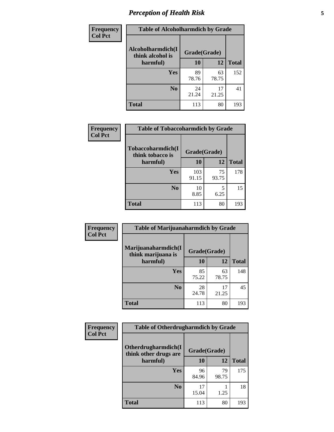# *Perception of Health Risk* **5**

| <b>Frequency</b> | <b>Table of Alcoholharmdich by Grade</b> |              |       |              |  |
|------------------|------------------------------------------|--------------|-------|--------------|--|
| <b>Col Pct</b>   | Alcoholharmdich(I<br>think alcohol is    | Grade(Grade) |       |              |  |
|                  | harmful)                                 | 10           | 12    | <b>Total</b> |  |
|                  | <b>Yes</b>                               | 89           | 63    | 152          |  |
|                  |                                          | 78.76        | 78.75 |              |  |
|                  | N <sub>0</sub>                           | 24           | 17    | 41           |  |
|                  |                                          | 21.24        | 21.25 |              |  |
|                  | <b>Total</b>                             | 113          | 80    | 193          |  |

| Frequency      | <b>Table of Tobaccoharmdich by Grade</b> |              |             |              |  |
|----------------|------------------------------------------|--------------|-------------|--------------|--|
| <b>Col Pct</b> | Tobaccoharmdich(I<br>think tobacco is    | Grade(Grade) |             |              |  |
|                | harmful)                                 | 10           | 12          | <b>Total</b> |  |
|                | Yes                                      | 103<br>91.15 | 75<br>93.75 | 178          |  |
|                | N <sub>0</sub>                           | 10<br>8.85   | 5<br>6.25   | 15           |  |
|                | <b>Total</b>                             | 113          | 80          | 193          |  |

| Frequency      | <b>Table of Marijuanaharmdich by Grade</b> |              |             |              |  |  |
|----------------|--------------------------------------------|--------------|-------------|--------------|--|--|
| <b>Col Pct</b> | Marijuanaharmdich(I<br>think marijuana is  | Grade(Grade) |             |              |  |  |
|                | harmful)                                   | 10           | 12          | <b>Total</b> |  |  |
|                | Yes                                        | 85<br>75.22  | 63<br>78.75 | 148          |  |  |
|                | N <sub>0</sub>                             | 28<br>24.78  | 17<br>21.25 | 45           |  |  |
|                | <b>Total</b>                               | 113          | 80          | 193          |  |  |

| Frequency      | <b>Table of Otherdrugharmdich by Grade</b>   |              |             |              |  |  |  |  |
|----------------|----------------------------------------------|--------------|-------------|--------------|--|--|--|--|
| <b>Col Pct</b> | Otherdrugharmdich(I<br>think other drugs are | Grade(Grade) |             |              |  |  |  |  |
|                | harmful)                                     | 10           | 12          | <b>Total</b> |  |  |  |  |
|                | <b>Yes</b>                                   | 96<br>84.96  | 79<br>98.75 | 175          |  |  |  |  |
|                | N <sub>0</sub>                               | 17<br>15.04  | 1.25        | 18           |  |  |  |  |
|                | <b>Total</b>                                 | 113          | 80          | 193          |  |  |  |  |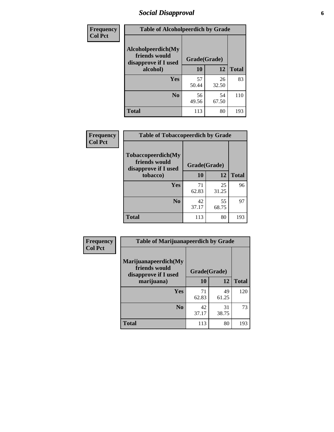# *Social Disapproval* **6**

| <b>Frequency</b> | <b>Table of Alcoholpeerdich by Grade</b>                    |              |             |              |  |  |  |
|------------------|-------------------------------------------------------------|--------------|-------------|--------------|--|--|--|
| <b>Col Pct</b>   | Alcoholpeerdich(My<br>friends would<br>disapprove if I used | Grade(Grade) |             |              |  |  |  |
|                  | alcohol)                                                    |              | 12          | <b>Total</b> |  |  |  |
|                  | <b>Yes</b>                                                  | 57<br>50.44  | 26<br>32.50 | 83           |  |  |  |
|                  | N <sub>0</sub>                                              | 56<br>49.56  | 54<br>67.50 | 110          |  |  |  |
|                  | <b>Total</b>                                                | 113          | 80          | 193          |  |  |  |

| <b>Frequency</b> |
|------------------|
| <b>Col Pct</b>   |

| <b>Table of Tobaccopeerdich by Grade</b>                            |              |             |              |  |  |  |  |
|---------------------------------------------------------------------|--------------|-------------|--------------|--|--|--|--|
| <b>Tobaccopeerdich</b> (My<br>friends would<br>disapprove if I used | Grade(Grade) |             |              |  |  |  |  |
| tobacco)                                                            | 10           | 12          | <b>Total</b> |  |  |  |  |
| Yes                                                                 | 71<br>62.83  | 25<br>31.25 | 96           |  |  |  |  |
| N <sub>0</sub>                                                      | 42<br>37.17  | 55<br>68.75 | 97           |  |  |  |  |
| <b>Total</b>                                                        | 113          | 80          | 193          |  |  |  |  |

| Frequency      | <b>Table of Marijuanapeerdich by Grade</b>                    |              |             |              |  |  |  |  |
|----------------|---------------------------------------------------------------|--------------|-------------|--------------|--|--|--|--|
| <b>Col Pct</b> | Marijuanapeerdich(My<br>friends would<br>disapprove if I used | Grade(Grade) |             |              |  |  |  |  |
|                | marijuana)                                                    | 10           | 12          | <b>Total</b> |  |  |  |  |
|                | <b>Yes</b>                                                    | 71<br>62.83  | 49<br>61.25 | 120          |  |  |  |  |
|                | N <sub>0</sub>                                                | 42<br>37.17  | 31<br>38.75 | 73           |  |  |  |  |
|                | <b>Total</b>                                                  | 113          | 80          | 193          |  |  |  |  |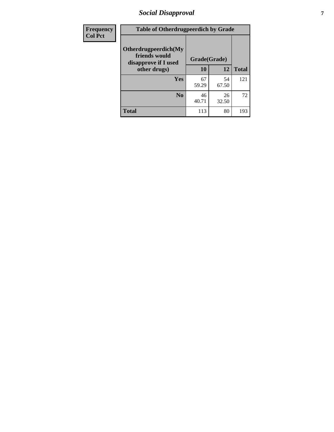# *Social Disapproval* **7**

| Frequency      | <b>Table of Otherdrugpeerdich by Grade</b>                    |              |             |              |  |  |  |  |
|----------------|---------------------------------------------------------------|--------------|-------------|--------------|--|--|--|--|
| <b>Col Pct</b> | Otherdrugpeerdich(My<br>friends would<br>disapprove if I used | Grade(Grade) |             |              |  |  |  |  |
|                | other drugs)                                                  | 10           | 12          | <b>Total</b> |  |  |  |  |
|                | <b>Yes</b>                                                    | 67<br>59.29  | 54<br>67.50 | 121          |  |  |  |  |
|                | N <sub>0</sub>                                                | 46<br>40.71  | 26<br>32.50 | 72           |  |  |  |  |
|                | <b>Total</b>                                                  | 113          | 80          | 193          |  |  |  |  |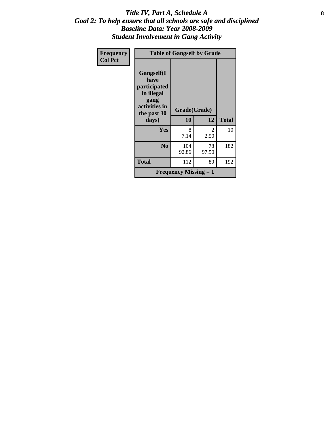### Title IV, Part A, Schedule A **8** *Goal 2: To help ensure that all schools are safe and disciplined Baseline Data: Year 2008-2009 Student Involvement in Gang Activity*

| Frequency      | <b>Table of Gangself by Grade</b>                   |                                           |              |     |  |  |
|----------------|-----------------------------------------------------|-------------------------------------------|--------------|-----|--|--|
| <b>Col Pct</b> | Gangself(I<br>have                                  |                                           |              |     |  |  |
|                | participated<br>in illegal<br>gang<br>activities in | Grade(Grade)                              |              |     |  |  |
|                | the past 30<br>days)                                | 10                                        | <b>Total</b> |     |  |  |
|                | Yes                                                 | 8<br>7.14                                 | 2<br>2.50    | 10  |  |  |
|                | N <sub>0</sub>                                      | 104<br>92.86                              | 78<br>97.50  | 182 |  |  |
|                | <b>Total</b>                                        | 112                                       | 80           | 192 |  |  |
|                |                                                     | <b>Frequency Missing <math>= 1</math></b> |              |     |  |  |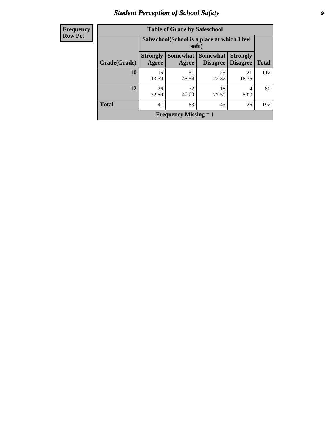# *Student Perception of School Safety* **9**

| Frequency           |
|---------------------|
| I<br><b>Row Pct</b> |

| <b>Table of Grade by Safeschool</b> |                          |                                                        |                                    |                                    |              |  |  |
|-------------------------------------|--------------------------|--------------------------------------------------------|------------------------------------|------------------------------------|--------------|--|--|
|                                     |                          | Safeschool (School is a place at which I feel<br>safe) |                                    |                                    |              |  |  |
| Grade(Grade)                        | <b>Strongly</b><br>Agree | Somewhat  <br>Agree                                    | <b>Somewhat</b><br><b>Disagree</b> | <b>Strongly</b><br><b>Disagree</b> | <b>Total</b> |  |  |
| 10                                  | 15<br>13.39              | 51<br>45.54                                            | 25<br>22.32                        | 21<br>18.75                        | 112          |  |  |
| 12                                  | 26<br>32.50              | 32<br>40.00                                            | 18<br>22.50                        | 4<br>5.00                          | 80           |  |  |
| <b>Total</b>                        | 41                       | 83                                                     | 43                                 | 25                                 | 192          |  |  |
| Frequency Missing $= 1$             |                          |                                                        |                                    |                                    |              |  |  |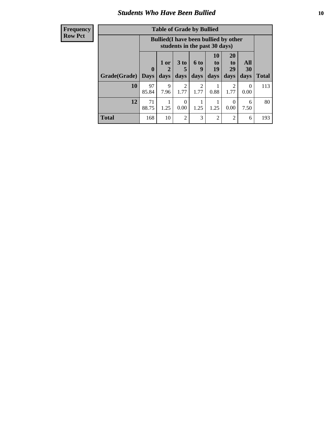### *Students Who Have Been Bullied* **10**

| <b>Frequency</b> |
|------------------|
| Row Pct          |

| <b>Table of Grade by Bullied</b> |                         |                                                                               |                              |                        |                               |                        |                   |              |
|----------------------------------|-------------------------|-------------------------------------------------------------------------------|------------------------------|------------------------|-------------------------------|------------------------|-------------------|--------------|
|                                  |                         | <b>Bullied</b> (I have been bullied by other<br>students in the past 30 days) |                              |                        |                               |                        |                   |              |
| Grade(Grade)                     | $\bf{0}$<br><b>Days</b> | 1 or<br>2<br>days                                                             | 3 <sub>to</sub><br>5<br>days | 6 to<br>9<br>days      | <b>10</b><br>to<br>19<br>days | 20<br>to<br>29<br>days | All<br>30<br>days | <b>Total</b> |
| 10                               | 97<br>85.84             | 9<br>7.96                                                                     | $\overline{2}$<br>1.77       | $\overline{2}$<br>1.77 | 0.88                          | 2<br>1.77              | $\theta$<br>0.00  | 113          |
| 12                               | 71<br>88.75             | 1.25                                                                          | $\theta$<br>0.00             | 1.25                   | 1.25                          | $\Omega$<br>0.00       | 6<br>7.50         | 80           |
| <b>Total</b>                     | 168                     | 10                                                                            | 2                            | 3                      | 2                             | 2                      | 6                 | 193          |

 $\blacksquare$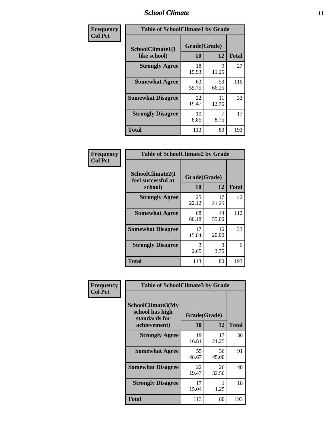### *School Climate* **11**

| Frequency      | <b>Table of SchoolClimate1 by Grade</b> |                    |             |              |  |  |  |
|----------------|-----------------------------------------|--------------------|-------------|--------------|--|--|--|
| <b>Col Pct</b> | SchoolClimate1(I<br>like school)        | Grade(Grade)<br>10 | 12          | <b>Total</b> |  |  |  |
|                | <b>Strongly Agree</b>                   | 18<br>15.93        | 9<br>11.25  | 27           |  |  |  |
|                | <b>Somewhat Agree</b>                   | 63<br>55.75        | 53<br>66.25 | 116          |  |  |  |
|                | <b>Somewhat Disagree</b>                | 22<br>19.47        | 11<br>13.75 | 33           |  |  |  |
|                | <b>Strongly Disagree</b>                | 10<br>8.85         | 8.75        | 17           |  |  |  |
|                | <b>Total</b>                            | 113                | 80          | 193          |  |  |  |

| Frequency      | <b>Table of SchoolClimate2 by Grade</b>           |                    |             |              |
|----------------|---------------------------------------------------|--------------------|-------------|--------------|
| <b>Col Pct</b> | SchoolClimate2(I<br>feel successful at<br>school) | Grade(Grade)<br>10 | 12          | <b>Total</b> |
|                | <b>Strongly Agree</b>                             | 25<br>22.12        | 17<br>21.25 | 42           |
|                | <b>Somewhat Agree</b>                             | 68<br>60.18        | 44<br>55.00 | 112          |
|                | <b>Somewhat Disagree</b>                          | 17<br>15.04        | 16<br>20.00 | 33           |
|                | <b>Strongly Disagree</b>                          | 3<br>2.65          | 3<br>3.75   | 6            |
|                | <b>Total</b>                                      | 113                | 80          | 193          |

| Frequency      | <b>Table of SchoolClimate3 by Grade</b>                                      |                                 |             |              |
|----------------|------------------------------------------------------------------------------|---------------------------------|-------------|--------------|
| <b>Col Pct</b> | <b>SchoolClimate3(My</b><br>school has high<br>standards for<br>achievement) | Grade(Grade)<br>12<br><b>10</b> |             | <b>Total</b> |
|                | <b>Strongly Agree</b>                                                        | 19<br>16.81                     | 17<br>21.25 | 36           |
|                | <b>Somewhat Agree</b>                                                        | 55<br>48.67                     | 36<br>45.00 | 91           |
|                | <b>Somewhat Disagree</b>                                                     | 22<br>19.47                     | 26<br>32.50 | 48           |
|                | <b>Strongly Disagree</b>                                                     | 17<br>15.04                     | 1.25        | 18           |
|                | Total                                                                        | 113                             | 80          | 193          |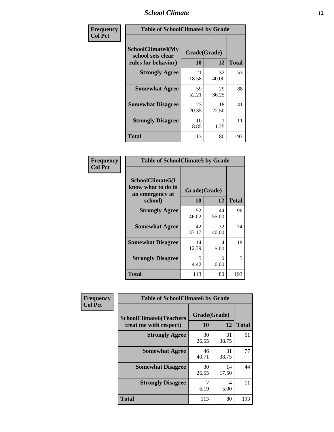### *School Climate* **12**

| Frequency      | <b>Table of SchoolClimate4 by Grade</b>                              |                    |             |              |
|----------------|----------------------------------------------------------------------|--------------------|-------------|--------------|
| <b>Col Pct</b> | <b>SchoolClimate4(My</b><br>school sets clear<br>rules for behavior) | Grade(Grade)<br>10 | 12          | <b>Total</b> |
|                | <b>Strongly Agree</b>                                                | 21<br>18.58        | 32<br>40.00 | 53           |
|                | <b>Somewhat Agree</b>                                                | 59<br>52.21        | 29<br>36.25 | 88           |
|                | <b>Somewhat Disagree</b>                                             | 23<br>20.35        | 18<br>22.50 | 41           |
|                | <b>Strongly Disagree</b>                                             | 10<br>8.85         | 1.25        | 11           |
|                | <b>Total</b>                                                         | 113                | 80          | 193          |

| <b>Table of SchoolClimate5 by Grade</b>                   |              |             |              |  |  |
|-----------------------------------------------------------|--------------|-------------|--------------|--|--|
| SchoolClimate5(I<br>know what to do in<br>an emergency at | Grade(Grade) |             |              |  |  |
| school)                                                   | 10           | 12          | <b>Total</b> |  |  |
| <b>Strongly Agree</b>                                     | 52<br>46.02  | 44<br>55.00 | 96           |  |  |
| <b>Somewhat Agree</b>                                     | 42<br>37.17  | 32<br>40.00 | 74           |  |  |
| <b>Somewhat Disagree</b>                                  | 14<br>12.39  | 4<br>5.00   | 18           |  |  |
| <b>Strongly Disagree</b>                                  | 5<br>4.42    | 0<br>0.00   | 5            |  |  |
| Total                                                     | 113          | 80          | 193          |  |  |

| Frequency      | <b>Table of SchoolClimate6 by Grade</b>                  |                    |             |              |  |
|----------------|----------------------------------------------------------|--------------------|-------------|--------------|--|
| <b>Col Pct</b> | <b>SchoolClimate6(Teachers</b><br>treat me with respect) | Grade(Grade)<br>10 | 12          | <b>Total</b> |  |
|                | <b>Strongly Agree</b>                                    | 30<br>26.55        | 31<br>38.75 | 61           |  |
|                | <b>Somewhat Agree</b>                                    | 46<br>40.71        | 31<br>38.75 | 77           |  |
|                | <b>Somewhat Disagree</b>                                 | 30<br>26.55        | 14<br>17.50 | 44           |  |
|                | <b>Strongly Disagree</b>                                 | 7<br>6.19          | 4<br>5.00   | 11           |  |
|                | <b>Total</b>                                             | 113                | 80          | 193          |  |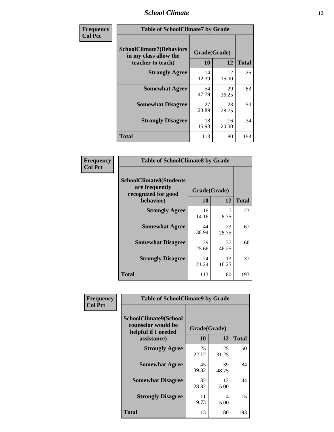### *School Climate* **13**

| Frequency      | <b>Table of SchoolClimate7 by Grade</b>                                       |                           |             |              |
|----------------|-------------------------------------------------------------------------------|---------------------------|-------------|--------------|
| <b>Col Pct</b> | <b>SchoolClimate7(Behaviors</b><br>in my class allow the<br>teacher to teach) | Grade(Grade)<br><b>10</b> | 12          | <b>Total</b> |
|                | <b>Strongly Agree</b>                                                         | 14<br>12.39               | 12<br>15.00 | 26           |
|                | <b>Somewhat Agree</b>                                                         | 54<br>47.79               | 29<br>36.25 | 83           |
|                | <b>Somewhat Disagree</b>                                                      | 27<br>23.89               | 23<br>28.75 | 50           |
|                | <b>Strongly Disagree</b>                                                      | 18<br>15.93               | 16<br>20.00 | 34           |
|                | <b>Total</b>                                                                  | 113                       | 80          | 193          |

| Frequency      | <b>Table of SchoolClimate8 by Grade</b>                                              |                    |             |              |
|----------------|--------------------------------------------------------------------------------------|--------------------|-------------|--------------|
| <b>Col Pct</b> | <b>SchoolClimate8(Students</b><br>are frequently<br>recognized for good<br>behavior) | Grade(Grade)<br>10 | 12          | <b>Total</b> |
|                | <b>Strongly Agree</b>                                                                | 16<br>14.16        | 7<br>8.75   | 23           |
|                | <b>Somewhat Agree</b>                                                                | 44<br>38.94        | 23<br>28.75 | 67           |
|                | <b>Somewhat Disagree</b>                                                             | 29<br>25.66        | 37<br>46.25 | 66           |
|                | <b>Strongly Disagree</b>                                                             | 24<br>21.24        | 13<br>16.25 | 37           |
|                | <b>Total</b>                                                                         | 113                | 80          | 193          |

| Frequency      | <b>Table of SchoolClimate9 by Grade</b>                                           |                    |             |              |
|----------------|-----------------------------------------------------------------------------------|--------------------|-------------|--------------|
| <b>Col Pct</b> | SchoolClimate9(School<br>counselor would be<br>helpful if I needed<br>assistance) | Grade(Grade)<br>10 | 12          | <b>Total</b> |
|                | <b>Strongly Agree</b>                                                             | 25<br>22.12        | 25<br>31.25 | 50           |
|                | <b>Somewhat Agree</b>                                                             | 45<br>39.82        | 39<br>48.75 | 84           |
|                | <b>Somewhat Disagree</b>                                                          | 32<br>28.32        | 12<br>15.00 | 44           |
|                | <b>Strongly Disagree</b>                                                          | 11<br>9.73         | 4<br>5.00   | 15           |
|                | <b>Total</b>                                                                      | 113                | 80          | 193          |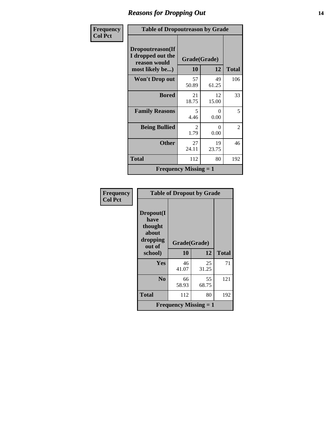# *Reasons for Dropping Out* **14**

| Frequency      | <b>Table of Dropoutreason by Grade</b>                                   |                                     |             |                |
|----------------|--------------------------------------------------------------------------|-------------------------------------|-------------|----------------|
| <b>Col Pct</b> | Dropoutreason(If<br>I dropped out the<br>reason would<br>most likely be) | Grade(Grade)<br><b>10</b>           | 12          | <b>Total</b>   |
|                | <b>Won't Drop out</b>                                                    | 57<br>50.89                         | 49<br>61.25 | 106            |
|                | <b>Bored</b>                                                             | 21<br>18.75                         | 12<br>15.00 | 33             |
|                | <b>Family Reasons</b>                                                    | $\overline{\mathcal{L}}$<br>4.46    | 0<br>0.00   | 5              |
|                | <b>Being Bullied</b>                                                     | $\mathcal{D}_{\mathcal{L}}$<br>1.79 | 0<br>0.00   | $\overline{2}$ |
|                | <b>Other</b>                                                             | 27<br>24.11                         | 19<br>23.75 | 46             |
|                | Total                                                                    | 112                                 | 80          | 192            |
|                |                                                                          | <b>Frequency Missing = 1</b>        |             |                |

| Frequency<br><b>Col Pct</b> | <b>Table of Dropout by Grade</b>                            |                              |             |              |
|-----------------------------|-------------------------------------------------------------|------------------------------|-------------|--------------|
|                             | Dropout(I<br>have<br>thought<br>about<br>dropping<br>out of | Grade(Grade)                 |             |              |
|                             | school)                                                     | 10                           | 12          | <b>Total</b> |
|                             | Yes                                                         | 46<br>41.07                  | 25<br>31.25 | 71           |
|                             | N <sub>0</sub>                                              | 66<br>58.93                  | 55<br>68.75 | 121          |
|                             | <b>Total</b>                                                | 112                          | 80          | 192          |
|                             |                                                             | <b>Frequency Missing = 1</b> |             |              |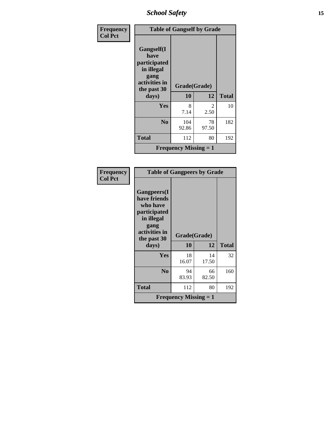*School Safety* **15**

| Frequency      | <b>Table of Gangself by Grade</b>    |                              |             |              |
|----------------|--------------------------------------|------------------------------|-------------|--------------|
| <b>Col Pct</b> |                                      |                              |             |              |
|                | Gangself(I                           |                              |             |              |
|                | have<br>participated<br>in illegal   |                              |             |              |
|                | gang<br>activities in<br>the past 30 | Grade(Grade)                 |             |              |
|                | days)                                | 10                           | 12          | <b>Total</b> |
|                | Yes                                  | 8<br>7.14                    | 2<br>2.50   | 10           |
|                | N <sub>0</sub>                       | 104<br>92.86                 | 78<br>97.50 | 182          |
|                | <b>Total</b>                         | 112                          | 80          | 192          |
|                |                                      | <b>Frequency Missing = 1</b> |             |              |

| Frequency<br><b>Col Pct</b> | <b>Table of Gangpeers by Grade</b>                                                                                    |                              |             |              |
|-----------------------------|-----------------------------------------------------------------------------------------------------------------------|------------------------------|-------------|--------------|
|                             | <b>Gangpeers</b> (I<br>have friends<br>who have<br>participated<br>in illegal<br>gang<br>activities in<br>the past 30 | Grade(Grade)                 |             |              |
|                             | days)                                                                                                                 | 10                           | 12          | <b>Total</b> |
|                             | Yes                                                                                                                   | 18<br>16.07                  | 14<br>17.50 | 32           |
|                             | N <sub>0</sub>                                                                                                        | 94<br>83.93                  | 66<br>82.50 | 160          |
|                             | <b>Total</b>                                                                                                          | 112                          | 80          | 192          |
|                             |                                                                                                                       | <b>Frequency Missing = 1</b> |             |              |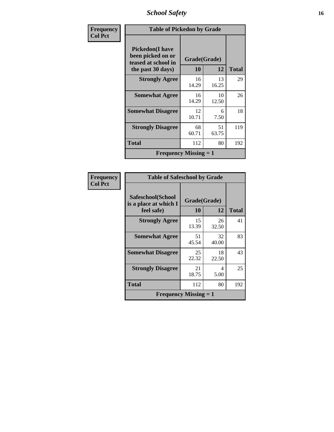*School Safety* **16**

| Frequency      |                                                                                          | <b>Table of Pickedon by Grade</b> |             |              |  |  |  |  |  |
|----------------|------------------------------------------------------------------------------------------|-----------------------------------|-------------|--------------|--|--|--|--|--|
| <b>Col Pct</b> | <b>Pickedon</b> (I have<br>been picked on or<br>teased at school in<br>the past 30 days) | Grade(Grade)<br><b>10</b>         | 12          | <b>Total</b> |  |  |  |  |  |
|                | <b>Strongly Agree</b>                                                                    | 16<br>14.29                       | 13<br>16.25 | 29           |  |  |  |  |  |
|                | <b>Somewhat Agree</b>                                                                    | 16<br>14.29                       | 10<br>12.50 | 26           |  |  |  |  |  |
|                | <b>Somewhat Disagree</b>                                                                 | 12<br>10.71                       | 6<br>7.50   | 18           |  |  |  |  |  |
|                | <b>Strongly Disagree</b>                                                                 | 68<br>60.71                       | 51<br>63.75 | 119          |  |  |  |  |  |
|                | <b>Total</b>                                                                             | 112                               | 80          | 192          |  |  |  |  |  |
|                | <b>Frequency Missing = 1</b>                                                             |                                   |             |              |  |  |  |  |  |

| <b>Frequency</b> |
|------------------|
| <b>Col Pct</b>   |

| <b>Table of Safeschool by Grade</b>                      |                    |             |              |
|----------------------------------------------------------|--------------------|-------------|--------------|
| Safeschool(School<br>is a place at which I<br>feel safe) | Grade(Grade)<br>10 | 12          | <b>Total</b> |
| <b>Strongly Agree</b>                                    | 15<br>13.39        | 26<br>32.50 | 41           |
| <b>Somewhat Agree</b>                                    | 51<br>45.54        | 32<br>40.00 | 83           |
| <b>Somewhat Disagree</b>                                 | 25<br>22.32        | 18<br>22.50 | 43           |
| <b>Strongly Disagree</b>                                 | 21<br>18.75        | 4<br>5.00   | 25           |
| <b>Total</b>                                             | 112                | 80          | 192          |
| <b>Frequency Missing <math>= 1</math></b>                |                    |             |              |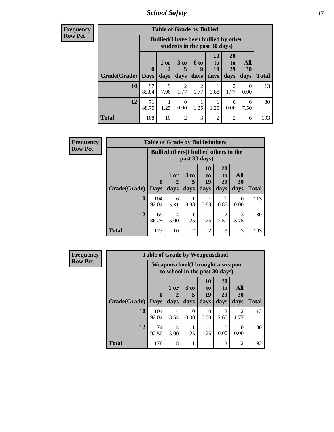*School Safety* **17**

| <b>Frequency</b><br>Row Pct |
|-----------------------------|
|                             |

| V | <b>Table of Grade by Bullied</b> |                    |                                                                               |                         |                        |                        |                               |                   |              |
|---|----------------------------------|--------------------|-------------------------------------------------------------------------------|-------------------------|------------------------|------------------------|-------------------------------|-------------------|--------------|
|   |                                  |                    | <b>Bullied</b> (I have been bullied by other<br>students in the past 30 days) |                         |                        |                        |                               |                   |              |
|   | Grade(Grade)                     | $\bf{0}$<br>  Days | 1 or<br>2<br>days                                                             | 3 <sub>to</sub><br>days | 6 to<br>9<br>days      | 10<br>to<br>19<br>days | <b>20</b><br>to<br>29<br>days | All<br>30<br>days | <b>Total</b> |
|   | 10                               | 97<br>85.84        | 9<br>7.96                                                                     | $\mathfrak{D}$<br>1.77  | $\mathfrak{D}$<br>1.77 | 0.88                   | $\mathfrak{D}$<br>1.77        | 0<br>0.00         | 113          |
|   | 12                               | 71<br>88.75        | 1.25                                                                          | ∩<br>0.00               | 1.25                   | 1.25                   | 0.00                          | 6<br>7.50         | 80           |
|   | <b>Total</b>                     | 168                | 10                                                                            | $\overline{2}$          | 3                      | $\overline{2}$         | $\mathfrak{D}$                | 6                 | 193          |

| <b>Frequency</b> |              | <b>Table of Grade by Bulliedothers</b> |                                               |                   |                               |                               |                   |              |  |  |
|------------------|--------------|----------------------------------------|-----------------------------------------------|-------------------|-------------------------------|-------------------------------|-------------------|--------------|--|--|
| <b>Row Pct</b>   |              |                                        | <b>Bulliedothers</b> (I bullied others in the | past 30 days)     |                               |                               |                   |              |  |  |
|                  | Grade(Grade) | $\bf{0}$<br><b>Days</b>                | 1 or<br>days                                  | 3 to<br>5<br>days | <b>10</b><br>to<br>19<br>days | <b>20</b><br>to<br>29<br>days | All<br>30<br>days | <b>Total</b> |  |  |
|                  | 10           | 104<br>92.04                           | 6<br>5.31                                     | 0.88              | 0.88                          | 0.88                          | $\Omega$<br>0.00  | 113          |  |  |
|                  | 12           | 69<br>86.25                            | 4<br>5.00                                     | 1.25              | 1.25                          | 2<br>2.50                     | 3<br>3.75         | 80           |  |  |
|                  | <b>Total</b> | 173                                    | 10                                            | $\overline{c}$    | $\overline{2}$                | 3                             | 3                 | 193          |  |  |

| <b>Frequency</b> |              | <b>Table of Grade by Weaponschool</b> |              |                              |                                         |                                                                   |                        |              |  |  |  |  |  |
|------------------|--------------|---------------------------------------|--------------|------------------------------|-----------------------------------------|-------------------------------------------------------------------|------------------------|--------------|--|--|--|--|--|
| <b>Row Pct</b>   |              |                                       |              |                              |                                         | Weaponschool(I brought a weapon<br>to school in the past 30 days) |                        |              |  |  |  |  |  |
|                  | Grade(Grade) | $\bf{0}$<br><b>Days</b>               | 1 or<br>days | 3 <sub>to</sub><br>5<br>days | <b>10</b><br>$\mathbf{t}$<br>19<br>days | <b>20</b><br>t <sub>0</sub><br>29<br>days                         | All<br>30<br>days      | <b>Total</b> |  |  |  |  |  |
|                  |              |                                       |              |                              |                                         |                                                                   |                        |              |  |  |  |  |  |
|                  | 10           | 104<br>92.04                          | 4<br>3.54    | $\Omega$<br>0.00             | 0<br>0.00                               | 3<br>2.65                                                         | $\overline{c}$<br>1.77 | 113          |  |  |  |  |  |
|                  | 12           | 74<br>92.50                           | 4<br>5.00    | 1.25                         | 1.25                                    | $\Omega$<br>0.00                                                  | 0<br>0.00              | 80           |  |  |  |  |  |
|                  | <b>Total</b> | 178                                   | 8            |                              |                                         | 3                                                                 | $\overline{2}$         | 193          |  |  |  |  |  |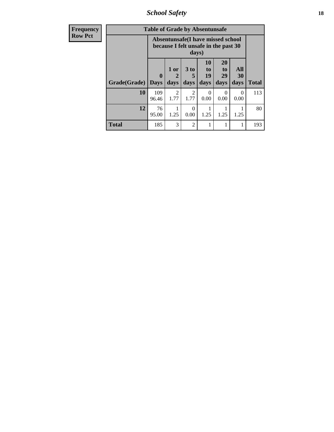*School Safety* **18**

| <b>Frequency</b> |              | <b>Table of Grade by Absentunsafe</b> |                                                                           |                              |                                         |                               |                   |              |  |  |  |  |  |
|------------------|--------------|---------------------------------------|---------------------------------------------------------------------------|------------------------------|-----------------------------------------|-------------------------------|-------------------|--------------|--|--|--|--|--|
| <b>Row Pct</b>   |              |                                       | Absentunsafe(I have missed school<br>because I felt unsafe in the past 30 | days)                        |                                         |                               |                   | <b>Total</b> |  |  |  |  |  |
|                  | Grade(Grade) | $\mathbf 0$<br><b>Days</b>            | 1 or<br>2<br>days                                                         | 3 <sub>to</sub><br>5<br>days | <b>10</b><br>$\mathbf{t}$<br>19<br>days | <b>20</b><br>to<br>29<br>days | All<br>30<br>days |              |  |  |  |  |  |
|                  | 10           | 109<br>96.46                          | $\mathfrak{D}$<br>1.77                                                    | $\overline{2}$<br>1.77       | 0<br>0.00                               | 0<br>0.00                     | 0<br>0.00         | 113          |  |  |  |  |  |
|                  | 12           | 76<br>95.00                           | 1.25                                                                      | 0<br>0.00                    | 1.25                                    | 1.25                          | 1.25              | 80           |  |  |  |  |  |
|                  | <b>Total</b> | 185                                   | 3                                                                         | $\mathfrak{D}$               |                                         |                               |                   | 193          |  |  |  |  |  |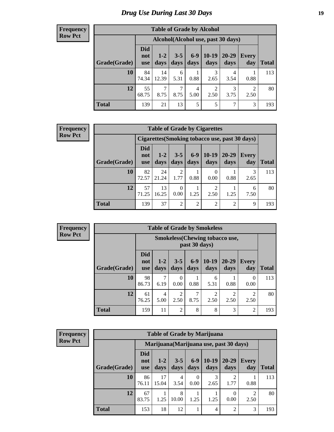# *Drug Use During Last 30 Days* **19**

#### **Frequency Row Pct**

| <b>Table of Grade by Alcohol</b> |                          |                                    |                 |               |                        |               |                     |       |  |  |
|----------------------------------|--------------------------|------------------------------------|-----------------|---------------|------------------------|---------------|---------------------|-------|--|--|
|                                  |                          | Alcohol(Alcohol use, past 30 days) |                 |               |                        |               |                     |       |  |  |
| Grade(Grade)                     | <b>Did</b><br>not<br>use | $1-2$<br>days                      | $3 - 5$<br>days | $6-9$<br>days | 10-19<br>days          | 20-29<br>days | <b>Every</b><br>day | Total |  |  |
| 10                               | 84<br>74.34              | 14<br>12.39                        | 6<br>5.31       | 0.88          | 3<br>2.65              | 4<br>3.54     | 0.88                | 113   |  |  |
| 12                               | 55<br>68.75              | $\overline{7}$<br>8.75             | 7<br>8.75       | 4<br>5.00     | $\overline{2}$<br>2.50 | 3<br>3.75     | 2<br>2.50           | 80    |  |  |
| <b>Total</b>                     | 139                      | 21                                 | 13              | 5             | 5                      | 7             | 3                   | 193   |  |  |

#### **Frequency Row Pct**

| <b>Table of Grade by Cigarettes</b> |                                 |                                                |                 |                 |                |                |                     |       |  |  |
|-------------------------------------|---------------------------------|------------------------------------------------|-----------------|-----------------|----------------|----------------|---------------------|-------|--|--|
|                                     |                                 | Cigarettes (Smoking tobacco use, past 30 days) |                 |                 |                |                |                     |       |  |  |
| Grade(Grade)                        | <b>Did</b><br>not<br><b>use</b> | $1 - 2$<br>days                                | $3 - 5$<br>days | $6 - 9$<br>days | 10-19<br>days  | 20-29<br>days  | <b>Every</b><br>day | Total |  |  |
| 10                                  | 82<br>72.57                     | 24<br>21.24                                    | 2<br>1.77       | 0.88            | 0.00           | 0.88           | 3<br>2.65           | 113   |  |  |
| 12                                  | 57<br>71.25                     | 13<br>16.25                                    | 0<br>0.00       | 1.25            | 2<br>2.50      | 1.25           | 6<br>7.50           | 80    |  |  |
| <b>Total</b>                        | 139                             | 37                                             | 2               | $\overline{2}$  | $\overline{2}$ | $\mathfrak{D}$ | 9                   | 193   |  |  |

**Frequency Row Pct**

| <b>Table of Grade by Smokeless</b> |              |                                 |                                                        |                        |                 |                        |                        |              |              |  |
|------------------------------------|--------------|---------------------------------|--------------------------------------------------------|------------------------|-----------------|------------------------|------------------------|--------------|--------------|--|
|                                    |              |                                 | <b>Smokeless</b> (Chewing tobaccouse,<br>past 30 days) |                        |                 |                        |                        |              |              |  |
|                                    | Grade(Grade) | <b>Did</b><br>not<br><b>use</b> | $1 - 2$<br>days                                        | $3 - 5$<br>days        | $6 - 9$<br>days | $10-19$<br>days        | $20 - 29$<br>days      | Every<br>day | <b>Total</b> |  |
|                                    | 10           | 98<br>86.73                     | 7<br>6.19                                              | $\theta$<br>0.00       | 0.88            | 6<br>5.31              | 0.88                   | 0<br>0.00    | 113          |  |
|                                    | 12           | 61<br>76.25                     | 4<br>5.00                                              | $\overline{2}$<br>2.50 | 8.75            | $\overline{c}$<br>2.50 | $\overline{2}$<br>2.50 | 2<br>2.50    | 80           |  |
|                                    | <b>Total</b> | 159                             | 11                                                     | $\overline{2}$         | 8               | 8                      | 3                      | 2            | 193          |  |

| <b>Frequency</b> |
|------------------|
| <b>Row Pct</b>   |

| <b>Table of Grade by Marijuana</b> |                                 |                                         |                 |                  |                 |                                  |                     |       |
|------------------------------------|---------------------------------|-----------------------------------------|-----------------|------------------|-----------------|----------------------------------|---------------------|-------|
|                                    |                                 | Marijuana (Marijuana use, past 30 days) |                 |                  |                 |                                  |                     |       |
| Grade(Grade)                       | <b>Did</b><br>not<br><b>use</b> | $1 - 2$<br>days                         | $3 - 5$<br>days | $6-9$<br>days    | $10-19$<br>days | 20-29<br>days                    | <b>Every</b><br>day | Total |
| 10                                 | 86<br>76.11                     | 17<br>15.04                             | 4<br>3.54       | $\Omega$<br>0.00 | 3<br>2.65       | $\overline{\mathcal{L}}$<br>1.77 | 0.88                | 113   |
| 12                                 | 67<br>83.75                     | 1.25                                    | 8<br>10.00      | 1.25             | 1.25            | 0<br>0.00                        | 2.50                | 80    |
| <b>Total</b>                       | 153                             | 18                                      | 12              |                  | 4               | 2                                | 3                   | 193   |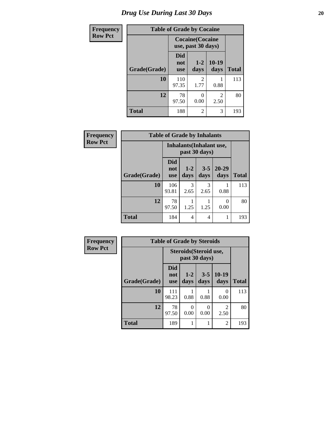# *Drug Use During Last 30 Days* 20

| <b>Frequency</b> | <b>Table of Grade by Cocaine</b> |                                 |                                               |                 |              |  |
|------------------|----------------------------------|---------------------------------|-----------------------------------------------|-----------------|--------------|--|
| <b>Row Pct</b>   |                                  |                                 | <b>Cocaine</b> (Cocaine<br>use, past 30 days) |                 |              |  |
|                  | Grade(Grade)                     | <b>Did</b><br>not<br><b>use</b> | $1 - 2$<br>days                               | $10-19$<br>days | <b>Total</b> |  |
|                  | 10                               | 110<br>97.35                    | $\overline{2}$<br>1.77                        | 0.88            | 113          |  |
|                  | 12                               | 78<br>97.50                     | 0<br>0.00                                     | 2<br>2.50       | 80           |  |
|                  | <b>Total</b>                     | 188                             | $\overline{2}$                                | 3               | 193          |  |

| <b>Frequency</b> |                                                  | <b>Table of Grade by Inhalants</b> |                 |                 |                   |              |
|------------------|--------------------------------------------------|------------------------------------|-----------------|-----------------|-------------------|--------------|
| <b>Row Pct</b>   | <b>Inhalants</b> (Inhalant use,<br>past 30 days) |                                    |                 |                 |                   |              |
|                  | Grade(Grade)                                     | <b>Did</b><br>not<br><b>use</b>    | $1 - 2$<br>days | $3 - 5$<br>days | $20 - 29$<br>days | <b>Total</b> |
|                  | 10                                               | 106<br>93.81                       | 3<br>2.65       | 3<br>2.65       | 0.88              | 113          |
|                  | 12                                               | 78<br>97.50                        | 1.25            | 1.25            | 0.00              | 80           |
|                  | <b>Total</b>                                     | 184                                | 4               | 4               |                   | 193          |

| <b>Frequency</b> | <b>Table of Grade by Steroids</b> |                                 |                 |                                         |                 |              |
|------------------|-----------------------------------|---------------------------------|-----------------|-----------------------------------------|-----------------|--------------|
| <b>Row Pct</b>   |                                   |                                 |                 | Steroids (Steroid use,<br>past 30 days) |                 |              |
|                  | Grade(Grade)                      | <b>Did</b><br>not<br><b>use</b> | $1 - 2$<br>days | $3 - 5$<br>days                         | $10-19$<br>days | <b>Total</b> |
|                  | 10                                | 111<br>98.23                    | 0.88            | 0.88                                    | 0<br>0.00       | 113          |
|                  | 12                                | 78<br>97.50                     | 0<br>0.00       | 0<br>0.00                               | 2<br>2.50       | 80           |
|                  | <b>Total</b>                      | 189                             | 1               |                                         | $\overline{2}$  | 193          |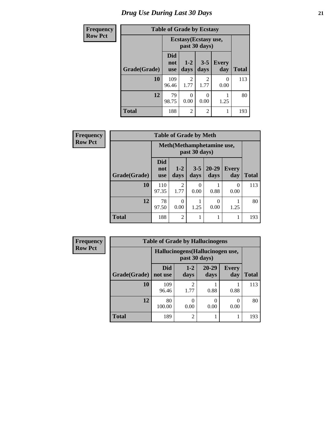# *Drug Use During Last 30 Days* **21**

| <b>Frequency</b> | <b>Table of Grade by Ecstasy</b> |                                 |                                        |                 |                     |              |  |
|------------------|----------------------------------|---------------------------------|----------------------------------------|-----------------|---------------------|--------------|--|
| <b>Row Pct</b>   |                                  |                                 | Ecstasy (Ecstasy use,<br>past 30 days) |                 |                     |              |  |
|                  | Grade(Grade)                     | <b>Did</b><br>not<br><b>use</b> | $1-2$<br>days                          | $3 - 5$<br>days | <b>Every</b><br>day | <b>Total</b> |  |
|                  | 10                               | 109<br>96.46                    | 2<br>1.77                              | 2<br>1.77       | 0<br>0.00           | 113          |  |
|                  | 12                               | 79<br>98.75                     | 0<br>0.00                              | 0.00            | 1.25                | 80           |  |
|                  | <b>Total</b>                     | 188                             | $\overline{c}$                         | $\overline{2}$  | 1                   | 193          |  |

| Frequency      |              | <b>Table of Grade by Meth</b> |                                             |                 |                   |                     |              |  |  |
|----------------|--------------|-------------------------------|---------------------------------------------|-----------------|-------------------|---------------------|--------------|--|--|
| <b>Row Pct</b> |              |                               | Meth (Methamphetamine use,<br>past 30 days) |                 |                   |                     |              |  |  |
|                | Grade(Grade) | <b>Did</b><br>not<br>use      | $1-2$<br>days                               | $3 - 5$<br>days | $20 - 29$<br>days | <b>Every</b><br>day | <b>Total</b> |  |  |
|                | 10           | 110<br>97.35                  | $\mathfrak{D}$<br>1.77                      | 0<br>0.00       | 0.88              | 0<br>0.00           | 113          |  |  |
|                | 12           | 78<br>97.50                   | $\Omega$<br>0.00                            | 1.25            | $\Omega$<br>0.00  | 1.25                | 80           |  |  |
|                | <b>Total</b> | 188                           | $\overline{2}$                              |                 |                   |                     | 193          |  |  |

| Frequency      | <b>Table of Grade by Hallucinogens</b> |                                  |                        |                   |                     |              |  |
|----------------|----------------------------------------|----------------------------------|------------------------|-------------------|---------------------|--------------|--|
| <b>Row Pct</b> |                                        | Hallucinogens (Hallucinogen use, |                        |                   |                     |              |  |
|                | Grade(Grade)                           | <b>Did</b><br>not use            | $1 - 2$<br>days        | $20 - 29$<br>days | <b>Every</b><br>day | <b>Total</b> |  |
|                | 10                                     | 109<br>96.46                     | $\mathfrak{D}$<br>1.77 | 0.88              | 0.88                | 113          |  |
|                | 12                                     | 80<br>100.00                     | 0.00                   | 0.00              | 0.00                | 80           |  |
|                | <b>Total</b>                           | 189                              | $\mathfrak{D}$         |                   |                     | 193          |  |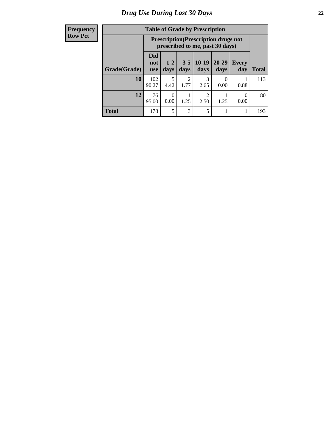#### **Frequency Row Pct**

| <b>Table of Grade by Prescription</b> |                          |                                                                                                                 |                        |           |           |      |     |  |
|---------------------------------------|--------------------------|-----------------------------------------------------------------------------------------------------------------|------------------------|-----------|-----------|------|-----|--|
|                                       |                          | <b>Prescription</b> (Prescription drugs not<br>prescribed to me, past 30 days)                                  |                        |           |           |      |     |  |
| Grade(Grade)                          | Did<br>not<br><b>use</b> | $10-19$<br>$20 - 29$<br>$3 - 5$<br>$1-2$<br><b>Every</b><br>days<br><b>Total</b><br>days<br>day<br>days<br>days |                        |           |           |      |     |  |
| 10                                    | 102<br>90.27             | 5<br>4.42                                                                                                       | $\mathfrak{D}$<br>1.77 | 3<br>2.65 | 0<br>0.00 | 0.88 | 113 |  |
| 12                                    | 76<br>95.00              | $\mathfrak{D}$<br>0<br>0<br>1.25<br>2.50<br>0.00<br>1.25<br>0.00                                                |                        |           |           |      |     |  |
| <b>Total</b>                          | 178                      | 5                                                                                                               | 3                      | 5         |           |      | 193 |  |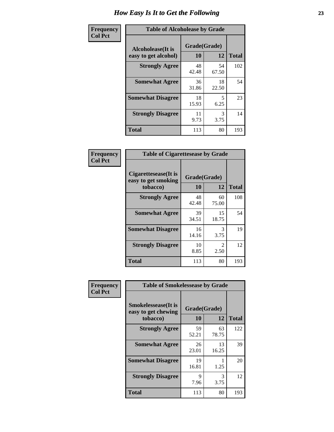| Frequency      | <b>Table of Alcoholease by Grade</b>              |                    |              |     |  |  |
|----------------|---------------------------------------------------|--------------------|--------------|-----|--|--|
| <b>Col Pct</b> | <b>Alcoholease</b> (It is<br>easy to get alcohol) | Grade(Grade)<br>10 | <b>Total</b> |     |  |  |
|                | <b>Strongly Agree</b>                             | 48<br>42.48        | 54<br>67.50  | 102 |  |  |
|                | <b>Somewhat Agree</b>                             | 36<br>31.86        | 18<br>22.50  | 54  |  |  |
|                | <b>Somewhat Disagree</b>                          | 18<br>15.93        | 5<br>6.25    | 23  |  |  |
|                | <b>Strongly Disagree</b>                          | 11<br>9.73         | 3<br>3.75    | 14  |  |  |
|                | <b>Total</b>                                      | 113                | 80           | 193 |  |  |

| Frequency      | <b>Table of Cigarettesease by Grade</b>                  |                    |                                     |              |  |  |
|----------------|----------------------------------------------------------|--------------------|-------------------------------------|--------------|--|--|
| <b>Col Pct</b> | Cigarettesease (It is<br>easy to get smoking<br>tobacco) | Grade(Grade)<br>10 | 12                                  | <b>Total</b> |  |  |
|                | <b>Strongly Agree</b>                                    | 48<br>42.48        | 60<br>75.00                         | 108          |  |  |
|                | <b>Somewhat Agree</b>                                    | 39<br>34.51        | 15<br>18.75                         | 54           |  |  |
|                | <b>Somewhat Disagree</b>                                 | 16<br>14.16        | 3<br>3.75                           | 19           |  |  |
|                | <b>Strongly Disagree</b>                                 | 10<br>8.85         | $\mathcal{D}_{\mathcal{L}}$<br>2.50 | 12           |  |  |
|                | <b>Total</b>                                             | 113                | 80                                  | 193          |  |  |

| Frequency      | <b>Table of Smokelessease by Grade</b>             |              |             |              |
|----------------|----------------------------------------------------|--------------|-------------|--------------|
| <b>Col Pct</b> | <b>Smokelessease</b> (It is<br>easy to get chewing | Grade(Grade) |             |              |
|                | tobacco)                                           | <b>10</b>    | 12          | <b>Total</b> |
|                | <b>Strongly Agree</b>                              | 59<br>52.21  | 63<br>78.75 | 122          |
|                | <b>Somewhat Agree</b>                              | 26<br>23.01  | 13<br>16.25 | 39           |
|                | <b>Somewhat Disagree</b>                           | 19<br>16.81  | 1.25        | 20           |
|                | <b>Strongly Disagree</b>                           | 9<br>7.96    | 3<br>3.75   | 12           |
|                | <b>Total</b>                                       | 113          | 80          | 193          |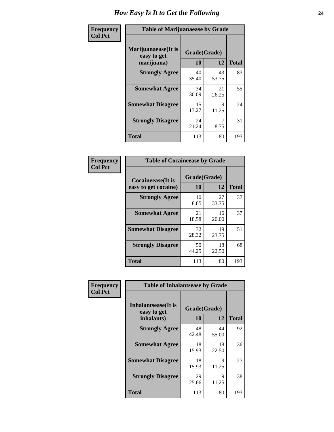| Frequency      | <b>Table of Marijuanaease by Grade</b>           |                    |             |              |  |  |
|----------------|--------------------------------------------------|--------------------|-------------|--------------|--|--|
| <b>Col Pct</b> | Marijuanaease(It is<br>easy to get<br>marijuana) | Grade(Grade)<br>10 | 12          | <b>Total</b> |  |  |
|                | <b>Strongly Agree</b>                            | 40<br>35.40        | 43<br>53.75 | 83           |  |  |
|                | <b>Somewhat Agree</b>                            | 34<br>30.09        | 21<br>26.25 | 55           |  |  |
|                | <b>Somewhat Disagree</b>                         | 15<br>13.27        | 9<br>11.25  | 24           |  |  |
|                | <b>Strongly Disagree</b>                         | 24<br>21.24        | 7<br>8.75   | 31           |  |  |
|                | <b>Total</b>                                     | 113                | 80          | 193          |  |  |

| <b>Table of Cocaineease by Grade</b>              |                    |              |     |  |  |  |  |  |  |  |
|---------------------------------------------------|--------------------|--------------|-----|--|--|--|--|--|--|--|
| <b>Cocaineease</b> (It is<br>easy to get cocaine) | Grade(Grade)<br>10 | <b>Total</b> |     |  |  |  |  |  |  |  |
| <b>Strongly Agree</b>                             | 10<br>8.85         | 27<br>33.75  | 37  |  |  |  |  |  |  |  |
| <b>Somewhat Agree</b>                             | 21<br>18.58        | 16<br>20.00  | 37  |  |  |  |  |  |  |  |
| <b>Somewhat Disagree</b>                          | 32<br>28.32        | 19<br>23.75  | 51  |  |  |  |  |  |  |  |
| <b>Strongly Disagree</b>                          | 50<br>44.25        | 18<br>22.50  | 68  |  |  |  |  |  |  |  |
| <b>Total</b>                                      | 113                | 80           | 193 |  |  |  |  |  |  |  |

| Frequency      | <b>Table of Inhalantsease by Grade</b>                   |                    |              |     |
|----------------|----------------------------------------------------------|--------------------|--------------|-----|
| <b>Col Pct</b> | <b>Inhalantsease</b> (It is<br>easy to get<br>inhalants) | Grade(Grade)<br>10 | <b>Total</b> |     |
|                | <b>Strongly Agree</b>                                    | 48<br>42.48        | 44<br>55.00  | 92  |
|                | <b>Somewhat Agree</b>                                    | 18<br>15.93        | 18<br>22.50  | 36  |
|                | <b>Somewhat Disagree</b>                                 | 18<br>15.93        | 9<br>11.25   | 27  |
|                | <b>Strongly Disagree</b>                                 | 29<br>25.66        | 9<br>11.25   | 38  |
|                | <b>Total</b>                                             | 113                | 80           | 193 |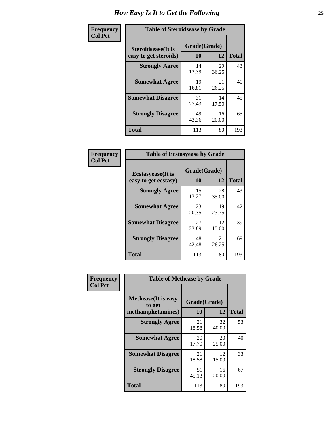| Frequency      | <b>Table of Steroidsease by Grade</b>               |                    |             |              |  |  |  |  |  |  |  |
|----------------|-----------------------------------------------------|--------------------|-------------|--------------|--|--|--|--|--|--|--|
| <b>Col Pct</b> | <b>Steroidsease</b> (It is<br>easy to get steroids) | Grade(Grade)<br>10 | 12          | <b>Total</b> |  |  |  |  |  |  |  |
|                | <b>Strongly Agree</b>                               | 14<br>12.39        | 29<br>36.25 | 43           |  |  |  |  |  |  |  |
|                | <b>Somewhat Agree</b>                               | 19<br>16.81        | 21<br>26.25 | 40           |  |  |  |  |  |  |  |
|                | <b>Somewhat Disagree</b>                            | 31<br>27.43        | 14<br>17.50 | 45           |  |  |  |  |  |  |  |
|                | <b>Strongly Disagree</b>                            | 49<br>43.36        | 16<br>20.00 | 65           |  |  |  |  |  |  |  |
|                | <b>Total</b>                                        | 113                | 80          | 193          |  |  |  |  |  |  |  |

| Frequency      | <b>Table of Ecstasyease by Grade</b>              |                    |             |              |  |  |  |  |  |  |  |  |
|----------------|---------------------------------------------------|--------------------|-------------|--------------|--|--|--|--|--|--|--|--|
| <b>Col Pct</b> | <b>Ecstasyease</b> (It is<br>easy to get ecstasy) | Grade(Grade)<br>10 | 12          | <b>Total</b> |  |  |  |  |  |  |  |  |
|                | <b>Strongly Agree</b>                             | 15<br>13.27        | 28<br>35.00 | 43           |  |  |  |  |  |  |  |  |
|                | <b>Somewhat Agree</b>                             | 23<br>20.35        | 19<br>23.75 | 42           |  |  |  |  |  |  |  |  |
|                | <b>Somewhat Disagree</b>                          | 27<br>23.89        | 12<br>15.00 | 39           |  |  |  |  |  |  |  |  |
|                | <b>Strongly Disagree</b>                          | 48<br>42.48        | 21<br>26.25 | 69           |  |  |  |  |  |  |  |  |
|                | <b>Total</b>                                      | 113                | 80          | 193          |  |  |  |  |  |  |  |  |

| Frequency      | <b>Table of Methease by Grade</b>                          |                    |              |     |
|----------------|------------------------------------------------------------|--------------------|--------------|-----|
| <b>Col Pct</b> | <b>Methease</b> (It is easy<br>to get<br>methamphetamines) | Grade(Grade)<br>10 | <b>Total</b> |     |
|                | <b>Strongly Agree</b>                                      | 21<br>18.58        | 32<br>40.00  | 53  |
|                | <b>Somewhat Agree</b>                                      | 20<br>17.70        | 20<br>25.00  | 40  |
|                | <b>Somewhat Disagree</b>                                   | 21<br>18.58        | 12<br>15.00  | 33  |
|                | <b>Strongly Disagree</b>                                   | 51<br>45.13        | 16<br>20.00  | 67  |
|                | Total                                                      | 113                | 80           | 193 |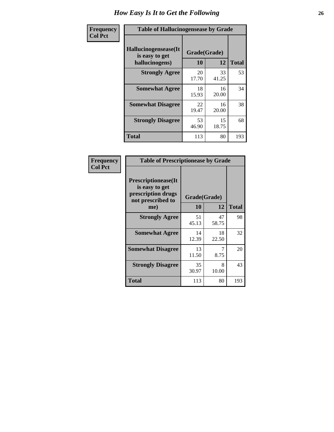| <b>Frequency</b> | <b>Table of Hallucinogensease by Grade</b>               |                    |             |              |  |  |  |  |  |  |  |  |
|------------------|----------------------------------------------------------|--------------------|-------------|--------------|--|--|--|--|--|--|--|--|
| <b>Col Pct</b>   | Hallucinogensease(It<br>is easy to get<br>hallucinogens) | Grade(Grade)<br>10 | 12          | <b>Total</b> |  |  |  |  |  |  |  |  |
|                  | <b>Strongly Agree</b>                                    | 20<br>17.70        | 33<br>41.25 | 53           |  |  |  |  |  |  |  |  |
|                  | <b>Somewhat Agree</b>                                    | 18<br>15.93        | 16<br>20.00 | 34           |  |  |  |  |  |  |  |  |
|                  | <b>Somewhat Disagree</b>                                 | 22<br>19.47        | 16<br>20.00 | 38           |  |  |  |  |  |  |  |  |
|                  | <b>Strongly Disagree</b>                                 | 53<br>46.90        | 15<br>18.75 | 68           |  |  |  |  |  |  |  |  |
|                  | <b>Total</b>                                             | 113                | 80          | 193          |  |  |  |  |  |  |  |  |

| Frequency<br>  Col Pct |
|------------------------|
|                        |

г

| <b>Table of Prescriptionease by Grade</b>                                                |              |             |              |  |  |  |  |  |  |  |
|------------------------------------------------------------------------------------------|--------------|-------------|--------------|--|--|--|--|--|--|--|
| <b>Prescriptionease</b> (It<br>is easy to get<br>prescription drugs<br>not prescribed to | Grade(Grade) |             |              |  |  |  |  |  |  |  |
| me)                                                                                      | 10           | 12          | <b>Total</b> |  |  |  |  |  |  |  |
| <b>Strongly Agree</b>                                                                    | 51<br>45.13  | 47<br>58.75 | 98           |  |  |  |  |  |  |  |
| <b>Somewhat Agree</b>                                                                    | 14<br>12.39  | 18<br>22.50 | 32           |  |  |  |  |  |  |  |
| <b>Somewhat Disagree</b>                                                                 | 13<br>11.50  | 8.75        | 20           |  |  |  |  |  |  |  |
| <b>Strongly Disagree</b>                                                                 | 35<br>30.97  | 8<br>10.00  | 43           |  |  |  |  |  |  |  |
| Total                                                                                    | 113          | 80          | 193          |  |  |  |  |  |  |  |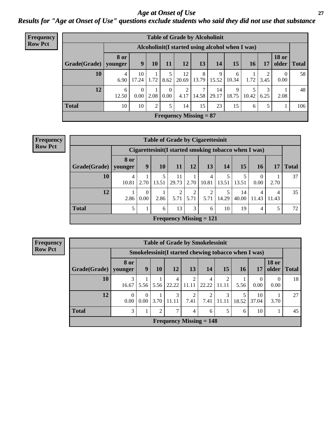### *Age at Onset of Use* **27** *Results for "Age at Onset of Use" questions exclude students who said they did not use that substance*

| <b>Frequency</b> | <b>Table of Grade by Alcoholinit</b> |                        |                  |                |                  |             |                                                  |             |                  |            |           |                       |              |
|------------------|--------------------------------------|------------------------|------------------|----------------|------------------|-------------|--------------------------------------------------|-------------|------------------|------------|-----------|-----------------------|--------------|
| <b>Row Pct</b>   |                                      |                        |                  |                |                  |             | Alcoholinit (I started using alcohol when I was) |             |                  |            |           |                       |              |
|                  | Grade(Grade)                         | <b>8 or</b><br>younger | 9                | <b>10</b>      | 11               | 12          | 13                                               | 14          | 15 <sup>15</sup> | <b>16</b>  | 17        | <b>18 or</b><br>older | <b>Total</b> |
|                  | 10                                   | 4<br>6.90              | 10<br>17.24      | 1.72           | 8.62             | 12<br>20.69 | 8<br> 13.79                                      | 9<br>15.52  | 6<br>10.34       | 1.72       | ↑<br>3.45 | $\Omega$<br>0.00      | 58           |
|                  | 12                                   | 6<br>12.50             | $\Omega$<br>0.00 | 2.08           | $\Omega$<br>0.00 | 2<br>4.17   | ℸ<br>14.58                                       | 14<br>29.17 | 9<br>18.75       | 5<br>10.42 | 3<br>6.25 | 2.08                  | 48           |
|                  | <b>Total</b>                         | 10                     | 10               | $\overline{2}$ | 5                | 14          | 15                                               | 23          | 15               | 6          | 5         |                       | 106          |
|                  |                                      |                        |                  |                |                  |             | <b>Frequency Missing = 87</b>                    |             |                  |            |           |                       |              |

| <b>Frequency</b> |                                                      | <b>Table of Grade by Cigarettesinit</b> |                  |           |             |           |                                |       |             |                  |            |              |  |  |
|------------------|------------------------------------------------------|-----------------------------------------|------------------|-----------|-------------|-----------|--------------------------------|-------|-------------|------------------|------------|--------------|--|--|
| <b>Row Pct</b>   | Cigarettesinit(I started smoking tobacco when I was) |                                         |                  |           |             |           |                                |       |             |                  |            |              |  |  |
|                  | Grade(Grade)   younger                               | 8 or                                    | 9                | <b>10</b> | 11          | 12        | 13                             | 14    | 15          | 16               | 17         | <b>Total</b> |  |  |
|                  | 10                                                   | 10.81                                   | 2.70             | 13.51     | 11<br>29.73 | 2.70      | 4<br>10.81                     | 13.51 | 13.51       | $\theta$<br>0.00 | 2.70       | 37           |  |  |
|                  | 12                                                   | 2.86                                    | $\Omega$<br>0.00 | 2.86      | 5.71        | ∍<br>5.71 | $\mathfrak{D}$<br>5.71         | 14.29 | 14<br>40.00 | 4<br>11.43       | 4<br>11.43 | 35           |  |  |
|                  | <b>Total</b>                                         | 5                                       |                  | 6         | 13          | 3         | 6                              | 10    | 19          | 4                |            | 72           |  |  |
|                  |                                                      |                                         |                  |           |             |           | <b>Frequency Missing = 121</b> |       |             |                  |            |              |  |  |

**Frequency Row Pct**

|                        | <b>Table of Grade by Smokelessinit</b> |                  |                |                                                     |                         |            |                         |            |                  |                       |       |  |  |  |
|------------------------|----------------------------------------|------------------|----------------|-----------------------------------------------------|-------------------------|------------|-------------------------|------------|------------------|-----------------------|-------|--|--|--|
|                        |                                        |                  |                | Smokelessinit(I started chewing tobacco when I was) |                         |            |                         |            |                  |                       |       |  |  |  |
| Grade(Grade)   younger | 8 or                                   | 9                | 10             | <b>12</b>                                           | 13                      | 14         | 15                      | 16         | 17               | <b>18 or</b><br>older | Total |  |  |  |
| 10                     | 3<br>16.67                             | 5.56             | 5.56           | 4<br>22.22                                          | $\overline{2}$<br>11.11 | 4<br>22.22 | $\overline{2}$<br>11.11 | 5.56       | $\theta$<br>0.00 | 0.00                  | 18    |  |  |  |
| 12                     | $\Omega$<br>0.00                       | $\Omega$<br>0.00 | 3.70           | 3<br>11.11                                          | 2<br>7.41               | 7.41       | 3<br>11.11              | 5<br>18.52 | 10<br>37.04      | 3.70                  | 27    |  |  |  |
| <b>Total</b>           | 3                                      |                  | $\mathfrak{D}$ | $\mathcal{I}$                                       | $\overline{4}$          | 6          | 5                       | 6          | 10               |                       | 45    |  |  |  |
|                        |                                        |                  |                | Frequency Missing $= 148$                           |                         |            |                         |            |                  |                       |       |  |  |  |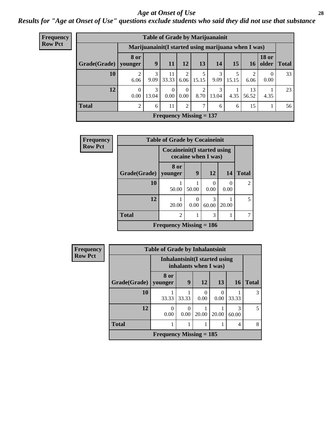#### *Age at Onset of Use* **28**

*Results for "Age at Onset of Use" questions exclude students who said they did not use that substance*

| <b>Frequency</b> | <b>Table of Grade by Marijuanainit</b> |                        |                                                      |                  |                        |                                |            |            |                        |                       |              |  |  |  |
|------------------|----------------------------------------|------------------------|------------------------------------------------------|------------------|------------------------|--------------------------------|------------|------------|------------------------|-----------------------|--------------|--|--|--|
| <b>Row Pct</b>   |                                        |                        | Marijuanainit (I started using marijuana when I was) |                  |                        |                                |            |            |                        |                       |              |  |  |  |
|                  | Grade(Grade)                           | <b>8 or</b><br>vounger | 9                                                    | 11               | 12                     | 13                             | 14         | 15         | 16                     | <b>18 or</b><br>older | <b>Total</b> |  |  |  |
|                  | 10                                     | 2<br>6.06              | 3<br>9.09                                            | 11<br>33.33      | $\mathfrak{D}$<br>6.06 | 5<br>15.15                     | 3<br>9.09  | 5<br>15.15 | $\mathfrak{D}$<br>6.06 | $\Omega$<br>0.00      | 33           |  |  |  |
|                  | 12                                     | $\Omega$<br>0.00       | 3<br>13.04                                           | $\Omega$<br>0.00 | $\Omega$<br>0.00       | $\mathfrak{D}$<br>8.70         | 3<br>13.04 | 4.35       | 13<br>56.52            | 4.35                  | 23           |  |  |  |
|                  | <b>Total</b>                           | $\overline{2}$         | 6                                                    | 11               | $\overline{c}$         | $\tau$                         | 6          | 6          | 15                     |                       | 56           |  |  |  |
|                  |                                        |                        |                                                      |                  |                        | <b>Frequency Missing = 137</b> |            |            |                        |                       |              |  |  |  |

| Frequency      | <b>Table of Grade by Cocaineinit</b>                       |                           |       |            |           |                |  |
|----------------|------------------------------------------------------------|---------------------------|-------|------------|-----------|----------------|--|
| <b>Row Pct</b> | <b>Cocaineinit</b> (I started using<br>cocaine when I was) |                           |       |            |           |                |  |
|                | Grade(Grade)                                               | 8 or<br>younger           | 9     | 12         | 14        | <b>Total</b>   |  |
|                | 10                                                         | 50.00                     | 50.00 | 0.00       | 0<br>0.00 | $\mathfrak{D}$ |  |
|                | 12                                                         | 20.00                     | 0.00  | 3<br>60.00 | 20.00     | 5              |  |
|                | <b>Total</b>                                               | $\mathfrak{D}$            |       | 3          |           |                |  |
|                |                                                            | Frequency Missing $= 186$ |       |            |           |                |  |

| <b>Frequency</b> |                                                         | <b>Table of Grade by Inhalantsinit</b> |       |           |       |            |              |
|------------------|---------------------------------------------------------|----------------------------------------|-------|-----------|-------|------------|--------------|
| <b>Row Pct</b>   | Inhalantsinit (I started using<br>inhalants when I was) |                                        |       |           |       |            |              |
|                  | Grade(Grade)   younger                                  | 8 or                                   | 9     | 12        | 13    | 16         | <b>Total</b> |
|                  | 10                                                      | 33.33                                  | 33.33 | 0<br>0.00 | 0.00  | 33.33      | 3            |
|                  | 12                                                      | 0<br>0.00                              | 0.00  | 20.00     | 20.00 | 3<br>60.00 | 5            |
|                  | <b>Total</b>                                            |                                        |       |           |       | 4          | 8            |
|                  |                                                         | Frequency Missing $= 185$              |       |           |       |            |              |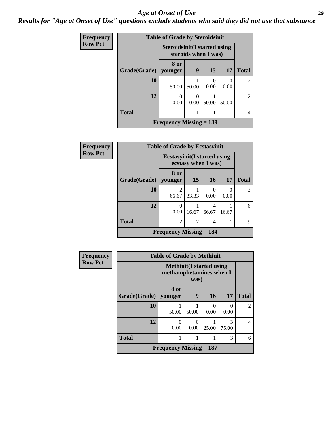#### *Age at Onset of Use* **29**

### *Results for "Age at Onset of Use" questions exclude students who said they did not use that substance*

| Frequency      | <b>Table of Grade by Steroidsinit</b>                       |                                |       |                  |                  |                |  |  |
|----------------|-------------------------------------------------------------|--------------------------------|-------|------------------|------------------|----------------|--|--|
| <b>Row Pct</b> | <b>Steroidsinit(I started using</b><br>steroids when I was) |                                |       |                  |                  |                |  |  |
|                | Grade(Grade)                                                | 8 or<br>younger                | 9     | 15               | 17               | <b>Total</b>   |  |  |
|                | 10                                                          | 50.00                          | 50.00 | $\Omega$<br>0.00 | $\Omega$<br>0.00 |                |  |  |
|                | 12                                                          | 0<br>0.00                      | 0.00  | 50.00            | 50.00            | $\mathfrak{D}$ |  |  |
|                | <b>Total</b>                                                |                                |       |                  |                  |                |  |  |
|                |                                                             | <b>Frequency Missing = 189</b> |       |                  |                  |                |  |  |

| Frequency      |              | <b>Table of Grade by Ecstasyinit</b>        |                     |            |                  |               |
|----------------|--------------|---------------------------------------------|---------------------|------------|------------------|---------------|
| <b>Row Pct</b> |              | <b>Ecstasyinit</b> (I started using         | ecstasy when I was) |            |                  |               |
|                | Grade(Grade) | 8 or<br>younger                             | 15                  | <b>16</b>  | 17               | <b>Total</b>  |
|                | 10           | 2<br>66.67                                  | 33.33               | 0.00       | $\theta$<br>0.00 | $\mathcal{R}$ |
|                | 12           | $\Omega$<br>0.00                            | 16.67               | 4<br>66.67 | 16.67            | 6             |
|                | <b>Total</b> | $\overline{2}$                              | $\overline{c}$      | 4          |                  | 9             |
|                |              | <b>Frequency Missing <math>= 184</math></b> |                     |            |                  |               |

| <b>Frequency</b> |                                                                     | <b>Table of Grade by Methinit</b> |           |       |            |                |  |  |
|------------------|---------------------------------------------------------------------|-----------------------------------|-----------|-------|------------|----------------|--|--|
| <b>Row Pct</b>   | <b>Methinit</b> (I started using<br>methamphetamines when I<br>was) |                                   |           |       |            |                |  |  |
|                  | Grade(Grade)                                                        | 8 or<br>younger                   | 9         | 16    | 17         | <b>Total</b>   |  |  |
|                  | 10                                                                  | 50.00                             | 50.00     | 0.00  | 0.00       | $\mathfrak{D}$ |  |  |
|                  | 12                                                                  | $\theta$<br>0.00                  | 0<br>0.00 | 25.00 | 3<br>75.00 | 4              |  |  |
|                  | <b>Total</b>                                                        |                                   |           |       | 3          | 6              |  |  |
|                  |                                                                     | Frequency Missing $= 187$         |           |       |            |                |  |  |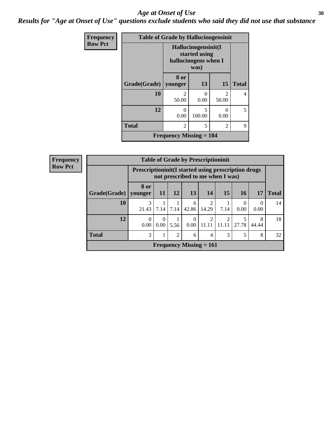#### Age at Onset of Use **30**

*Results for "Age at Onset of Use" questions exclude students who said they did not use that substance*

| <b>Frequency</b> |                                                                      | <b>Table of Grade by Hallucinogensinit</b> |                  |                         |              |  |  |  |
|------------------|----------------------------------------------------------------------|--------------------------------------------|------------------|-------------------------|--------------|--|--|--|
| <b>Row Pct</b>   | Hallucinogensinit(I<br>started using<br>hallucinogens when I<br>was) |                                            |                  |                         |              |  |  |  |
|                  | Grade(Grade)                                                         | 8 or<br>younger                            | 13               | 15                      | <b>Total</b> |  |  |  |
|                  | 10                                                                   | $\mathfrak{D}$<br>50.00                    | $\Omega$<br>0.00 | $\mathfrak{D}$<br>50.00 | 4            |  |  |  |
|                  | 12                                                                   | $\mathbf{\Omega}$<br>0.00                  | 5<br>100.00      | 0<br>0.00               | 5            |  |  |  |
|                  | <b>Total</b>                                                         | $\mathfrak{D}$                             | 5                | $\mathfrak{D}$          | 9            |  |  |  |
|                  | <b>Frequency Missing <math>= 184</math></b>                          |                                            |                  |                         |              |  |  |  |

| <b>Frequency</b>                                        | <b>Table of Grade by Prescriptioninit</b>                                                        |                  |                               |           |                  |                           |                         |                 |            |              |
|---------------------------------------------------------|--------------------------------------------------------------------------------------------------|------------------|-------------------------------|-----------|------------------|---------------------------|-------------------------|-----------------|------------|--------------|
| <b>Row Pct</b>                                          | <b>Prescriptioninit (I started using prescription drugs)</b><br>not prescribed to me when I was) |                  |                               |           |                  |                           |                         |                 |            |              |
|                                                         | Grade(Grade)   younger                                                                           | 8 or             | <b>11</b>                     | <b>12</b> | <b>13</b>        | 14                        | 15                      | 16 <sup>1</sup> | 17         | <b>Total</b> |
|                                                         | 10                                                                                               | 3<br>21.43       | 7.14                          | 7.14      | 6<br>42.86       | 14.29                     | 7.14                    | 0.00            | 0.00       | 14           |
|                                                         | 12                                                                                               | $\Omega$<br>0.00 | $\Omega$<br>0.00 <sub>l</sub> | 5.56      | $\theta$<br>0.00 | $\mathcal{D}$<br>11.11    | $\overline{2}$<br>11.11 | 27.78           | 8<br>44.44 | 18           |
| <b>Total</b><br>3<br>$\overline{2}$<br>3<br>5<br>6<br>4 |                                                                                                  |                  |                               |           |                  |                           |                         | 8               | 32         |              |
|                                                         |                                                                                                  |                  |                               |           |                  | Frequency Missing $= 161$ |                         |                 |            |              |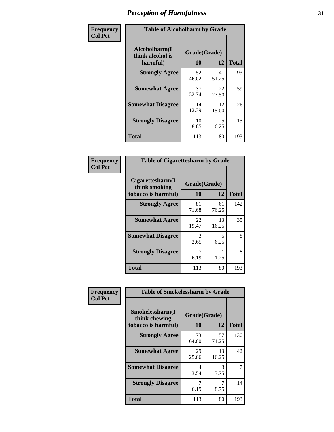| Frequency      | <b>Table of Alcoholharm by Grade</b>          |                    |             |              |  |
|----------------|-----------------------------------------------|--------------------|-------------|--------------|--|
| <b>Col Pct</b> | Alcoholharm(I<br>think alcohol is<br>harmful) | Grade(Grade)<br>10 | 12          | <b>Total</b> |  |
|                | <b>Strongly Agree</b>                         | 52<br>46.02        | 41<br>51.25 | 93           |  |
|                | <b>Somewhat Agree</b>                         | 37<br>32.74        | 22<br>27.50 | 59           |  |
|                | <b>Somewhat Disagree</b>                      | 14<br>12.39        | 12<br>15.00 | 26           |  |
|                | <b>Strongly Disagree</b>                      | 10<br>8.85         | 5<br>6.25   | 15           |  |
|                | <b>Total</b>                                  | 113                | 80          | 193          |  |

| <b>Table of Cigarettesharm by Grade</b>                  |                    |             |              |  |  |  |  |
|----------------------------------------------------------|--------------------|-------------|--------------|--|--|--|--|
| Cigarettesharm(I<br>think smoking<br>tobacco is harmful) | Grade(Grade)<br>10 | 12          | <b>Total</b> |  |  |  |  |
| <b>Strongly Agree</b>                                    | 81<br>71.68        | 61<br>76.25 | 142          |  |  |  |  |
| <b>Somewhat Agree</b>                                    | 22<br>19.47        | 13<br>16.25 | 35           |  |  |  |  |
| <b>Somewhat Disagree</b>                                 | 3<br>2.65          | 5<br>6.25   | 8            |  |  |  |  |
| <b>Strongly Disagree</b>                                 | 7<br>6.19          | 1.25        | 8            |  |  |  |  |
| <b>Total</b>                                             | 113                | 80          | 193          |  |  |  |  |

| Frequency      | <b>Table of Smokelessharm by Grade</b>                  |                    |             |              |
|----------------|---------------------------------------------------------|--------------------|-------------|--------------|
| <b>Col Pct</b> | Smokelessharm(I<br>think chewing<br>tobacco is harmful) | Grade(Grade)<br>10 | 12          | <b>Total</b> |
|                | <b>Strongly Agree</b>                                   | 73<br>64.60        | 57<br>71.25 | 130          |
|                | <b>Somewhat Agree</b>                                   | 29<br>25.66        | 13<br>16.25 | 42           |
|                | <b>Somewhat Disagree</b>                                | 4<br>3.54          | 3<br>3.75   |              |
|                | <b>Strongly Disagree</b>                                | 6.19               | 8.75        | 14           |
|                | <b>Total</b>                                            | 113                | 80          | 193          |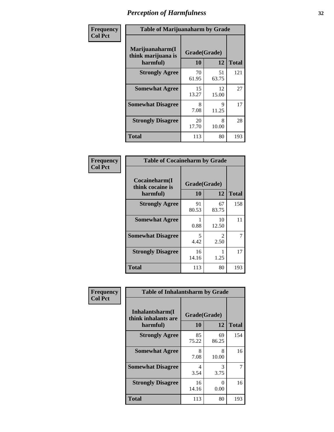| Frequency      | <b>Table of Marijuanaharm by Grade</b>            |                    |             |              |  |  |
|----------------|---------------------------------------------------|--------------------|-------------|--------------|--|--|
| <b>Col Pct</b> | Marijuanaharm(I<br>think marijuana is<br>harmful) | Grade(Grade)<br>10 | 12          | <b>Total</b> |  |  |
|                | <b>Strongly Agree</b>                             | 70<br>61.95        | 51<br>63.75 | 121          |  |  |
|                | <b>Somewhat Agree</b>                             | 15<br>13.27        | 12<br>15.00 | 27           |  |  |
|                | <b>Somewhat Disagree</b>                          | 8<br>7.08          | 9<br>11.25  | 17           |  |  |
|                | <b>Strongly Disagree</b>                          | 20<br>17.70        | 8<br>10.00  | 28           |  |  |
|                | <b>Total</b>                                      | 113                | 80          | 193          |  |  |

| <b>Table of Cocaineharm by Grade</b>          |                    |                        |              |  |  |  |  |
|-----------------------------------------------|--------------------|------------------------|--------------|--|--|--|--|
| Cocaineharm(I<br>think cocaine is<br>harmful) | Grade(Grade)<br>10 | 12                     | <b>Total</b> |  |  |  |  |
| <b>Strongly Agree</b>                         | 91<br>80.53        | 67<br>83.75            | 158          |  |  |  |  |
| <b>Somewhat Agree</b>                         | 1<br>0.88          | 10<br>12.50            | 11           |  |  |  |  |
| <b>Somewhat Disagree</b>                      | 5<br>4.42          | $\mathfrak{D}$<br>2.50 | 7            |  |  |  |  |
| <b>Strongly Disagree</b>                      | 16<br>14.16        | 1.25                   | 17           |  |  |  |  |
| <b>Total</b>                                  | 113                | 80                     | 193          |  |  |  |  |

| Frequency      | <b>Table of Inhalantsharm by Grade</b>             |             |                    |              |
|----------------|----------------------------------------------------|-------------|--------------------|--------------|
| <b>Col Pct</b> | Inhalantsharm(I<br>think inhalants are<br>harmful) | <b>10</b>   | Grade(Grade)<br>12 | <b>Total</b> |
|                | <b>Strongly Agree</b>                              | 85<br>75.22 | 69<br>86.25        | 154          |
|                | <b>Somewhat Agree</b>                              | 8<br>7.08   | 8<br>10.00         | 16           |
|                | <b>Somewhat Disagree</b>                           | 4<br>3.54   | 3<br>3.75          | 7            |
|                | <b>Strongly Disagree</b>                           | 16<br>14.16 | 0<br>0.00          | 16           |
|                | <b>Total</b>                                       | 113         | 80                 | 193          |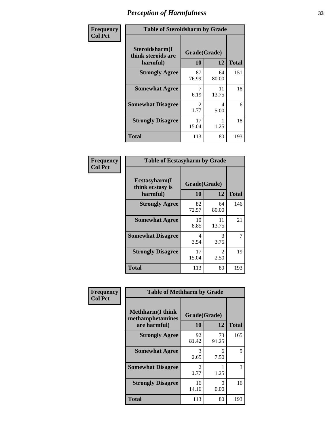| Frequency      | <b>Table of Steroidsharm by Grade</b>            |                        |             |              |
|----------------|--------------------------------------------------|------------------------|-------------|--------------|
| <b>Col Pct</b> | Steroidsharm(I<br>think steroids are<br>harmful) | Grade(Grade)<br>10     | 12          | <b>Total</b> |
|                | <b>Strongly Agree</b>                            | 87<br>76.99            | 64<br>80.00 | 151          |
|                | <b>Somewhat Agree</b>                            | 6.19                   | 11<br>13.75 | 18           |
|                | <b>Somewhat Disagree</b>                         | $\mathfrak{D}$<br>1.77 | 4<br>5.00   | 6            |
|                | <b>Strongly Disagree</b>                         | 17<br>15.04            | 1.25        | 18           |
|                | <b>Total</b>                                     | 113                    | 80          | 193          |

| <b>Table of Ecstasyharm by Grade</b>          |                    |                        |     |  |  |
|-----------------------------------------------|--------------------|------------------------|-----|--|--|
| Ecstasyharm(I<br>think ecstasy is<br>harmful) | Grade(Grade)<br>10 | <b>Total</b>           |     |  |  |
| <b>Strongly Agree</b>                         | 82<br>72.57        | 64<br>80.00            | 146 |  |  |
| <b>Somewhat Agree</b>                         | 10<br>8.85         | 11<br>13.75            | 21  |  |  |
| <b>Somewhat Disagree</b>                      | 4<br>3.54          | 3<br>3.75              | 7   |  |  |
| <b>Strongly Disagree</b>                      | 17<br>15.04        | $\mathfrak{D}$<br>2.50 | 19  |  |  |
| <b>Total</b>                                  | 113                | 80                     | 193 |  |  |

| Frequency      | <b>Table of Methharm by Grade</b>                            |                           |             |              |
|----------------|--------------------------------------------------------------|---------------------------|-------------|--------------|
| <b>Col Pct</b> | <b>Methharm</b> (I think<br>methamphetamines<br>are harmful) | Grade(Grade)<br><b>10</b> | 12          | <b>Total</b> |
|                | <b>Strongly Agree</b>                                        | 92<br>81.42               | 73<br>91.25 | 165          |
|                | <b>Somewhat Agree</b>                                        | 3<br>2.65                 | 6<br>7.50   | 9            |
|                | <b>Somewhat Disagree</b>                                     | $\mathfrak{D}$<br>1.77    | 1.25        | 3            |
|                | <b>Strongly Disagree</b>                                     | 16<br>14.16               | 0<br>0.00   | 16           |
|                | <b>Total</b>                                                 | 113                       | 80          | 193          |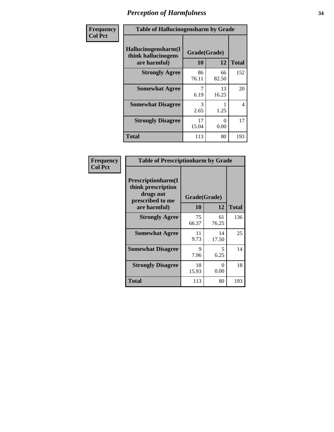| Frequency      | <b>Table of Hallucinogensharm by Grade</b>                 |                    |             |                |
|----------------|------------------------------------------------------------|--------------------|-------------|----------------|
| <b>Col Pct</b> | Hallucinogensharm(I<br>think hallucinogens<br>are harmful) | Grade(Grade)<br>10 | 12          | <b>Total</b>   |
|                | <b>Strongly Agree</b>                                      | 86<br>76.11        | 66<br>82.50 | 152            |
|                | <b>Somewhat Agree</b>                                      | 6.19               | 13<br>16.25 | 20             |
|                | <b>Somewhat Disagree</b>                                   | 3<br>2.65          | 1.25        | $\overline{4}$ |
|                | <b>Strongly Disagree</b>                                   | 17<br>15.04        | 0<br>0.00   | 17             |
|                | <b>Total</b>                                               | 113                | 80          | 193            |

| <b>Table of Prescriptionharm by Grade</b>                                 |              |             |              |  |  |
|---------------------------------------------------------------------------|--------------|-------------|--------------|--|--|
| Prescriptionharm(I<br>think prescription<br>drugs not<br>prescribed to me | Grade(Grade) |             |              |  |  |
| are harmful)                                                              | 10           | 12          | <b>Total</b> |  |  |
| <b>Strongly Agree</b>                                                     | 75<br>66.37  | 61<br>76.25 | 136          |  |  |
| <b>Somewhat Agree</b>                                                     | 11<br>9.73   | 14<br>17.50 | 25           |  |  |
| <b>Somewhat Disagree</b>                                                  | 9<br>7.96    | 5<br>6.25   | 14           |  |  |
| <b>Strongly Disagree</b>                                                  | 18<br>15.93  | 0<br>0.00   | 18           |  |  |
| <b>Total</b>                                                              | 113          | 80          | 193          |  |  |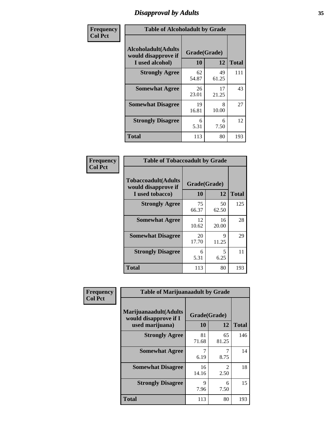# *Disapproval by Adults* **35**

| Frequency      | <b>Table of Alcoholadult by Grade</b>                                 |                    |             |              |  |
|----------------|-----------------------------------------------------------------------|--------------------|-------------|--------------|--|
| <b>Col Pct</b> | <b>Alcoholadult</b> (Adults<br>would disapprove if<br>I used alcohol) | Grade(Grade)<br>10 | 12          | <b>Total</b> |  |
|                | <b>Strongly Agree</b>                                                 | 62<br>54.87        | 49<br>61.25 | 111          |  |
|                | <b>Somewhat Agree</b>                                                 | 26<br>23.01        | 17<br>21.25 | 43           |  |
|                | <b>Somewhat Disagree</b>                                              | 19<br>16.81        | 8<br>10.00  | 27           |  |
|                | <b>Strongly Disagree</b>                                              | 6<br>5.31          | 6<br>7.50   | 12           |  |
|                | <b>Total</b>                                                          | 113                | 80          | 193          |  |

| <b>Table of Tobaccoadult by Grade</b>                         |                    |             |              |  |  |
|---------------------------------------------------------------|--------------------|-------------|--------------|--|--|
| Tobaccoadult(Adults<br>would disapprove if<br>I used tobacco) | Grade(Grade)<br>10 | 12          | <b>Total</b> |  |  |
| <b>Strongly Agree</b>                                         | 75<br>66.37        | 50<br>62.50 | 125          |  |  |
| <b>Somewhat Agree</b>                                         | 12<br>10.62        | 16<br>20.00 | 28           |  |  |
| <b>Somewhat Disagree</b>                                      | 20<br>17.70        | 9<br>11.25  | 29           |  |  |
| <b>Strongly Disagree</b>                                      | 6<br>5.31          | 5<br>6.25   | 11           |  |  |
| <b>Total</b>                                                  | 113                | 80          | 193          |  |  |

| Frequency      | <b>Table of Marijuanaadult by Grade</b>                           |                    |                        |              |  |
|----------------|-------------------------------------------------------------------|--------------------|------------------------|--------------|--|
| <b>Col Pct</b> | Marijuanaadult(Adults<br>would disapprove if I<br>used marijuana) | Grade(Grade)<br>10 | 12                     | <b>Total</b> |  |
|                | <b>Strongly Agree</b>                                             | 81<br>71.68        | 65<br>81.25            | 146          |  |
|                | <b>Somewhat Agree</b>                                             | 6.19               | 7<br>8.75              | 14           |  |
|                | <b>Somewhat Disagree</b>                                          | 16<br>14.16        | $\mathfrak{D}$<br>2.50 | 18           |  |
|                | <b>Strongly Disagree</b>                                          | 9<br>7.96          | 6<br>7.50              | 15           |  |
|                | <b>Total</b>                                                      | 113                | 80                     | 193          |  |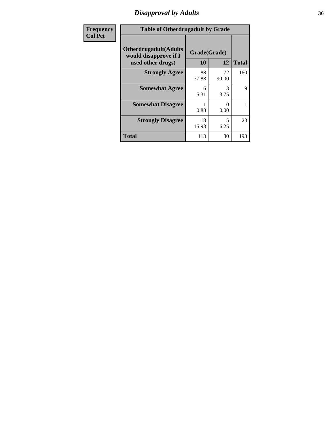### *Disapproval by Adults* **36**

| <b>Frequency</b> | <b>Table of Otherdrugadult by Grade</b>                                     |                    |                           |              |
|------------------|-----------------------------------------------------------------------------|--------------------|---------------------------|--------------|
| <b>Col Pct</b>   | <b>Otherdrugadult</b> (Adults<br>would disapprove if I<br>used other drugs) | Grade(Grade)<br>10 | 12                        | <b>Total</b> |
|                  | <b>Strongly Agree</b>                                                       | 88<br>77.88        | 72<br>90.00               | 160          |
|                  | <b>Somewhat Agree</b>                                                       | 6<br>5.31          | 3<br>3.75                 | 9            |
|                  | <b>Somewhat Disagree</b>                                                    | 0.88               | $\mathbf{\Omega}$<br>0.00 |              |
|                  | <b>Strongly Disagree</b>                                                    | 18<br>15.93        | 5<br>6.25                 | 23           |
|                  | <b>Total</b>                                                                | 113                | 80                        | 193          |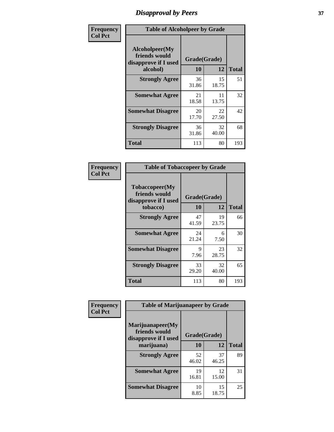## *Disapproval by Peers* **37**

| Frequency      | <b>Table of Alcoholpeer by Grade</b>                    |              |             |              |  |
|----------------|---------------------------------------------------------|--------------|-------------|--------------|--|
| <b>Col Pct</b> | Alcoholpeer(My<br>friends would<br>disapprove if I used | Grade(Grade) |             |              |  |
|                | alcohol)                                                | 10           | 12          | <b>Total</b> |  |
|                | <b>Strongly Agree</b>                                   | 36<br>31.86  | 15<br>18.75 | 51           |  |
|                | <b>Somewhat Agree</b>                                   | 21<br>18.58  | 11<br>13.75 | 32           |  |
|                | <b>Somewhat Disagree</b>                                | 20<br>17.70  | 22<br>27.50 | 42           |  |
|                | <b>Strongly Disagree</b>                                | 36<br>31.86  | 32<br>40.00 | 68           |  |
|                | Total                                                   | 113          | 80          | 193          |  |

| Frequency      | <b>Table of Tobaccopeer by Grade</b>                                |                    |             |              |  |
|----------------|---------------------------------------------------------------------|--------------------|-------------|--------------|--|
| <b>Col Pct</b> | Tobaccopeer(My<br>friends would<br>disapprove if I used<br>tobacco) | Grade(Grade)<br>10 | 12          | <b>Total</b> |  |
|                | <b>Strongly Agree</b>                                               | 47<br>41.59        | 19<br>23.75 | 66           |  |
|                | <b>Somewhat Agree</b>                                               | 24<br>21.24        | 6<br>7.50   | 30           |  |
|                | <b>Somewhat Disagree</b>                                            | 9<br>7.96          | 23<br>28.75 | 32           |  |
|                | <b>Strongly Disagree</b>                                            | 33<br>29.20        | 32<br>40.00 | 65           |  |
|                | Total                                                               | 113                | 80          | 193          |  |

| Frequency<br><b>Col Pct</b> | <b>Table of Marijuanapeer by Grade</b> |              |             |              |  |
|-----------------------------|----------------------------------------|--------------|-------------|--------------|--|
|                             | Marijuanapeer(My<br>friends would      | Grade(Grade) |             |              |  |
|                             | disapprove if I used<br>marijuana)     | 10           | 12          | <b>Total</b> |  |
|                             | <b>Strongly Agree</b>                  | 52<br>46.02  | 37<br>46.25 | 89           |  |
|                             | <b>Somewhat Agree</b>                  | 19<br>16.81  | 12<br>15.00 | 31           |  |
|                             | <b>Somewhat Disagree</b>               | 10<br>8.85   | 15<br>18.75 | 25           |  |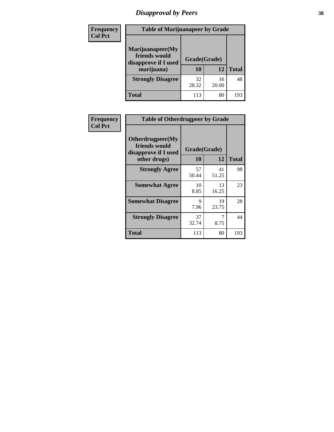# *Disapproval by Peers* **38**

| Frequency<br><b>Col Pct</b> | <b>Table of Marijuanapeer by Grade</b>                                  |                    |             |              |
|-----------------------------|-------------------------------------------------------------------------|--------------------|-------------|--------------|
|                             | Marijuanapeer(My<br>friends would<br>disapprove if I used<br>marijuana) | Grade(Grade)<br>10 | 12          | <b>Total</b> |
|                             | <b>Strongly Disagree</b>                                                | 32<br>28.32        | 16<br>20.00 | 48           |
|                             | Total                                                                   | 113                | 80          | 193          |

| Frequency      | <b>Table of Otherdrugpeer by Grade</b>                                    |                           |             |              |  |
|----------------|---------------------------------------------------------------------------|---------------------------|-------------|--------------|--|
| <b>Col Pct</b> | Otherdrugpeer(My<br>friends would<br>disapprove if I used<br>other drugs) | Grade(Grade)<br><b>10</b> | 12          | <b>Total</b> |  |
|                | <b>Strongly Agree</b>                                                     | 57<br>50.44               | 41<br>51.25 | 98           |  |
|                | <b>Somewhat Agree</b>                                                     | 10<br>8.85                | 13<br>16.25 | 23           |  |
|                | <b>Somewhat Disagree</b>                                                  | 9<br>7.96                 | 19<br>23.75 | 28           |  |
|                | <b>Strongly Disagree</b>                                                  | 37<br>32.74               | 7<br>8.75   | 44           |  |
|                | <b>Total</b>                                                              | 113                       | 80          | 193          |  |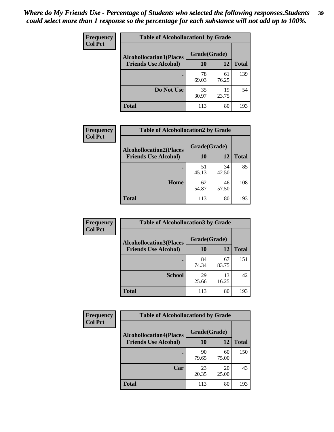| Frequency<br><b>Col Pct</b> | <b>Table of Alcohollocation1 by Grade</b> |              |             |              |  |  |
|-----------------------------|-------------------------------------------|--------------|-------------|--------------|--|--|
|                             | <b>Alcohollocation1(Places</b>            | Grade(Grade) |             |              |  |  |
|                             | <b>Friends Use Alcohol)</b>               | 10           | 12          | <b>Total</b> |  |  |
|                             |                                           | 78<br>69.03  | 61<br>76.25 | 139          |  |  |
|                             | Do Not Use                                | 35<br>30.97  | 19<br>23.75 | 54           |  |  |
|                             | <b>Total</b>                              | 113          | 80          | 193          |  |  |

| Frequency      | <b>Table of Alcohollocation2 by Grade</b>                     |                           |             |              |
|----------------|---------------------------------------------------------------|---------------------------|-------------|--------------|
| <b>Col Pct</b> | <b>Alcohollocation2(Places</b><br><b>Friends Use Alcohol)</b> | Grade(Grade)<br><b>10</b> | <b>12</b>   | <b>Total</b> |
|                |                                                               | 51<br>45.13               | 34<br>42.50 | 85           |
|                | Home                                                          | 62<br>54.87               | 46<br>57.50 | 108          |
|                | <b>Total</b>                                                  | 113                       | 80          | 193          |

| Frequency<br><b>Col Pct</b> | <b>Table of Alcohollocation 3 by Grade</b>                    |              |             |              |
|-----------------------------|---------------------------------------------------------------|--------------|-------------|--------------|
|                             | <b>Alcohollocation3(Places</b><br><b>Friends Use Alcohol)</b> | Grade(Grade) |             |              |
|                             |                                                               | 10           | 12          | <b>Total</b> |
|                             |                                                               | 84<br>74.34  | 67<br>83.75 | 151          |
|                             | <b>School</b>                                                 | 29<br>25.66  | 13<br>16.25 | 42           |
|                             | <b>Total</b>                                                  | 113          | 80          | 193          |

| <b>Frequency</b> | <b>Table of Alcohollocation4 by Grade</b> |              |             |              |  |
|------------------|-------------------------------------------|--------------|-------------|--------------|--|
| <b>Col Pct</b>   | <b>Alcohollocation4(Places</b>            | Grade(Grade) |             |              |  |
|                  | <b>Friends Use Alcohol)</b>               | 10           | 12          | <b>Total</b> |  |
|                  |                                           | 90<br>79.65  | 60<br>75.00 | 150          |  |
|                  | Car                                       | 23<br>20.35  | 20<br>25.00 | 43           |  |
|                  | <b>Total</b>                              | 113          | 80          | 193          |  |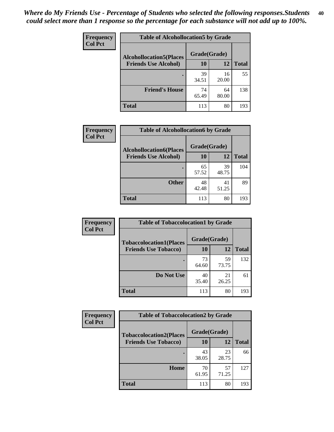| Frequency<br><b>Col Pct</b> | <b>Table of Alcohollocation5 by Grade</b>      |             |             |              |  |
|-----------------------------|------------------------------------------------|-------------|-------------|--------------|--|
|                             | Grade(Grade)<br><b>Alcohollocation5(Places</b> |             |             |              |  |
|                             | <b>Friends Use Alcohol)</b>                    | 10          | 12          | <b>Total</b> |  |
|                             |                                                | 39<br>34.51 | 16<br>20.00 | 55           |  |
|                             | <b>Friend's House</b>                          | 74<br>65.49 | 64<br>80.00 | 138          |  |
|                             | <b>Total</b>                                   | 113         | 80          | 193          |  |

| <b>Frequency</b> | <b>Table of Alcohollocation6 by Grade</b>                     |                    |             |              |
|------------------|---------------------------------------------------------------|--------------------|-------------|--------------|
| <b>Col Pct</b>   | <b>Alcohollocation6(Places</b><br><b>Friends Use Alcohol)</b> | Grade(Grade)<br>10 | 12          | <b>Total</b> |
|                  |                                                               |                    |             |              |
|                  |                                                               | 65<br>57.52        | 39<br>48.75 | 104          |
|                  | <b>Other</b>                                                  | 48<br>42.48        | 41<br>51.25 | 89           |
|                  | <b>Total</b>                                                  | 113                | 80          | 193          |

| Frequency      | <b>Table of Tobaccolocation1 by Grade</b>                     |                    |             |              |
|----------------|---------------------------------------------------------------|--------------------|-------------|--------------|
| <b>Col Pct</b> | <b>Tobaccolocation1(Places</b><br><b>Friends Use Tobacco)</b> | Grade(Grade)<br>10 | 12          | <b>Total</b> |
|                |                                                               |                    |             |              |
|                |                                                               | 73<br>64.60        | 59<br>73.75 | 132          |
|                | Do Not Use                                                    | 40<br>35.40        | 21<br>26.25 | 61           |
|                | <b>Total</b>                                                  | 113                | 80          | 193          |

| <b>Frequency</b> | <b>Table of Tobaccolocation2 by Grade</b> |              |             |              |  |
|------------------|-------------------------------------------|--------------|-------------|--------------|--|
| <b>Col Pct</b>   | <b>Tobaccolocation2(Places</b>            | Grade(Grade) |             |              |  |
|                  | <b>Friends Use Tobacco)</b>               | 10           | 12          | <b>Total</b> |  |
|                  |                                           | 43<br>38.05  | 23<br>28.75 | 66           |  |
|                  | Home                                      | 70<br>61.95  | 57<br>71.25 | 127          |  |
|                  | <b>Total</b>                              | 113          | 80          | 193          |  |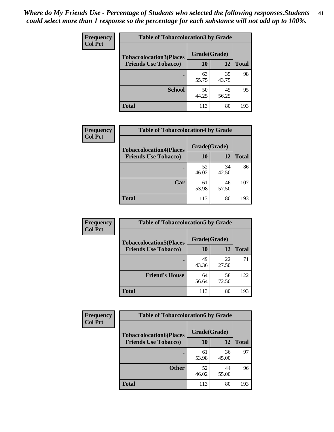| Frequency      | <b>Table of Tobaccolocation 3 by Grade</b> |              |             |              |
|----------------|--------------------------------------------|--------------|-------------|--------------|
| <b>Col Pct</b> | <b>Tobaccolocation3(Places</b>             | Grade(Grade) |             |              |
|                | <b>Friends Use Tobacco)</b>                | 10           | 12          | <b>Total</b> |
|                |                                            | 63<br>55.75  | 35<br>43.75 | 98           |
|                | <b>School</b>                              | 50<br>44.25  | 45<br>56.25 | 95           |
|                | <b>Total</b>                               | 113          | 80          | 193          |

| Frequency<br><b>Col Pct</b> | <b>Table of Tobaccolocation4 by Grade</b> |              |             |              |
|-----------------------------|-------------------------------------------|--------------|-------------|--------------|
|                             | <b>Tobaccolocation4(Places</b>            | Grade(Grade) |             |              |
|                             | <b>Friends Use Tobacco)</b>               | 10           | <b>12</b>   | <b>Total</b> |
|                             |                                           | 52<br>46.02  | 34<br>42.50 | 86           |
|                             | Car                                       | 61<br>53.98  | 46<br>57.50 | 107          |
|                             | <b>Total</b>                              | 113          | 80          | 193          |

| Frequency      | <b>Table of Tobaccolocation5 by Grade</b> |              |             |              |
|----------------|-------------------------------------------|--------------|-------------|--------------|
| <b>Col Pct</b> | <b>Tobaccolocation5(Places</b>            | Grade(Grade) |             |              |
|                | <b>Friends Use Tobacco)</b>               | 10           | <b>12</b>   | <b>Total</b> |
|                |                                           | 49<br>43.36  | 22<br>27.50 | 71           |
|                | <b>Friend's House</b>                     | 64<br>56.64  | 58<br>72.50 | 122          |
|                | <b>Total</b>                              | 113          | 80          | 193          |

| <b>Frequency</b> | <b>Table of Tobaccolocation6 by Grade</b> |              |             |              |  |
|------------------|-------------------------------------------|--------------|-------------|--------------|--|
| <b>Col Pct</b>   | <b>Tobaccolocation6(Places</b>            | Grade(Grade) |             |              |  |
|                  | <b>Friends Use Tobacco)</b>               | 10           | 12          | <b>Total</b> |  |
|                  |                                           | 61<br>53.98  | 36<br>45.00 | 97           |  |
|                  | <b>Other</b>                              | 52<br>46.02  | 44<br>55.00 | 96           |  |
|                  | <b>Total</b>                              | 113          | 80          | 193          |  |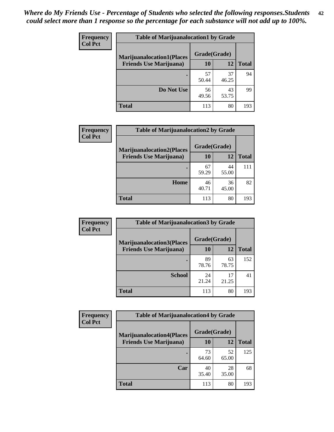| <b>Frequency</b> | <b>Table of Marijuanalocation1 by Grade</b> |              |             |              |
|------------------|---------------------------------------------|--------------|-------------|--------------|
| <b>Col Pct</b>   | <b>Marijuanalocation1(Places</b>            | Grade(Grade) |             |              |
|                  | <b>Friends Use Marijuana</b> )              | 10           | 12          | <b>Total</b> |
|                  |                                             | 57<br>50.44  | 37<br>46.25 | 94           |
|                  | Do Not Use                                  | 56<br>49.56  | 43<br>53.75 | 99           |
|                  | Total                                       | 113          | 80          | 193          |

| <b>Frequency</b> | <b>Table of Marijuanalocation2 by Grade</b>                        |                    |             |              |
|------------------|--------------------------------------------------------------------|--------------------|-------------|--------------|
| <b>Col Pct</b>   | <b>Marijuanalocation2(Places</b><br><b>Friends Use Marijuana</b> ) | Grade(Grade)<br>10 | 12          | <b>Total</b> |
|                  |                                                                    | 67<br>59.29        | 44<br>55.00 | 111          |
|                  | Home                                                               | 46<br>40.71        | 36<br>45.00 | 82           |
|                  | <b>Total</b>                                                       | 113                | 80          | 193          |

| <b>Frequency</b><br><b>Col Pct</b> | <b>Table of Marijuanalocation3 by Grade</b> |              |             |              |
|------------------------------------|---------------------------------------------|--------------|-------------|--------------|
|                                    | <b>Marijuanalocation3(Places</b>            | Grade(Grade) |             |              |
|                                    | <b>Friends Use Marijuana</b> )              | <b>10</b>    | 12          | <b>Total</b> |
|                                    |                                             | 89<br>78.76  | 63<br>78.75 | 152          |
|                                    | <b>School</b>                               | 24<br>21.24  | 17<br>21.25 | 41           |
|                                    | <b>Total</b>                                | 113          | 80          | 193          |

| <b>Frequency</b> | <b>Table of Marijuanalocation4 by Grade</b> |              |             |              |  |
|------------------|---------------------------------------------|--------------|-------------|--------------|--|
| <b>Col Pct</b>   | <b>Marijuanalocation4(Places</b>            | Grade(Grade) |             |              |  |
|                  | <b>Friends Use Marijuana</b> )              | <b>10</b>    | 12          | <b>Total</b> |  |
|                  |                                             | 73<br>64.60  | 52<br>65.00 | 125          |  |
|                  | Car                                         | 40<br>35.40  | 28<br>35.00 | 68           |  |
|                  | <b>Total</b>                                | 113          | 80          | 193          |  |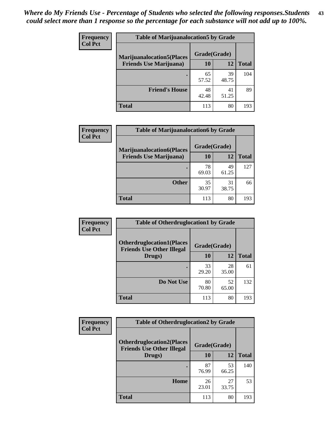| <b>Frequency</b> | <b>Table of Marijuanalocation5 by Grade</b> |              |             |              |
|------------------|---------------------------------------------|--------------|-------------|--------------|
| <b>Col Pct</b>   | <b>Marijuanalocation5</b> (Places           | Grade(Grade) |             |              |
|                  | <b>Friends Use Marijuana</b> )              | 10           | 12          | <b>Total</b> |
|                  |                                             | 65<br>57.52  | 39<br>48.75 | 104          |
|                  | <b>Friend's House</b>                       | 48<br>42.48  | 41<br>51.25 | 89           |
|                  | <b>Total</b>                                | 113          | 80          | 193          |

| <b>Frequency</b> | <b>Table of Marijuanalocation6 by Grade</b>                        |                    |             |              |
|------------------|--------------------------------------------------------------------|--------------------|-------------|--------------|
| <b>Col Pct</b>   | <b>Marijuanalocation6(Places</b><br><b>Friends Use Marijuana</b> ) | Grade(Grade)<br>10 | 12          | <b>Total</b> |
|                  |                                                                    | 78<br>69.03        | 49<br>61.25 | 127          |
|                  | <b>Other</b>                                                       | 35<br>30.97        | 31<br>38.75 | 66           |
|                  | <b>Total</b>                                                       | 113                | 80          | 193          |

| <b>Frequency</b> | <b>Table of Otherdruglocation1 by Grade</b>                          |              |             |              |
|------------------|----------------------------------------------------------------------|--------------|-------------|--------------|
| <b>Col Pct</b>   | <b>Otherdruglocation1(Places</b><br><b>Friends Use Other Illegal</b> | Grade(Grade) |             |              |
|                  | Drugs)                                                               | 10           | 12          | <b>Total</b> |
|                  |                                                                      | 33<br>29.20  | 28<br>35.00 | 61           |
|                  | Do Not Use                                                           | 80<br>70.80  | 52<br>65.00 | 132          |
|                  | <b>Total</b>                                                         | 113          | 80          | 193          |

| <b>Frequency</b> | <b>Table of Otherdruglocation2 by Grade</b>                          |              |             |              |
|------------------|----------------------------------------------------------------------|--------------|-------------|--------------|
| <b>Col Pct</b>   | <b>Otherdruglocation2(Places</b><br><b>Friends Use Other Illegal</b> | Grade(Grade) |             |              |
|                  | Drugs)                                                               | 10           | 12          | <b>Total</b> |
|                  |                                                                      | 87<br>76.99  | 53<br>66.25 | 140          |
|                  | Home                                                                 | 26<br>23.01  | 27<br>33.75 | 53           |
|                  | <b>Total</b>                                                         | 113          | 80          | 193          |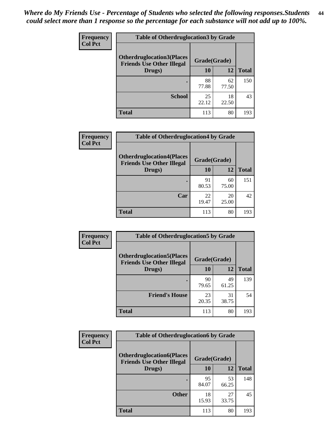| <b>Frequency</b> | <b>Table of Otherdruglocation 3 by Grade</b>                          |              |             |              |
|------------------|-----------------------------------------------------------------------|--------------|-------------|--------------|
| <b>Col Pct</b>   | <b>Otherdruglocation3(Places)</b><br><b>Friends Use Other Illegal</b> | Grade(Grade) |             |              |
|                  | Drugs)                                                                | 10           | 12          | <b>Total</b> |
|                  |                                                                       | 88<br>77.88  | 62<br>77.50 | 150          |
|                  | <b>School</b>                                                         | 25<br>22.12  | 18<br>22.50 | 43           |
|                  | <b>Total</b>                                                          | 113          | 80          | 193          |

| Frequency      | <b>Table of Otherdruglocation4 by Grade</b>                           |              |             |              |
|----------------|-----------------------------------------------------------------------|--------------|-------------|--------------|
| <b>Col Pct</b> | <b>Otherdruglocation4(Places)</b><br><b>Friends Use Other Illegal</b> | Grade(Grade) |             |              |
|                | Drugs)                                                                | 10           | 12          | <b>Total</b> |
|                |                                                                       | 91<br>80.53  | 60<br>75.00 | 151          |
|                | Car                                                                   | 22<br>19.47  | 20<br>25.00 | 42           |
|                | <b>Total</b>                                                          | 113          | 80          | 193          |

| <b>Frequency</b> | <b>Table of Otherdruglocation5 by Grade</b>                          |              |             |              |
|------------------|----------------------------------------------------------------------|--------------|-------------|--------------|
| <b>Col Pct</b>   | <b>Otherdruglocation5(Places</b><br><b>Friends Use Other Illegal</b> | Grade(Grade) |             |              |
|                  | Drugs)                                                               | <b>10</b>    | 12          | <b>Total</b> |
|                  |                                                                      | 90<br>79.65  | 49<br>61.25 | 139          |
|                  | <b>Friend's House</b>                                                | 23<br>20.35  | 31<br>38.75 | 54           |
|                  | <b>Total</b>                                                         | 113          | 80          | 193          |

| <b>Frequency</b> | <b>Table of Otherdruglocation6 by Grade</b>                          |              |             |              |
|------------------|----------------------------------------------------------------------|--------------|-------------|--------------|
| <b>Col Pct</b>   | <b>Otherdruglocation6(Places</b><br><b>Friends Use Other Illegal</b> | Grade(Grade) |             |              |
|                  | Drugs)                                                               | <b>10</b>    | 12          | <b>Total</b> |
|                  |                                                                      | 95<br>84.07  | 53<br>66.25 | 148          |
|                  | <b>Other</b>                                                         | 18<br>15.93  | 27<br>33.75 | 45           |
|                  | <b>Total</b>                                                         | 113          | 80          | 193          |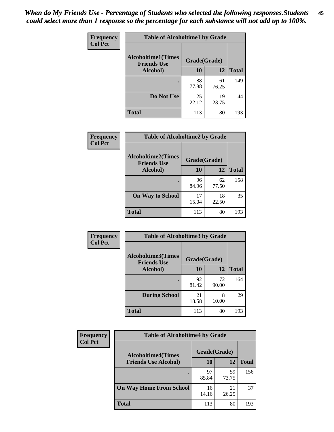| Frequency      | <b>Table of Alcoholtime1 by Grade</b>           |              |             |              |
|----------------|-------------------------------------------------|--------------|-------------|--------------|
| <b>Col Pct</b> | <b>Alcoholtime1(Times</b><br><b>Friends Use</b> | Grade(Grade) |             |              |
|                | Alcohol)                                        | 10           | 12          | <b>Total</b> |
|                |                                                 | 88<br>77.88  | 61<br>76.25 | 149          |
|                | Do Not Use                                      | 25<br>22.12  | 19<br>23.75 | 44           |
|                | <b>Total</b>                                    | 113          | 80          | 193          |

| Frequency      | <b>Table of Alcoholtime2 by Grade</b>           |              |             |              |
|----------------|-------------------------------------------------|--------------|-------------|--------------|
| <b>Col Pct</b> | <b>Alcoholtime2(Times</b><br><b>Friends Use</b> | Grade(Grade) |             |              |
|                | Alcohol)                                        | 10           | 12          | <b>Total</b> |
|                |                                                 | 96<br>84.96  | 62<br>77.50 | 158          |
|                | <b>On Way to School</b>                         | 17<br>15.04  | 18<br>22.50 | 35           |
|                | <b>Total</b>                                    | 113          | 80          | 193          |

| Frequency      | <b>Table of Alcoholtime3 by Grade</b>    |              |             |              |
|----------------|------------------------------------------|--------------|-------------|--------------|
| <b>Col Pct</b> | Alcoholtime3(Times<br><b>Friends Use</b> | Grade(Grade) |             |              |
|                | Alcohol)                                 | 10           | 12          | <b>Total</b> |
|                |                                          | 92<br>81.42  | 72<br>90.00 | 164          |
|                | <b>During School</b>                     | 21<br>18.58  | 8<br>10.00  | 29           |
|                | <b>Total</b>                             | 113          | 80          | 193          |

| <b>Frequency</b><br><b>Col Pct</b> | <b>Table of Alcoholtime4 by Grade</b> |              |             |              |
|------------------------------------|---------------------------------------|--------------|-------------|--------------|
|                                    | <b>Alcoholtime4(Times</b>             | Grade(Grade) |             |              |
|                                    | <b>Friends Use Alcohol)</b>           | 10           | 12          | <b>Total</b> |
|                                    |                                       | 97<br>85.84  | 59<br>73.75 | 156          |
|                                    | <b>On Way Home From School</b>        | 16<br>14.16  | 21<br>26.25 | 37           |
|                                    | <b>Total</b>                          | 113          | 80          | 193          |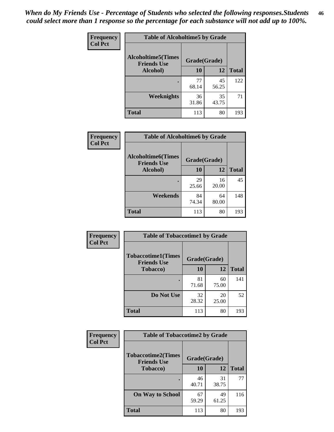*When do My Friends Use - Percentage of Students who selected the following responses.Students could select more than 1 response so the percentage for each substance will not add up to 100%.* **46**

| Frequency      | <b>Table of Alcoholtime5 by Grade</b>           |              |             |              |
|----------------|-------------------------------------------------|--------------|-------------|--------------|
| <b>Col Pct</b> | <b>Alcoholtime5(Times</b><br><b>Friends Use</b> | Grade(Grade) |             |              |
|                | Alcohol)                                        | 10           | 12          | <b>Total</b> |
|                |                                                 | 77<br>68.14  | 45<br>56.25 | 122          |
|                | Weeknights                                      | 36<br>31.86  | 35<br>43.75 | 71           |
|                | <b>Total</b>                                    | 113          | 80          | 193          |

| Frequency      | <b>Table of Alcoholtime6 by Grade</b>           |              |             |              |
|----------------|-------------------------------------------------|--------------|-------------|--------------|
| <b>Col Pct</b> | <b>Alcoholtime6(Times</b><br><b>Friends Use</b> | Grade(Grade) |             |              |
|                | Alcohol)                                        | 10           | 12          | <b>Total</b> |
|                | ٠                                               | 29<br>25.66  | 16<br>20.00 | 45           |
|                | Weekends                                        | 84<br>74.34  | 64<br>80.00 | 148          |
|                | <b>Total</b>                                    | 113          | 80          | 193          |

| Frequency      | <b>Table of Tobaccotime1 by Grade</b>           |              |             |              |
|----------------|-------------------------------------------------|--------------|-------------|--------------|
| <b>Col Pct</b> | <b>Tobaccotime1(Times</b><br><b>Friends Use</b> | Grade(Grade) |             |              |
|                | <b>Tobacco</b> )                                | 10           | 12          | <b>Total</b> |
|                | ٠                                               | 81<br>71.68  | 60<br>75.00 | 141          |
|                | Do Not Use                                      | 32<br>28.32  | 20<br>25.00 | 52           |
|                | <b>Total</b>                                    | 113          | 80          | 193          |

| <b>Frequency</b> |                                                 | <b>Table of Tobaccotime2 by Grade</b> |             |              |  |
|------------------|-------------------------------------------------|---------------------------------------|-------------|--------------|--|
| <b>Col Pct</b>   | <b>Tobaccotime2(Times</b><br><b>Friends Use</b> | Grade(Grade)                          |             |              |  |
|                  | <b>Tobacco</b> )                                | 10                                    | 12          | <b>Total</b> |  |
|                  |                                                 | 46<br>40.71                           | 31<br>38.75 | 77           |  |
|                  | <b>On Way to School</b>                         | 67<br>59.29                           | 49<br>61.25 | 116          |  |
|                  | <b>Total</b>                                    | 113                                   | 80          | 193          |  |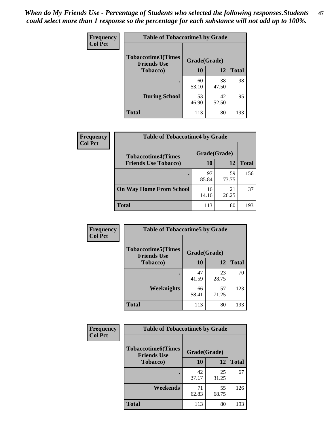*When do My Friends Use - Percentage of Students who selected the following responses.Students could select more than 1 response so the percentage for each substance will not add up to 100%.* **47**

| <b>Frequency</b> | <b>Table of Tobaccotime3 by Grade</b>           |              |             |              |  |
|------------------|-------------------------------------------------|--------------|-------------|--------------|--|
| <b>Col Pct</b>   | <b>Tobaccotime3(Times</b><br><b>Friends Use</b> | Grade(Grade) |             |              |  |
|                  | <b>Tobacco</b> )                                | 10           | 12          | <b>Total</b> |  |
|                  |                                                 | 60<br>53.10  | 38<br>47.50 | 98           |  |
|                  | <b>During School</b>                            | 53<br>46.90  | 42<br>52.50 | 95           |  |
|                  | <b>Total</b>                                    | 113          | 80          | 193          |  |

| Frequency<br><b>Col Pct</b> | <b>Table of Tobaccotime4 by Grade</b> |              |             |              |
|-----------------------------|---------------------------------------|--------------|-------------|--------------|
|                             | <b>Tobaccotime4(Times</b>             | Grade(Grade) |             |              |
|                             | <b>Friends Use Tobacco)</b>           | 10           | 12          | <b>Total</b> |
|                             |                                       | 97<br>85.84  | 59<br>73.75 | 156          |
|                             | <b>On Way Home From School</b>        | 16<br>14.16  | 21<br>26.25 | 37           |
|                             | Total                                 | 113          | 80          | 193          |

| <b>Frequency</b> | <b>Table of Tobaccotime5 by Grade</b>           |              |             |              |  |
|------------------|-------------------------------------------------|--------------|-------------|--------------|--|
| <b>Col Pct</b>   | <b>Tobaccotime5(Times</b><br><b>Friends Use</b> | Grade(Grade) |             |              |  |
|                  | Tobacco)                                        | 10           | 12          | <b>Total</b> |  |
|                  |                                                 | 47<br>41.59  | 23<br>28.75 | 70           |  |
|                  | Weeknights                                      | 66<br>58.41  | 57<br>71.25 | 123          |  |
|                  | <b>Total</b>                                    | 113          | 80          | 193          |  |

| <b>Frequency</b><br><b>Col Pct</b> | <b>Table of Tobaccotime6 by Grade</b>           |              |             |              |  |
|------------------------------------|-------------------------------------------------|--------------|-------------|--------------|--|
|                                    | <b>Tobaccotime6(Times</b><br><b>Friends Use</b> | Grade(Grade) |             |              |  |
|                                    | <b>Tobacco</b> )                                | 10           | 12          | <b>Total</b> |  |
|                                    | ٠                                               | 42<br>37.17  | 25<br>31.25 | 67           |  |
|                                    | Weekends                                        | 71<br>62.83  | 55<br>68.75 | 126          |  |
|                                    | <b>Total</b>                                    | 113          | 80          | 193          |  |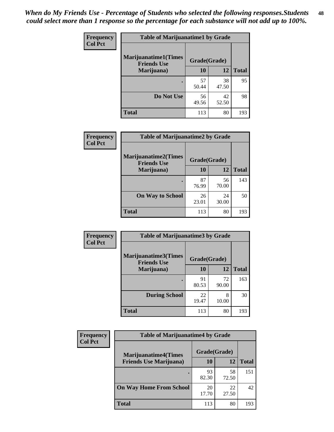| Frequency      | <b>Table of Marijuanatime1 by Grade</b>           |              |             |              |
|----------------|---------------------------------------------------|--------------|-------------|--------------|
| <b>Col Pct</b> | <b>Marijuanatime1(Times</b><br><b>Friends Use</b> | Grade(Grade) |             |              |
|                | Marijuana)                                        | 10           | 12          | <b>Total</b> |
|                |                                                   | 57<br>50.44  | 38<br>47.50 | 95           |
|                | Do Not Use                                        | 56<br>49.56  | 42<br>52.50 | 98           |
|                | <b>Total</b>                                      | 113          | 80          | 193          |

| Frequency      | <b>Table of Marijuanatime2 by Grade</b>           |              |             |              |
|----------------|---------------------------------------------------|--------------|-------------|--------------|
| <b>Col Pct</b> | <b>Marijuanatime2(Times</b><br><b>Friends Use</b> | Grade(Grade) |             |              |
|                | Marijuana)                                        | 10           | 12          | <b>Total</b> |
|                |                                                   | 87<br>76.99  | 56<br>70.00 | 143          |
|                | <b>On Way to School</b>                           | 26<br>23.01  | 24<br>30.00 | 50           |
|                | <b>Total</b>                                      | 113          | 80          | 193          |

| Frequency<br><b>Col Pct</b> | <b>Table of Marijuanatime3 by Grade</b>    |              |             |              |
|-----------------------------|--------------------------------------------|--------------|-------------|--------------|
|                             | Marijuanatime3(Times<br><b>Friends Use</b> | Grade(Grade) |             |              |
|                             | Marijuana)                                 | 10           | 12          | <b>Total</b> |
|                             |                                            | 91<br>80.53  | 72<br>90.00 | 163          |
|                             | <b>During School</b>                       | 22<br>19.47  | 8<br>10.00  | 30           |
|                             | Total                                      | 113          | 80          | 193          |

| <b>Frequency</b> | <b>Table of Marijuanatime4 by Grade</b> |              |             |              |
|------------------|-----------------------------------------|--------------|-------------|--------------|
| <b>Col Pct</b>   | <b>Marijuanatime4(Times</b>             | Grade(Grade) |             |              |
|                  | <b>Friends Use Marijuana</b> )          | 10           | 12          | <b>Total</b> |
|                  |                                         | 93<br>82.30  | 58<br>72.50 | 151          |
|                  | <b>On Way Home From School</b>          | 20<br>17.70  | 22<br>27.50 | 42           |
|                  | <b>Total</b>                            | 113          | 80          | 193          |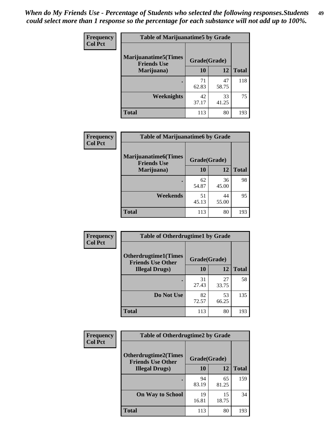| Frequency      | <b>Table of Marijuanatime5 by Grade</b>            |              |             |              |  |
|----------------|----------------------------------------------------|--------------|-------------|--------------|--|
| <b>Col Pct</b> | <b>Marijuanatime5</b> (Times<br><b>Friends Use</b> | Grade(Grade) |             |              |  |
|                | Marijuana)                                         | 10           | 12          | <b>Total</b> |  |
|                |                                                    | 71<br>62.83  | 47<br>58.75 | 118          |  |
|                | Weeknights                                         | 42<br>37.17  | 33<br>41.25 | 75           |  |
|                | <b>Total</b>                                       | 113          | 80          | 193          |  |

| Frequency      |                                                    | <b>Table of Marijuanatime6 by Grade</b>                            |       |              |  |
|----------------|----------------------------------------------------|--------------------------------------------------------------------|-------|--------------|--|
| <b>Col Pct</b> | <b>Marijuanatime6</b> (Times<br><b>Friends Use</b> | Grade(Grade)<br>10<br>12<br>62<br>36<br>45.00<br>54.87<br>44<br>51 |       |              |  |
|                | Marijuana)                                         |                                                                    |       | <b>Total</b> |  |
|                |                                                    |                                                                    |       | 98           |  |
|                | Weekends                                           | 45.13                                                              | 55.00 | 95           |  |
|                | <b>Total</b>                                       | 113                                                                | 80    | 193          |  |

| <b>Frequency</b> | <b>Table of Otherdrugtime1 by Grade</b>                  |              |             |              |
|------------------|----------------------------------------------------------|--------------|-------------|--------------|
| <b>Col Pct</b>   | <b>Otherdrugtime1</b> (Times<br><b>Friends Use Other</b> | Grade(Grade) |             |              |
|                  | <b>Illegal Drugs</b> )                                   | 10           | 12          | <b>Total</b> |
|                  |                                                          | 31<br>27.43  | 27<br>33.75 | 58           |
|                  | Do Not Use                                               | 82<br>72.57  | 53<br>66.25 | 135          |
|                  | <b>Total</b>                                             | 113          | 80          | 193          |

| Frequency      | <b>Table of Otherdrugtime2 by Grade</b>                 |              |             |              |
|----------------|---------------------------------------------------------|--------------|-------------|--------------|
| <b>Col Pct</b> | <b>Otherdrugtime2(Times</b><br><b>Friends Use Other</b> | Grade(Grade) |             |              |
|                | <b>Illegal Drugs</b> )                                  | 10           | 12          | <b>Total</b> |
|                |                                                         | 94<br>83.19  | 65<br>81.25 | 159          |
|                | <b>On Way to School</b>                                 | 19<br>16.81  | 15<br>18.75 | 34           |
|                | <b>Total</b>                                            | 113          | 80          | 193          |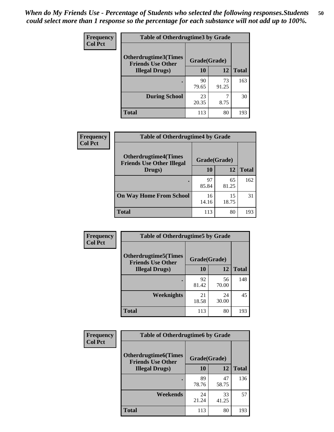| <b>Frequency</b><br><b>Col Pct</b> | <b>Table of Otherdrugtime3 by Grade</b>                 |              |             |              |
|------------------------------------|---------------------------------------------------------|--------------|-------------|--------------|
|                                    | <b>Otherdrugtime3(Times</b><br><b>Friends Use Other</b> | Grade(Grade) |             |              |
|                                    | <b>Illegal Drugs</b> )                                  | 10           | 12          | <b>Total</b> |
|                                    |                                                         | 90<br>79.65  | 73<br>91.25 | 163          |
|                                    | <b>During School</b>                                    | 23<br>20.35  | ℸ<br>8.75   | 30           |
|                                    | <b>Total</b>                                            | 113          | 80          | 193          |

| Frequency      | <b>Table of Otherdrugtime4 by Grade</b>                         |              |             |              |  |
|----------------|-----------------------------------------------------------------|--------------|-------------|--------------|--|
| <b>Col Pct</b> | <b>Otherdrugtime4(Times</b><br><b>Friends Use Other Illegal</b> | Grade(Grade) |             |              |  |
|                | Drugs)                                                          | 10           | 12          | <b>Total</b> |  |
|                | $\bullet$                                                       | 97<br>85.84  | 65<br>81.25 | 162          |  |
|                | <b>On Way Home From School</b>                                  | 16<br>14.16  | 15<br>18.75 | 31           |  |
|                | <b>Total</b>                                                    | 113          | 80          | 193          |  |

| <b>Frequency</b><br><b>Col Pct</b> | <b>Table of Otherdrugtime5 by Grade</b>                  |              |             |              |
|------------------------------------|----------------------------------------------------------|--------------|-------------|--------------|
|                                    | <b>Otherdrugtime5</b> (Times<br><b>Friends Use Other</b> | Grade(Grade) |             |              |
|                                    | <b>Illegal Drugs</b> )                                   | 10           | 12          | <b>Total</b> |
|                                    |                                                          | 92<br>81.42  | 56<br>70.00 | 148          |
|                                    | Weeknights                                               | 21<br>18.58  | 24<br>30.00 | 45           |
|                                    | Total                                                    | 113          | 80          | 193          |

| <b>Frequency</b> | <b>Table of Otherdrugtime6 by Grade</b>                                 |             |             |              |
|------------------|-------------------------------------------------------------------------|-------------|-------------|--------------|
| <b>Col Pct</b>   | <b>Otherdrugtime6(Times</b><br>Grade(Grade)<br><b>Friends Use Other</b> |             |             |              |
|                  | <b>Illegal Drugs</b> )                                                  | 10          | 12          | <b>Total</b> |
|                  |                                                                         | 89<br>78.76 | 47<br>58.75 | 136          |
|                  | Weekends                                                                | 24<br>21.24 | 33<br>41.25 | 57           |
|                  | Total                                                                   | 113         | 80          | 193          |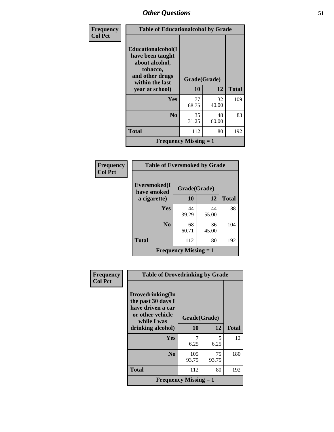| Frequency      | <b>Table of Educationalcohol by Grade</b>                                                                  |              |             |              |
|----------------|------------------------------------------------------------------------------------------------------------|--------------|-------------|--------------|
| <b>Col Pct</b> | Educationalcohol(I<br>have been taught<br>about alcohol,<br>tobacco,<br>and other drugs<br>within the last | Grade(Grade) |             |              |
|                | year at school)                                                                                            | 10           | 12          | <b>Total</b> |
|                | Yes                                                                                                        | 77<br>68.75  | 32<br>40.00 | 109          |
|                | N <sub>0</sub>                                                                                             | 35<br>31.25  | 48<br>60.00 | 83           |
|                | <b>Total</b>                                                                                               | 112          | 80          | 192          |
|                | <b>Frequency Missing = 1</b>                                                                               |              |             |              |

| Frequency<br>Col Pct |
|----------------------|
|                      |

| <b>Table of Eversmoked by Grade</b> |              |       |              |  |  |
|-------------------------------------|--------------|-------|--------------|--|--|
| Eversmoked(I<br>have smoked         | Grade(Grade) |       |              |  |  |
| a cigarette)                        | 10           | 12    | <b>Total</b> |  |  |
| Yes                                 | 44           | 44    | 88           |  |  |
|                                     | 39.29        | 55.00 |              |  |  |
| N <sub>0</sub>                      | 68           | 36    | 104          |  |  |
|                                     | 60.71        | 45.00 |              |  |  |
| <b>Total</b>                        | 112          | 80    | 192          |  |  |
| <b>Frequency Missing = 1</b>        |              |       |              |  |  |

| Frequency      | <b>Table of Drovedrinking by Grade</b>                                                         |              |             |              |
|----------------|------------------------------------------------------------------------------------------------|--------------|-------------|--------------|
| <b>Col Pct</b> | Drovedrinking(In<br>the past 30 days I<br>have driven a car<br>or other vehicle<br>while I was | Grade(Grade) |             |              |
|                | drinking alcohol)                                                                              | 10           | 12          | <b>Total</b> |
|                | <b>Yes</b>                                                                                     | 6.25         | 5<br>6.25   | 12           |
|                | N <sub>0</sub>                                                                                 | 105<br>93.75 | 75<br>93.75 | 180          |
|                | <b>Total</b>                                                                                   | 112          | 80          | 192          |
|                | <b>Frequency Missing = 1</b>                                                                   |              |             |              |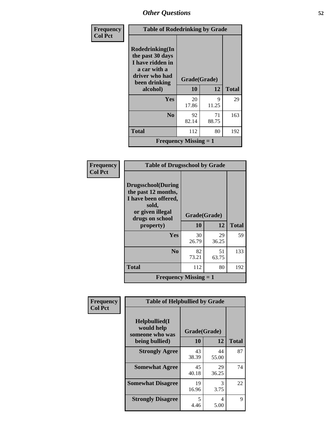| Frequency<br><b>Col Pct</b> | <b>Table of Rodedrinking by Grade</b>                                                                      |                              |             |              |  |
|-----------------------------|------------------------------------------------------------------------------------------------------------|------------------------------|-------------|--------------|--|
|                             | Rodedrinking(In<br>the past 30 days<br>I have ridden in<br>a car with a<br>driver who had<br>been drinking | Grade(Grade)                 |             |              |  |
|                             | alcohol)                                                                                                   | 10                           | 12          | <b>Total</b> |  |
|                             | <b>Yes</b>                                                                                                 | 20<br>17.86                  | 9<br>11.25  | 29           |  |
|                             | N <sub>0</sub>                                                                                             | 92<br>82.14                  | 71<br>88.75 | 163          |  |
|                             | <b>Total</b>                                                                                               | 112                          | 80          | 192          |  |
|                             |                                                                                                            | <b>Frequency Missing = 1</b> |             |              |  |

| Frequency      | <b>Table of Drugsschool by Grade</b>                                                                                      |              |             |              |
|----------------|---------------------------------------------------------------------------------------------------------------------------|--------------|-------------|--------------|
| <b>Col Pct</b> | <b>Drugsschool</b> (During<br>the past 12 months,<br>I have been offered,<br>sold,<br>or given illegal<br>drugs on school | Grade(Grade) |             |              |
|                | property)                                                                                                                 | 10           | 12          | <b>Total</b> |
|                | Yes                                                                                                                       | 30<br>26.79  | 29<br>36.25 | 59           |
|                | N <sub>0</sub>                                                                                                            | 82<br>73.21  | 51<br>63.75 | 133          |
|                | <b>Total</b>                                                                                                              | 112          | 80          | 192          |
|                | <b>Frequency Missing = 1</b>                                                                                              |              |             |              |
|                |                                                                                                                           |              |             |              |

| Frequency      | <b>Table of Helpbullied by Grade</b>                 |              |                       |              |
|----------------|------------------------------------------------------|--------------|-----------------------|--------------|
| <b>Col Pct</b> | $Helpb$ ullied $(I$<br>would help<br>someone who was | Grade(Grade) |                       |              |
|                | being bullied)                                       | 10           | 12                    | <b>Total</b> |
|                | <b>Strongly Agree</b>                                | 43<br>38.39  | 44<br>55.00           | 87           |
|                | <b>Somewhat Agree</b>                                | 45<br>40.18  | 29<br>36.25           | 74           |
|                | <b>Somewhat Disagree</b>                             | 19<br>16.96  | $\mathcal{R}$<br>3.75 | 22           |
|                | <b>Strongly Disagree</b>                             | 5<br>4.46    | 4<br>5.00             | 9            |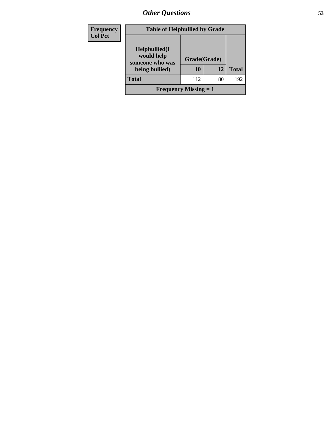| Frequency<br><b>Col Pct</b> | <b>Table of Helpbullied by Grade</b>                              |                    |    |              |  |  |  |
|-----------------------------|-------------------------------------------------------------------|--------------------|----|--------------|--|--|--|
|                             | Helpbullied(I)<br>would help<br>someone who was<br>being bullied) | Grade(Grade)<br>10 | 12 | <b>Total</b> |  |  |  |
|                             | <b>Total</b>                                                      | 112                | 80 | 192          |  |  |  |
|                             | <b>Frequency Missing = 1</b>                                      |                    |    |              |  |  |  |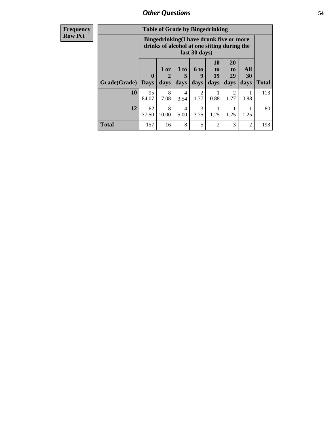| <b>Frequency</b><br>Row Pct |
|-----------------------------|
|                             |

| <b>Table of Grade by Bingedrinking</b> |                  |                                                                                                         |                        |                          |                        |                        |                   |              |
|----------------------------------------|------------------|---------------------------------------------------------------------------------------------------------|------------------------|--------------------------|------------------------|------------------------|-------------------|--------------|
|                                        |                  | Bingedrinking(I have drunk five or more<br>drinks of alcohol at one sitting during the<br>last 30 days) |                        |                          |                        |                        |                   |              |
| Grade(Grade)                           | 0<br><b>Days</b> | 1 or<br>2<br>days                                                                                       | 3 to<br>days           | <b>6 to</b><br>9<br>days | 10<br>to<br>19<br>days | 20<br>to<br>29<br>days | All<br>30<br>days | <b>Total</b> |
| 10                                     | 95<br>84.07      | 8<br>7.08                                                                                               | 4<br>3.54              | 2<br>1.77                | 0.88                   | 2<br>1.77              | 0.88              | 113          |
|                                        |                  |                                                                                                         |                        |                          |                        |                        |                   |              |
| 12                                     | 62<br>77.50      | 8<br>10.00                                                                                              | $\overline{4}$<br>5.00 | 3<br>3.75                | 1.25                   | 1.25                   | 1.25              | 80           |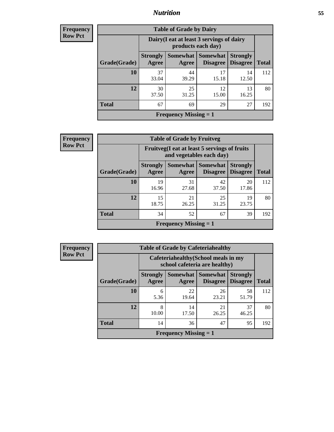### *Nutrition* **55**

**Frequency Row Pct**

| <b>Table of Grade by Dairy</b> |                          |                                                                 |                                        |                                    |              |  |  |
|--------------------------------|--------------------------|-----------------------------------------------------------------|----------------------------------------|------------------------------------|--------------|--|--|
|                                |                          | Dairy (I eat at least 3 servings of dairy<br>products each day) |                                        |                                    |              |  |  |
| Grade(Grade)                   | <b>Strongly</b><br>Agree | Agree                                                           | Somewhat   Somewhat<br><b>Disagree</b> | <b>Strongly</b><br><b>Disagree</b> | <b>Total</b> |  |  |
| 10                             | 37<br>33.04              | 44<br>39.29                                                     | 17<br>15.18                            | 14<br>12.50                        | 112          |  |  |
| 12                             | 30<br>37.50              | 25<br>31.25                                                     | 12<br>15.00                            | 13<br>16.25                        | 80           |  |  |
| <b>Total</b>                   | 67                       | 69                                                              | 29                                     | 27                                 | 192          |  |  |
| Frequency Missing $= 1$        |                          |                                                                 |                                        |                                    |              |  |  |

**Frequency Row Pct**

| $\mathbf{c}\mathbf{v}$ |                                                                          |                          | <b>Table of Grade by Fruitveg</b>         |                                    |                                    |              |
|------------------------|--------------------------------------------------------------------------|--------------------------|-------------------------------------------|------------------------------------|------------------------------------|--------------|
|                        | Fruitveg(I eat at least 5 servings of fruits<br>and vegetables each day) |                          |                                           |                                    |                                    |              |
|                        | Grade(Grade)                                                             | <b>Strongly</b><br>Agree | <b>Somewhat</b><br>Agree                  | <b>Somewhat</b><br><b>Disagree</b> | <b>Strongly</b><br><b>Disagree</b> | <b>Total</b> |
|                        | 10                                                                       | 19<br>16.96              | 31<br>27.68                               | 42<br>37.50                        | 20<br>17.86                        | 112          |
|                        | 12                                                                       | 15<br>18.75              | 21<br>26.25                               | 25<br>31.25                        | 19<br>23.75                        | 80           |
|                        | <b>Total</b>                                                             | 34                       | 52                                        | 67                                 | 39                                 | 192          |
|                        |                                                                          |                          | <b>Frequency Missing <math>= 1</math></b> |                                    |                                    |              |

**Frequency Row Pct**

| <b>Table of Grade by Cafeteriahealthy</b>                             |                          |                              |                             |                                    |              |
|-----------------------------------------------------------------------|--------------------------|------------------------------|-----------------------------|------------------------------------|--------------|
| Cafeteriahealthy (School meals in my<br>school cafeteria are healthy) |                          |                              |                             |                                    |              |
| Grade(Grade)                                                          | <b>Strongly</b><br>Agree | Somewhat<br>Agree            | <b>Somewhat</b><br>Disagree | <b>Strongly</b><br><b>Disagree</b> | <b>Total</b> |
| 10                                                                    | 6<br>5.36                | 22<br>19.64                  | 26<br>23.21                 | 58<br>51.79                        | 112          |
| 12                                                                    | 8<br>10.00               | 14<br>17.50                  | 21<br>26.25                 | 37<br>46.25                        | 80           |
| <b>Total</b>                                                          | 14                       | 36                           | 47                          | 95                                 | 192          |
|                                                                       |                          | <b>Frequency Missing = 1</b> |                             |                                    |              |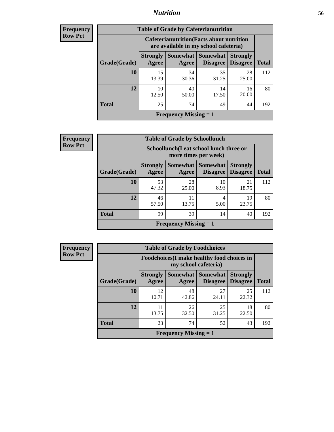### *Nutrition* **56**

| <b>Frequency</b> |  |
|------------------|--|
| Kow Pct          |  |

| <b>Table of Grade by Cafeterianutrition</b> |                          |                                                                                           |                             |                                    |              |  |  |
|---------------------------------------------|--------------------------|-------------------------------------------------------------------------------------------|-----------------------------|------------------------------------|--------------|--|--|
|                                             |                          | <b>Cafeterianutrition</b> (Facts about nutrition<br>are available in my school cafeteria) |                             |                                    |              |  |  |
| Grade(Grade)                                | <b>Strongly</b><br>Agree | Somewhat  <br>Agree                                                                       | Somewhat<br><b>Disagree</b> | <b>Strongly</b><br><b>Disagree</b> | <b>Total</b> |  |  |
| 10                                          | 15<br>13.39              | 34<br>30.36                                                                               | 35<br>31.25                 | 28<br>25.00                        | 112          |  |  |
| 12                                          | 10<br>12.50              | 40<br>50.00                                                                               | 14<br>17.50                 | 16<br>20.00                        | 80           |  |  |
| <b>Total</b>                                | 25                       | 74                                                                                        | 49                          | 44                                 | 192          |  |  |
| <b>Frequency Missing = 1</b>                |                          |                                                                                           |                             |                                    |              |  |  |

**Frequency Row Pct**

| $\mathbf{y}$ | <b>Table of Grade by Schoollunch</b> |                                                                 |                              |                                    |                                    |              |  |
|--------------|--------------------------------------|-----------------------------------------------------------------|------------------------------|------------------------------------|------------------------------------|--------------|--|
|              |                                      | Schoollunch(I eat school lunch three or<br>more times per week) |                              |                                    |                                    |              |  |
|              | Grade(Grade)                         | <b>Strongly</b><br>Agree                                        | Somewhat  <br>Agree          | <b>Somewhat</b><br><b>Disagree</b> | <b>Strongly</b><br><b>Disagree</b> | <b>Total</b> |  |
|              | <b>10</b>                            | 53<br>47.32                                                     | 28<br>25.00                  | 10<br>8.93                         | 21<br>18.75                        | 112          |  |
|              | 12                                   | 46<br>57.50                                                     | 11<br>13.75                  | 4<br>5.00                          | 19<br>23.75                        | 80           |  |
|              | <b>Total</b>                         | 99                                                              | 39                           | 14                                 | 40                                 | 192          |  |
|              |                                      |                                                                 | <b>Frequency Missing = 1</b> |                                    |                                    |              |  |

**Frequency Row Pct**

| <b>Table of Grade by Foodchoices</b>                                       |                          |             |                               |                                    |              |
|----------------------------------------------------------------------------|--------------------------|-------------|-------------------------------|------------------------------------|--------------|
| <b>Foodchoices</b> (I make healthy food choices in<br>my school cafeteria) |                          |             |                               |                                    |              |
| <b>Grade</b> (Grade)                                                       | <b>Strongly</b><br>Agree | Agree       | Somewhat Somewhat<br>Disagree | <b>Strongly</b><br><b>Disagree</b> | <b>Total</b> |
| 10                                                                         | 12<br>10.71              | 48<br>42.86 | 27<br>24.11                   | 25<br>22.32                        | 112          |
| 12                                                                         | 11<br>13.75              | 26<br>32.50 | 25<br>31.25                   | 18<br>22.50                        | 80           |
| <b>Total</b>                                                               | 23                       | 74          | 52                            | 43                                 | 192          |
| <b>Frequency Missing = 1</b>                                               |                          |             |                               |                                    |              |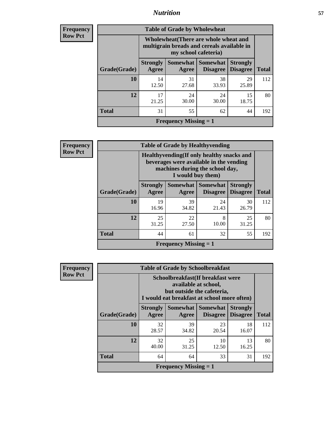### *Nutrition* **57**

| <b>Frequency</b> |
|------------------|
| <b>Row Pct</b>   |

| <b>Table of Grade by Wholewheat</b> |                          |                                                                                                             |                                             |                                    |              |  |  |
|-------------------------------------|--------------------------|-------------------------------------------------------------------------------------------------------------|---------------------------------------------|------------------------------------|--------------|--|--|
|                                     |                          | Wholewheat (There are whole wheat and<br>multigrain breads and cereals available in<br>my school cafeteria) |                                             |                                    |              |  |  |
| Grade(Grade)                        | <b>Strongly</b><br>Agree | Agree                                                                                                       | <b>Somewhat</b> Somewhat<br><b>Disagree</b> | <b>Strongly</b><br><b>Disagree</b> | <b>Total</b> |  |  |
| 10                                  | 14<br>12.50              | 31<br>27.68                                                                                                 | 38<br>33.93                                 | 29<br>25.89                        | 112          |  |  |
| 12                                  | 17<br>21.25              | 24<br>30.00                                                                                                 | 24<br>30.00                                 | 15<br>18.75                        | 80           |  |  |
| <b>Total</b>                        | 31                       | 55                                                                                                          | 62                                          | 44                                 | 192          |  |  |
|                                     |                          | <b>Frequency Missing = 1</b>                                                                                |                                             |                                    |              |  |  |

| <b>Frequency</b> |
|------------------|
| <b>Row Pct</b>   |

Г

|                              |                                                                                                                                   | <b>Table of Grade by Healthyvending</b><br>Healthyvending (If only healthy snacks and<br>beverages were available in the vending<br>machines during the school day,<br>I would buy them) |             |             |     |  |
|------------------------------|-----------------------------------------------------------------------------------------------------------------------------------|------------------------------------------------------------------------------------------------------------------------------------------------------------------------------------------|-------------|-------------|-----|--|
| Grade(Grade)                 | Somewhat   Somewhat<br><b>Strongly</b><br><b>Strongly</b><br><b>Disagree</b><br><b>Total</b><br><b>Disagree</b><br>Agree<br>Agree |                                                                                                                                                                                          |             |             |     |  |
| 10                           | 19<br>16.96                                                                                                                       | 39<br>34.82                                                                                                                                                                              | 24<br>21.43 | 30<br>26.79 | 112 |  |
| 12                           | 25<br>31.25                                                                                                                       | 22<br>27.50                                                                                                                                                                              | 8<br>10.00  | 25<br>31.25 | 80  |  |
| <b>Total</b>                 | 44                                                                                                                                | 61                                                                                                                                                                                       | 32          | 55          | 192 |  |
| <b>Frequency Missing = 1</b> |                                                                                                                                   |                                                                                                                                                                                          |             |             |     |  |

| <b>Frequency</b> |
|------------------|
| <b>Row Pct</b>   |

| <b>Table of Grade by Schoolbreakfast</b> |                                                                                                                                         |             |                                      |                                    |              |  |
|------------------------------------------|-----------------------------------------------------------------------------------------------------------------------------------------|-------------|--------------------------------------|------------------------------------|--------------|--|
|                                          | Schoolbreakfast (If breakfast were<br>available at school,<br>but outside the cafeteria,<br>I would eat breakfast at school more often) |             |                                      |                                    |              |  |
| Grade(Grade)                             | <b>Strongly</b><br>Agree                                                                                                                | Agree       | Somewhat Somewhat<br><b>Disagree</b> | <b>Strongly</b><br><b>Disagree</b> | <b>Total</b> |  |
| 10                                       | 32<br>28.57                                                                                                                             | 39<br>34.82 | 23<br>20.54                          | 18<br>16.07                        | 112          |  |
| 12                                       | 32<br>40.00                                                                                                                             | 25<br>31.25 | 10<br>12.50                          | 13<br>16.25                        | 80           |  |
| <b>Total</b>                             | 64                                                                                                                                      | 64          | 33                                   | 31                                 | 192          |  |
|                                          | <b>Frequency Missing = 1</b>                                                                                                            |             |                                      |                                    |              |  |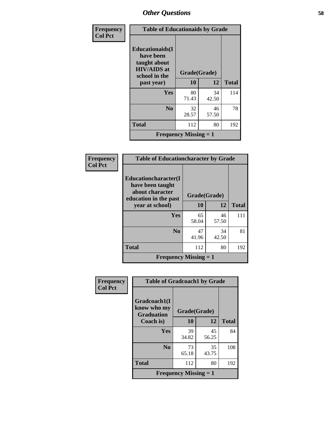| Frequency      | <b>Table of Educationaids by Grade</b>                                                                    |                              |       |              |  |
|----------------|-----------------------------------------------------------------------------------------------------------|------------------------------|-------|--------------|--|
| <b>Col Pct</b> | <b>Educationaids</b> (I<br>have been<br>taught about<br><b>HIV/AIDS</b> at<br>school in the<br>past year) | Grade(Grade)<br>10           | 12    | <b>Total</b> |  |
|                | <b>Yes</b>                                                                                                | 80                           | 34    | 114          |  |
|                |                                                                                                           | 71.43                        | 42.50 |              |  |
|                | N <sub>0</sub>                                                                                            | 32                           | 46    | 78           |  |
|                |                                                                                                           | 28.57                        | 57.50 |              |  |
|                | <b>Total</b>                                                                                              | 112                          | 80    | 192          |  |
|                |                                                                                                           | <b>Frequency Missing = 1</b> |       |              |  |

| Frequency<br><b>Col Pct</b> | <b>Table of Educationcharacter by Grade</b>                                          |              |             |              |
|-----------------------------|--------------------------------------------------------------------------------------|--------------|-------------|--------------|
|                             | Educationcharacter(I<br>have been taught<br>about character<br>education in the past | Grade(Grade) |             |              |
|                             | year at school)                                                                      | 10           | 12          | <b>Total</b> |
|                             | Yes                                                                                  | 65<br>58.04  | 46<br>57.50 | 111          |
|                             | N <sub>0</sub>                                                                       | 47<br>41.96  | 34<br>42.50 | 81           |
|                             | <b>Total</b>                                                                         | 112          | 80          | 192          |
|                             | <b>Frequency Missing = 1</b>                                                         |              |             |              |

| <b>Frequency</b> | <b>Table of Gradcoach1 by Grade</b>              |                              |             |              |
|------------------|--------------------------------------------------|------------------------------|-------------|--------------|
| <b>Col Pct</b>   | Gradcoach1(I<br>know who my<br><b>Graduation</b> | Grade(Grade)                 |             |              |
|                  | Coach is)                                        | 10                           | 12          | <b>Total</b> |
|                  | Yes                                              | 39<br>34.82                  | 45<br>56.25 | 84           |
|                  | N <sub>0</sub>                                   | 73<br>65.18                  | 35<br>43.75 | 108          |
|                  | <b>Total</b>                                     | 112                          | 80          | 192          |
|                  |                                                  | <b>Frequency Missing = 1</b> |             |              |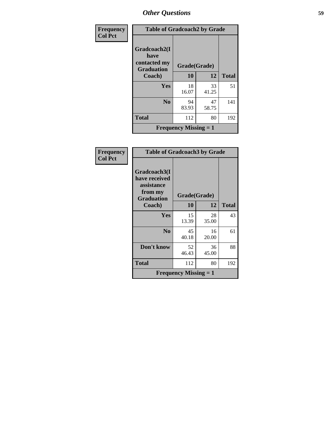| Frequency<br><b>Col Pct</b> | <b>Table of Gradcoach2 by Grade</b>                       |                              |             |              |  |
|-----------------------------|-----------------------------------------------------------|------------------------------|-------------|--------------|--|
|                             | Gradcoach2(I<br>have<br>contacted my<br><b>Graduation</b> | Grade(Grade)                 |             |              |  |
|                             | Coach)                                                    | 10                           | 12          | <b>Total</b> |  |
|                             | Yes                                                       | 18<br>16.07                  | 33<br>41.25 | 51           |  |
|                             | N <sub>0</sub>                                            | 94<br>83.93                  | 47<br>58.75 | 141          |  |
|                             | <b>Total</b>                                              | 112                          | 80          | 192          |  |
|                             |                                                           | <b>Frequency Missing = 1</b> |             |              |  |

| Frequency<br><b>Col Pct</b> | <b>Table of Gradcoach3 by Grade</b>                                         |                              |             |              |  |
|-----------------------------|-----------------------------------------------------------------------------|------------------------------|-------------|--------------|--|
|                             | Gradcoach3(I<br>have received<br>assistance<br>from my<br><b>Graduation</b> | Grade(Grade)                 |             |              |  |
|                             | Coach)                                                                      | 10                           | 12          | <b>Total</b> |  |
|                             | Yes                                                                         | 15<br>13.39                  | 28<br>35.00 | 43           |  |
|                             | N <sub>0</sub>                                                              | 45<br>40.18                  | 16<br>20.00 | 61           |  |
|                             | Don't know                                                                  | 52<br>46.43                  | 36<br>45.00 | 88           |  |
|                             | Total                                                                       | 112                          | 80          | 192          |  |
|                             |                                                                             | <b>Frequency Missing = 1</b> |             |              |  |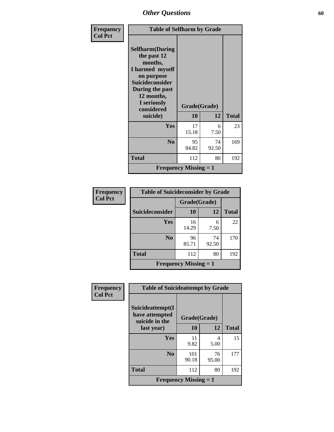| Frequency      | <b>Table of Selfharm by Grade</b>                                                                                                                                                      |                              |             |              |
|----------------|----------------------------------------------------------------------------------------------------------------------------------------------------------------------------------------|------------------------------|-------------|--------------|
| <b>Col Pct</b> | <b>Selfharm</b> (During<br>the past 12<br>months,<br>I harmed myself<br>on purpose<br><b>Suicideconsider</b><br>During the past<br>12 months,<br>I seriously<br>considered<br>suicide) | Grade(Grade)<br><b>10</b>    | 12          | <b>Total</b> |
|                | Yes                                                                                                                                                                                    | 17<br>15.18                  | 6<br>7.50   | 23           |
|                | N <sub>0</sub>                                                                                                                                                                         | 95<br>84.82                  | 74<br>92.50 | 169          |
|                | <b>Total</b>                                                                                                                                                                           | 112                          | 80          | 192          |
|                |                                                                                                                                                                                        | <b>Frequency Missing = 1</b> |             |              |

| Frequency      | <b>Table of Suicideconsider by Grade</b> |                              |             |              |
|----------------|------------------------------------------|------------------------------|-------------|--------------|
| <b>Col Pct</b> |                                          | Grade(Grade)                 |             |              |
|                | Suicideconsider                          | 10                           | 12          | <b>Total</b> |
|                | Yes                                      | 16<br>14.29                  | 6<br>7.50   | 22           |
|                | N <sub>0</sub>                           | 96<br>85.71                  | 74<br>92.50 | 170          |
|                | <b>Total</b>                             | 112                          | 80          | 192          |
|                |                                          | <b>Frequency Missing = 1</b> |             |              |

| Frequency      | <b>Table of Suicideattempt by Grade</b>              |                                           |             |              |  |
|----------------|------------------------------------------------------|-------------------------------------------|-------------|--------------|--|
| <b>Col Pct</b> | Suicideattempt(I<br>have attempted<br>suicide in the | Grade(Grade)                              |             |              |  |
|                | last year)                                           | 10                                        | 12          | <b>Total</b> |  |
|                | Yes                                                  | 11<br>9.82                                | 4<br>5.00   | 15           |  |
|                | N <sub>0</sub>                                       | 101<br>90.18                              | 76<br>95.00 | 177          |  |
|                | <b>Total</b>                                         | 112                                       | 80          | 192          |  |
|                |                                                      | <b>Frequency Missing <math>= 1</math></b> |             |              |  |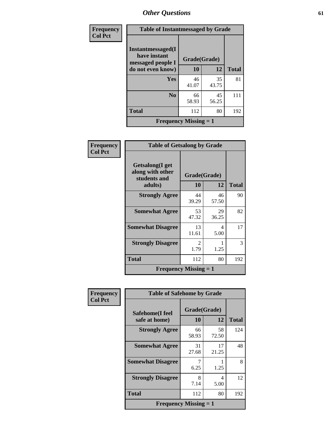| Frequency      | <b>Table of Instantmessaged by Grade</b>               |                              |             |              |  |  |  |
|----------------|--------------------------------------------------------|------------------------------|-------------|--------------|--|--|--|
| <b>Col Pct</b> | Instantmessaged(I<br>have instant<br>messaged people I | Grade(Grade)                 |             |              |  |  |  |
|                | do not even know)                                      | 10                           | 12          | <b>Total</b> |  |  |  |
|                | Yes                                                    | 46<br>41.07                  | 35<br>43.75 | 81           |  |  |  |
|                | No                                                     | 66<br>58.93                  | 45<br>56.25 | 111          |  |  |  |
|                | <b>Total</b>                                           | 112                          | 80          | 192          |  |  |  |
|                |                                                        | <b>Frequency Missing = 1</b> |             |              |  |  |  |

| Frequency      | <b>Table of Getsalong by Grade</b>                             |                       |             |              |  |  |  |
|----------------|----------------------------------------------------------------|-----------------------|-------------|--------------|--|--|--|
| <b>Col Pct</b> | Getsalong(I get<br>along with other<br>students and<br>adults) | Grade(Grade)<br>10    | 12          | <b>Total</b> |  |  |  |
|                | <b>Strongly Agree</b>                                          | 44<br>39.29           | 46<br>57.50 | 90           |  |  |  |
|                | <b>Somewhat Agree</b>                                          | 53<br>47.32           | 29<br>36.25 | 82           |  |  |  |
|                | <b>Somewhat Disagree</b>                                       | 13<br>11.61           | 4<br>5.00   | 17           |  |  |  |
|                | <b>Strongly Disagree</b>                                       | $\mathcal{L}$<br>1.79 | 1.25        | 3            |  |  |  |
|                | <b>Total</b>                                                   | 112                   | 80          | 192          |  |  |  |
|                | <b>Frequency Missing <math>= 1</math></b>                      |                       |             |              |  |  |  |

| Frequency      | <b>Table of Safehome by Grade</b> |                    |             |              |  |  |  |  |
|----------------|-----------------------------------|--------------------|-------------|--------------|--|--|--|--|
| <b>Col Pct</b> | Safehome(I feel<br>safe at home)  | Grade(Grade)<br>10 | 12          | <b>Total</b> |  |  |  |  |
|                | <b>Strongly Agree</b>             | 66<br>58.93        | 58<br>72.50 | 124          |  |  |  |  |
|                | <b>Somewhat Agree</b>             | 31<br>27.68        | 17<br>21.25 | 48           |  |  |  |  |
|                | <b>Somewhat Disagree</b>          | 7<br>6.25          | 1.25        | 8            |  |  |  |  |
|                | <b>Strongly Disagree</b>          | 8<br>7.14          | 4<br>5.00   | 12           |  |  |  |  |
|                | <b>Total</b>                      | 112                | 80          | 192          |  |  |  |  |
|                | <b>Frequency Missing = 1</b>      |                    |             |              |  |  |  |  |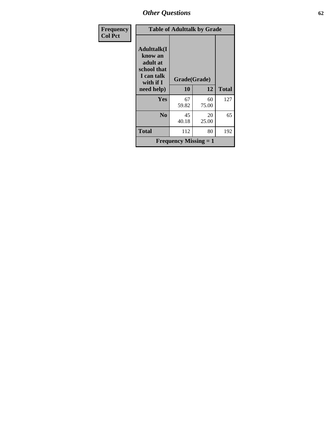| Frequency      | <b>Table of Adulttalk by Grade</b>                                                  |                              |             |              |  |  |  |  |  |  |
|----------------|-------------------------------------------------------------------------------------|------------------------------|-------------|--------------|--|--|--|--|--|--|
| <b>Col Pct</b> | <b>Adulttalk(I</b><br>know an<br>adult at<br>school that<br>I can talk<br>with if I | Grade(Grade)                 |             |              |  |  |  |  |  |  |
|                | need help)                                                                          | 10                           | 12          | <b>Total</b> |  |  |  |  |  |  |
|                | Yes                                                                                 | 67<br>59.82                  | 60<br>75.00 | 127          |  |  |  |  |  |  |
|                | No                                                                                  | 45<br>40.18                  | 20<br>25.00 | 65           |  |  |  |  |  |  |
|                | <b>Total</b>                                                                        | 112                          | 80          | 192          |  |  |  |  |  |  |
|                |                                                                                     | <b>Frequency Missing = 1</b> |             |              |  |  |  |  |  |  |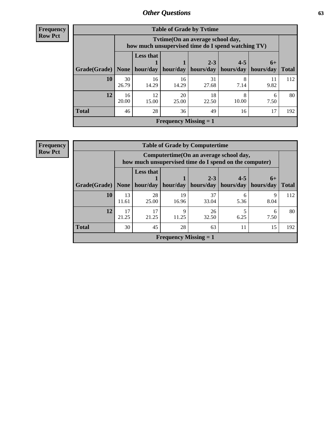| <b>Frequency</b> |  |
|------------------|--|
| <b>Row Pct</b>   |  |

| <b>Table of Grade by Tytime</b> |                                                                                                                                           |                                                                                         |                              |             |            |            |     |  |  |
|---------------------------------|-------------------------------------------------------------------------------------------------------------------------------------------|-----------------------------------------------------------------------------------------|------------------------------|-------------|------------|------------|-----|--|--|
|                                 |                                                                                                                                           | Tvtime (On an average school day,<br>how much unsupervised time do I spend watching TV) |                              |             |            |            |     |  |  |
| Grade(Grade)                    | <b>Less that</b><br>$4 - 5$<br>$2 - 3$<br>$6+$<br>hours/day<br>hours/day<br>hour/day<br>hour/day<br>hours/day<br>None $ $<br><b>Total</b> |                                                                                         |                              |             |            |            |     |  |  |
| 10                              | 30<br>26.79                                                                                                                               | 16<br>14.29                                                                             | 16<br>14.29                  | 31<br>27.68 | 8<br>7.14  | 11<br>9.82 | 112 |  |  |
| 12                              | 16<br>20.00                                                                                                                               | 12<br>15.00                                                                             | 20<br>25.00                  | 18<br>22.50 | 8<br>10.00 | 6<br>7.50  | 80  |  |  |
| <b>Total</b>                    | 46                                                                                                                                        | 28                                                                                      | 36                           | 49          | 16         | 17         | 192 |  |  |
|                                 |                                                                                                                                           |                                                                                         | <b>Frequency Missing = 1</b> |             |            |            |     |  |  |

| <b>Frequency</b> | <b>Table of Grade by Computertime</b> |                                                                                                   |                              |                              |                          |                      |                   |              |  |  |
|------------------|---------------------------------------|---------------------------------------------------------------------------------------------------|------------------------------|------------------------------|--------------------------|----------------------|-------------------|--------------|--|--|
| <b>Row Pct</b>   |                                       | Computertime (On an average school day,<br>how much unsupervised time do I spend on the computer) |                              |                              |                          |                      |                   |              |  |  |
|                  | Grade(Grade)   None                   |                                                                                                   | <b>Less that</b><br>hour/day | hour/day                     | $2 - 3$<br>hours/day $ $ | $4 - 5$<br>hours/day | $6+$<br>hours/day | <b>Total</b> |  |  |
|                  | 10                                    | 13<br>11.61                                                                                       | 28<br>25.00                  | 19<br>16.96                  | 37<br>33.04              | 5.36                 | 9<br>8.04         | 112          |  |  |
|                  | 12                                    | 17<br>21.25                                                                                       | 17<br>21.25                  | $\mathbf Q$<br>11.25         | 26<br>32.50              | 6.25                 | 6<br>7.50         | 80           |  |  |
|                  | <b>Total</b>                          | 30                                                                                                | 45                           | 28                           | 63                       | 11                   | 15                | 192          |  |  |
|                  |                                       |                                                                                                   |                              | <b>Frequency Missing = 1</b> |                          |                      |                   |              |  |  |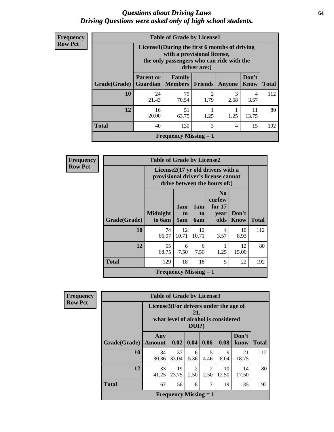### *Questions about Driving Laws* **64** *Driving Questions were asked only of high school students.*

| <b>Frequency</b> |
|------------------|
| <b>Row Pct</b>   |

| <b>Table of Grade by License1</b> |                                                                                                                                           |             |                        |           |             |     |  |  |  |
|-----------------------------------|-------------------------------------------------------------------------------------------------------------------------------------------|-------------|------------------------|-----------|-------------|-----|--|--|--|
|                                   | License1(During the first 6 months of driving<br>with a provisional license,<br>the only passengers who can ride with the<br>driver are:) |             |                        |           |             |     |  |  |  |
| Grade(Grade)                      | Don't<br><b>Parent or</b><br>Family<br><b>Total</b><br>Guardian  <br><b>Members</b><br><b>Friends</b><br><b>Know</b><br><b>Anyone</b>     |             |                        |           |             |     |  |  |  |
| 10                                | 24<br>21.43                                                                                                                               | 79<br>70.54 | $\mathfrak{D}$<br>1.79 | 3<br>2.68 | 4<br>3.57   | 112 |  |  |  |
| 12                                | 16<br>20.00                                                                                                                               | 51<br>63.75 | 1.25                   | 1.25      | 11<br>13.75 | 80  |  |  |  |
| <b>Total</b>                      | 3<br>15<br>40<br>130<br>4                                                                                                                 |             |                        |           |             |     |  |  |  |
| Frequency Missing $= 1$           |                                                                                                                                           |             |                        |           |             |     |  |  |  |

**Frequency Row Pct**

| $\mathbf{y}$ | <b>Table of Grade by License2</b> |                              |                                                                                                          |                                     |                                                      |                      |              |  |  |
|--------------|-----------------------------------|------------------------------|----------------------------------------------------------------------------------------------------------|-------------------------------------|------------------------------------------------------|----------------------|--------------|--|--|
|              |                                   |                              | License2(17 yr old drivers with a<br>provisional driver's license cannot<br>drive between the hours of:) |                                     |                                                      |                      |              |  |  |
|              | Grade(Grade)                      | <b>Midnight</b><br>to 6am    | 1am<br>t <sub>0</sub><br>5am                                                                             | 1am<br>t <sub>0</sub><br><b>6am</b> | N <sub>0</sub><br>curfew<br>for $17$<br>year<br>olds | Don't<br><b>Know</b> | <b>Total</b> |  |  |
|              | 10                                | 74<br>66.07                  | 12<br>10.71                                                                                              | 12<br>10.71                         | 4<br>3.57                                            | 10<br>8.93           | 112          |  |  |
|              | 12                                | 55<br>68.75                  | 6<br>7.50                                                                                                | 6<br>7.50                           | 1.25                                                 | 12<br>15.00          | 80           |  |  |
|              | <b>Total</b>                      | 129                          | 5<br>18<br>22<br>18                                                                                      |                                     |                                                      |                      |              |  |  |
|              |                                   | <b>Frequency Missing = 1</b> |                                                                                                          |                                     |                                                      |                      |              |  |  |

| <b>Frequency</b> |
|------------------|
| <b>Row Pct</b>   |

| <b>Table of Grade by License3</b> |                                                                                                 |             |                                  |                       |             |               |              |  |  |
|-----------------------------------|-------------------------------------------------------------------------------------------------|-------------|----------------------------------|-----------------------|-------------|---------------|--------------|--|--|
|                                   | License3(For drivers under the age of<br>21,<br>what level of alcohol is considered<br>$DUI$ ?) |             |                                  |                       |             |               |              |  |  |
| Grade(Grade)                      | Any<br><b>Amount</b>                                                                            | 0.02        | 0.04                             | 0.06                  | 0.08        | Don't<br>know | <b>Total</b> |  |  |
| 10                                | 34<br>30.36                                                                                     | 37<br>33.04 | 6<br>5.36                        | 5<br>4.46             | 9<br>8.04   | 21<br>18.75   | 112          |  |  |
| 12                                | 33<br>41.25                                                                                     | 19<br>23.75 | $\overline{\mathcal{L}}$<br>2.50 | $\mathcal{L}$<br>2.50 | 10<br>12.50 | 14<br>17.50   | 80           |  |  |
| <b>Total</b>                      | 67                                                                                              | 56          | 8                                | 7                     | 19          | 35            | 192          |  |  |
| <b>Frequency Missing = 1</b>      |                                                                                                 |             |                                  |                       |             |               |              |  |  |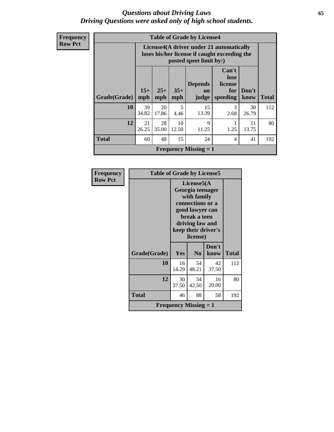### *Questions about Driving Laws* **65** *Driving Questions were asked only of high school students.*

**Frequency Row Pct**

|              |                              |                                                                                                                      |              | <b>Table of Grade by License4</b> |                                             |               |              |  |
|--------------|------------------------------|----------------------------------------------------------------------------------------------------------------------|--------------|-----------------------------------|---------------------------------------------|---------------|--------------|--|
|              |                              | License4(A driver under 21 automatically<br>loses his/her license if caught exceeding the<br>posted speet limit by:) |              |                                   |                                             |               |              |  |
| Grade(Grade) | $15+$<br>mph                 | $25+$<br>mph                                                                                                         | $35+$<br>mph | <b>Depends</b><br>on<br>judge     | Can't<br>lose<br>license<br>for<br>speeding | Don't<br>know | <b>Total</b> |  |
| 10           | 39<br>34.82                  | 20<br>17.86                                                                                                          | 5<br>4.46    | 15<br>13.39                       | 3<br>2.68                                   | 30<br>26.79   | 112          |  |
| 12           | 21<br>26.25                  | 28<br>35.00                                                                                                          | 10<br>12.50  | $\mathbf Q$<br>11.25              | 1.25                                        | 11<br>13.75   | 80           |  |
| <b>Total</b> | 60                           | 48                                                                                                                   | 15           | 24                                | 4                                           | 41            | 192          |  |
|              | <b>Frequency Missing = 1</b> |                                                                                                                      |              |                                   |                                             |               |              |  |

| Frequency      | <b>Table of Grade by License5</b> |                                                                                                                                                             |                              |               |              |  |  |
|----------------|-----------------------------------|-------------------------------------------------------------------------------------------------------------------------------------------------------------|------------------------------|---------------|--------------|--|--|
| <b>Row Pct</b> |                                   | License5(A)<br>Georgia teenager<br>with family<br>connections or a<br>good lawyer can<br>break a teen<br>driving law and<br>keep their driver's<br>license) |                              |               |              |  |  |
|                | Grade(Grade)                      | Yes                                                                                                                                                         | N <sub>0</sub>               | Don't<br>know | <b>Total</b> |  |  |
|                | 10                                | 16<br>14.29                                                                                                                                                 | 54<br>48.21                  | 42<br>37.50   | 112          |  |  |
|                | 12                                | 30<br>37.50                                                                                                                                                 | 34<br>42.50                  | 16<br>20.00   | 80           |  |  |
|                | <b>Total</b>                      | 46                                                                                                                                                          | 88                           | 58            | 192          |  |  |
|                |                                   |                                                                                                                                                             | <b>Frequency Missing = 1</b> |               |              |  |  |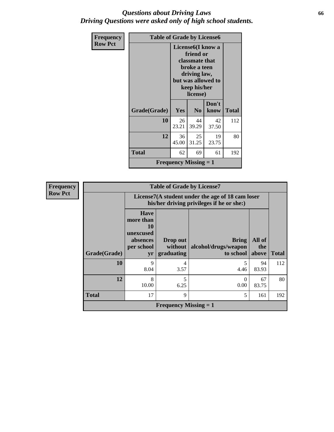### *Questions about Driving Laws* **66** *Driving Questions were asked only of high school students.*

| <b>Frequency</b><br><b>Row Pct</b> | <b>Table of Grade by License6</b><br>License <sub>6</sub> (I know a |                                                                                                               |                |               |              |
|------------------------------------|---------------------------------------------------------------------|---------------------------------------------------------------------------------------------------------------|----------------|---------------|--------------|
|                                    |                                                                     | friend or<br>classmate that<br>broke a teen<br>driving law,<br>but was allowed to<br>keep his/her<br>license) |                |               |              |
|                                    | Grade(Grade)                                                        | <b>Yes</b>                                                                                                    | N <sub>0</sub> | Don't<br>know | <b>Total</b> |
|                                    | 10                                                                  | 26<br>23.21                                                                                                   | 44<br>39.29    | 42<br>37.50   | 112          |
|                                    | 12                                                                  | 36<br>45.00                                                                                                   | 25<br>31.25    | 19<br>23.75   | 80           |
|                                    | <b>Total</b>                                                        | 62                                                                                                            | 69             | 61            | 192          |
|                                    |                                                                     | <b>Frequency Missing <math>= 1</math></b>                                                                     |                |               |              |

| <b>Frequency</b> |  |
|------------------|--|
| <b>Row Pct</b>   |  |

| <b>Table of Grade by License7</b> |                                                                                               |                                   |                                                   |                        |              |  |  |
|-----------------------------------|-----------------------------------------------------------------------------------------------|-----------------------------------|---------------------------------------------------|------------------------|--------------|--|--|
|                                   | License7(A student under the age of 18 cam loser<br>his/her driving privileges if he or she:) |                                   |                                                   |                        |              |  |  |
| Grade(Grade)                      | <b>Have</b><br>more than<br>10<br>unexcused<br>absences<br>per school<br>yr                   | Drop out<br>without<br>graduating | <b>Bring</b><br>alcohol/drugs/weapon<br>to school | All of<br>the<br>above | <b>Total</b> |  |  |
| 10                                | 9<br>8.04                                                                                     | 4<br>3.57                         | 4.46                                              | 94<br>83.93            | 112          |  |  |
| 12                                | 8<br>10.00                                                                                    | 5<br>6.25                         | $\Omega$<br>0.00                                  | 67<br>83.75            | 80           |  |  |
| <b>Total</b>                      | 17                                                                                            | 9                                 | 5                                                 | 161                    | 192          |  |  |
|                                   | <b>Frequency Missing = 1</b>                                                                  |                                   |                                                   |                        |              |  |  |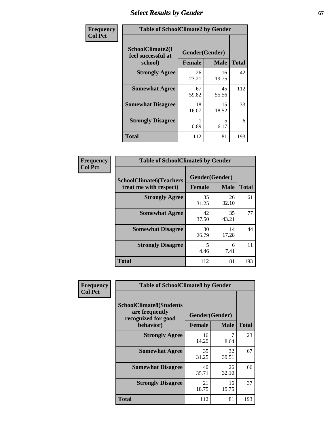# **Select Results by Gender** 67

| Frequency      | <b>Table of SchoolClimate2 by Gender</b>          |               |                               |              |  |
|----------------|---------------------------------------------------|---------------|-------------------------------|--------------|--|
| <b>Col Pct</b> | SchoolClimate2(I<br>feel successful at<br>school) | <b>Female</b> | Gender(Gender)<br><b>Male</b> | <b>Total</b> |  |
|                | <b>Strongly Agree</b>                             | 26<br>23.21   | 16<br>19.75                   | 42           |  |
|                | <b>Somewhat Agree</b>                             | 67<br>59.82   | 45<br>55.56                   | 112          |  |
|                | <b>Somewhat Disagree</b>                          | 18<br>16.07   | 15<br>18.52                   | 33           |  |
|                | <b>Strongly Disagree</b>                          | 0.89          | 5<br>6.17                     | 6            |  |
|                | <b>Total</b>                                      | 112           | 81                            | 193          |  |

| Frequency      | <b>Table of SchoolClimate6 by Gender</b>                 |                                                |             |              |  |  |
|----------------|----------------------------------------------------------|------------------------------------------------|-------------|--------------|--|--|
| <b>Col Pct</b> | <b>SchoolClimate6(Teachers</b><br>treat me with respect) | Gender(Gender)<br><b>Male</b><br><b>Female</b> |             | <b>Total</b> |  |  |
|                | <b>Strongly Agree</b>                                    | 35<br>31.25                                    | 26<br>32.10 | 61           |  |  |
|                | <b>Somewhat Agree</b>                                    | 42<br>37.50                                    | 35<br>43.21 | 77           |  |  |
|                | <b>Somewhat Disagree</b>                                 | 30<br>26.79                                    | 14<br>17.28 | 44           |  |  |
|                | <b>Strongly Disagree</b>                                 | 5<br>4.46                                      | 6<br>7.41   | 11           |  |  |
|                | <b>Total</b>                                             | 112                                            | 81          | 193          |  |  |

| <b>Frequency</b> | <b>Table of SchoolClimate8 by Gender</b>                                             |                                 |              |     |
|------------------|--------------------------------------------------------------------------------------|---------------------------------|--------------|-----|
| <b>Col Pct</b>   | <b>SchoolClimate8(Students</b><br>are frequently<br>recognized for good<br>behavior) | Gender(Gender)<br><b>Female</b> | <b>Total</b> |     |
|                  |                                                                                      |                                 | <b>Male</b>  |     |
|                  | <b>Strongly Agree</b>                                                                | 16<br>14.29                     | 7<br>8.64    | 23  |
|                  | <b>Somewhat Agree</b>                                                                | 35<br>31.25                     | 32<br>39.51  | 67  |
|                  | <b>Somewhat Disagree</b>                                                             | 40<br>35.71                     | 26<br>32.10  | 66  |
|                  | <b>Strongly Disagree</b>                                                             | 21<br>18.75                     | 16<br>19.75  | 37  |
|                  | Total                                                                                | 112                             | 81           | 193 |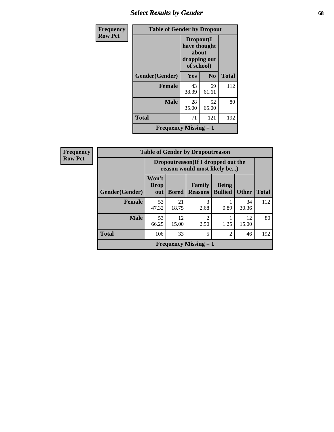## *Select Results by Gender* **68**

| Frequency      | <b>Table of Gender by Dropout</b> |                                                                  |                |              |  |  |
|----------------|-----------------------------------|------------------------------------------------------------------|----------------|--------------|--|--|
| <b>Row Pct</b> |                                   | Dropout(I<br>have thought<br>about<br>dropping out<br>of school) |                |              |  |  |
|                | Gender(Gender)                    | <b>Yes</b>                                                       | N <sub>0</sub> | <b>Total</b> |  |  |
|                | <b>Female</b>                     | 43<br>38.39                                                      | 69<br>61.61    | 112          |  |  |
|                | <b>Male</b>                       | 28<br>35.00                                                      | 52<br>65.00    | 80           |  |  |
|                | <b>Total</b>                      | 71                                                               | 121            | 192          |  |  |
|                | Frequency Missing $= 1$           |                                                                  |                |              |  |  |

| <b>Frequency</b> | <b>Table of Gender by Dropoutreason</b> |                                                                     |              |                          |                                |              |              |  |
|------------------|-----------------------------------------|---------------------------------------------------------------------|--------------|--------------------------|--------------------------------|--------------|--------------|--|
| <b>Row Pct</b>   |                                         | Dropoutreason (If I dropped out the<br>reason would most likely be) |              |                          |                                |              |              |  |
|                  | Gender(Gender)                          | Won't<br>Drop<br>out                                                | <b>Bored</b> | Family<br><b>Reasons</b> | <b>Being</b><br><b>Bullied</b> | <b>Other</b> | <b>Total</b> |  |
|                  | Female                                  | 53<br>47.32                                                         | 21<br>18.75  | 3<br>2.68                | 0.89                           | 34<br>30.36  | 112          |  |
|                  | <b>Male</b>                             | 53<br>66.25                                                         | 12<br>15.00  | $\overline{c}$<br>2.50   | 1.25                           | 12<br>15.00  | 80           |  |
|                  | <b>Total</b>                            | 106                                                                 | 33           | 5                        | $\overline{2}$                 | 46           | 192          |  |
|                  | <b>Frequency Missing = 1</b>            |                                                                     |              |                          |                                |              |              |  |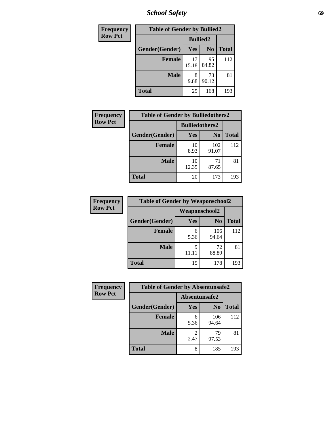*School Safety* **69**

| Frequency      | <b>Table of Gender by Bullied2</b> |                 |                |              |  |
|----------------|------------------------------------|-----------------|----------------|--------------|--|
| <b>Row Pct</b> |                                    | <b>Bullied2</b> |                |              |  |
|                | Gender(Gender)                     | <b>Yes</b>      | N <sub>0</sub> | <b>Total</b> |  |
|                | <b>Female</b>                      | 17<br>15.18     | 95<br>84.82    | 112          |  |
|                | <b>Male</b>                        | 9.88            | 73<br>90.12    | 81           |  |
|                | <b>Total</b>                       | 25              | 168            | 193          |  |

| Frequency      | <b>Table of Gender by Bulliedothers2</b> |                       |              |              |  |  |
|----------------|------------------------------------------|-----------------------|--------------|--------------|--|--|
| <b>Row Pct</b> |                                          | <b>Bulliedothers2</b> |              |              |  |  |
|                | Gender(Gender)                           | <b>Yes</b>            | $\bf N_0$    | <b>Total</b> |  |  |
|                | <b>Female</b>                            | 10<br>8.93            | 102<br>91.07 | 112          |  |  |
|                | <b>Male</b>                              | 10<br>12.35           | 71<br>87.65  | 81           |  |  |
|                | Total                                    | 20                    | 173          | 193          |  |  |

| <b>Frequency</b> | <b>Table of Gender by Weaponschool2</b> |                      |                |              |  |
|------------------|-----------------------------------------|----------------------|----------------|--------------|--|
| <b>Row Pct</b>   |                                         | <b>Weaponschool2</b> |                |              |  |
|                  | Gender(Gender)                          | Yes                  | N <sub>0</sub> | <b>Total</b> |  |
|                  | <b>Female</b>                           | 6<br>5.36            | 106<br>94.64   | 112          |  |
|                  | <b>Male</b>                             | 9<br>11.11           | 72<br>88.89    | 81           |  |
|                  | <b>Total</b>                            | 15                   | 178            | 193          |  |

| Frequency      | <b>Table of Gender by Absentunsafe2</b> |               |                |              |  |
|----------------|-----------------------------------------|---------------|----------------|--------------|--|
| <b>Row Pct</b> |                                         | Absentunsafe2 |                |              |  |
|                | Gender(Gender)                          | Yes           | N <sub>0</sub> | <b>Total</b> |  |
|                | <b>Female</b>                           | 6<br>5.36     | 106<br>94.64   | 112          |  |
|                | <b>Male</b>                             | 2.47          | 79<br>97.53    | 81           |  |
|                | <b>Total</b>                            | 8             | 185            | 193          |  |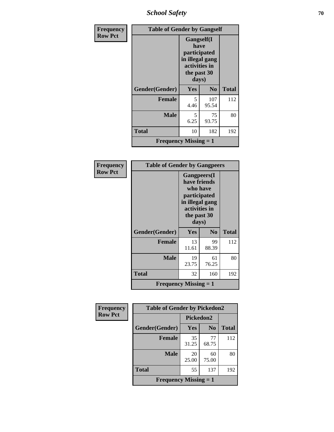*School Safety* **70**

| Frequency      | <b>Table of Gender by Gangself</b> |                                                                                                |                |              |
|----------------|------------------------------------|------------------------------------------------------------------------------------------------|----------------|--------------|
| <b>Row Pct</b> |                                    | Gangself(I<br>have<br>participated<br>in illegal gang<br>activities in<br>the past 30<br>days) |                |              |
|                | Gender(Gender)                     | <b>Yes</b>                                                                                     | N <sub>0</sub> | <b>Total</b> |
|                | <b>Female</b>                      | 5<br>4.46                                                                                      | 107<br>95.54   | 112          |
|                | <b>Male</b>                        | 5<br>6.25                                                                                      | 75<br>93.75    | 80           |
|                | <b>Total</b>                       | 10                                                                                             | 182            | 192          |
|                | <b>Frequency Missing = 1</b>       |                                                                                                |                |              |

| Frequency      | <b>Table of Gender by Gangpeers</b> |                                                                                                                             |                |              |
|----------------|-------------------------------------|-----------------------------------------------------------------------------------------------------------------------------|----------------|--------------|
| <b>Row Pct</b> |                                     | <b>Gangpeers</b> (I<br>have friends<br>who have<br>participated<br>in illegal gang<br>activities in<br>the past 30<br>days) |                |              |
|                | Gender(Gender)                      | <b>Yes</b>                                                                                                                  | N <sub>0</sub> | <b>Total</b> |
|                | <b>Female</b>                       | 13<br>11.61                                                                                                                 | 99<br>88.39    | 112          |
|                | <b>Male</b>                         | 19<br>23.75                                                                                                                 | 61<br>76.25    | 80           |
|                | <b>Total</b>                        | 32                                                                                                                          | 160            | 192          |
|                | <b>Frequency Missing = 1</b>        |                                                                                                                             |                |              |

| Frequency      | <b>Table of Gender by Pickedon2</b>       |             |                |              |
|----------------|-------------------------------------------|-------------|----------------|--------------|
| <b>Row Pct</b> |                                           | Pickedon2   |                |              |
|                | Gender(Gender)                            | Yes         | N <sub>0</sub> | <b>Total</b> |
|                | <b>Female</b>                             | 35<br>31.25 | 77<br>68.75    | 112          |
|                | <b>Male</b>                               | 20<br>25.00 | 60<br>75.00    | 80           |
|                | <b>Total</b>                              | 55          | 137            | 192          |
|                | <b>Frequency Missing <math>= 1</math></b> |             |                |              |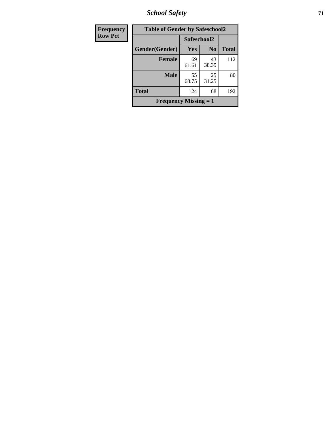*School Safety* **71**

| <b>Frequency</b> | <b>Table of Gender by Safeschool2</b> |             |                |              |  |
|------------------|---------------------------------------|-------------|----------------|--------------|--|
| <b>Row Pct</b>   |                                       | Safeschool2 |                |              |  |
|                  | Gender(Gender)                        | Yes         | N <sub>0</sub> | <b>Total</b> |  |
|                  | <b>Female</b>                         | 69<br>61.61 | 43<br>38.39    | 112          |  |
|                  | <b>Male</b>                           | 55<br>68.75 | 25<br>31.25    | 80           |  |
|                  | <b>Total</b>                          | 124         | 68             | 192          |  |
|                  | <b>Frequency Missing = 1</b>          |             |                |              |  |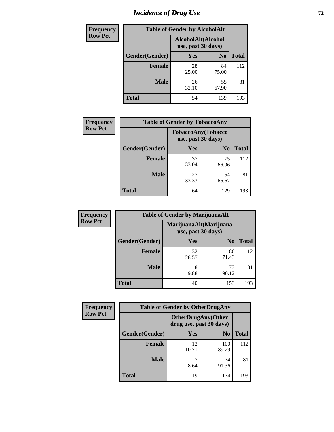# *Incidence of Drug Use 72*

| <b>Frequency</b> | <b>Table of Gender by AlcoholAlt</b> |                                          |                |              |  |
|------------------|--------------------------------------|------------------------------------------|----------------|--------------|--|
| <b>Row Pct</b>   |                                      | AlcoholAlt(Alcohol<br>use, past 30 days) |                |              |  |
|                  | Gender(Gender)                       | Yes                                      | N <sub>0</sub> | <b>Total</b> |  |
|                  | <b>Female</b>                        | 28<br>25.00                              | 84<br>75.00    | 112          |  |
|                  | <b>Male</b>                          | 26<br>32.10                              | 55<br>67.90    | 81           |  |
|                  | <b>Total</b>                         | 54                                       | 139            | 193          |  |

| Frequency      | <b>Table of Gender by TobaccoAny</b> |                                          |                |              |  |
|----------------|--------------------------------------|------------------------------------------|----------------|--------------|--|
| <b>Row Pct</b> |                                      | TobaccoAny(Tobacco<br>use, past 30 days) |                |              |  |
|                | Gender(Gender)                       | Yes                                      | N <sub>0</sub> | <b>Total</b> |  |
|                | <b>Female</b>                        | 37<br>33.04                              | 75<br>66.96    | 112          |  |
|                | <b>Male</b>                          | 27<br>33.33                              | 54<br>66.67    | 81           |  |
|                | Total                                | 64                                       | 129            | 193          |  |

| <b>Frequency</b> | <b>Table of Gender by MarijuanaAlt</b> |                                              |                |              |  |
|------------------|----------------------------------------|----------------------------------------------|----------------|--------------|--|
| <b>Row Pct</b>   |                                        | MarijuanaAlt(Marijuana<br>use, past 30 days) |                |              |  |
|                  | Gender(Gender)                         | <b>Yes</b>                                   | N <sub>0</sub> | <b>Total</b> |  |
|                  | Female                                 | 32<br>28.57                                  | 80<br>71.43    | 112          |  |
|                  | <b>Male</b>                            | 8<br>9.88                                    | 73<br>90.12    | 81           |  |
|                  | <b>Total</b>                           | 40                                           | 153            | 193          |  |

| <b>Frequency</b> | <b>Table of Gender by OtherDrugAny</b> |                                                      |                |              |  |
|------------------|----------------------------------------|------------------------------------------------------|----------------|--------------|--|
| <b>Row Pct</b>   |                                        | <b>OtherDrugAny(Other</b><br>drug use, past 30 days) |                |              |  |
|                  | Gender(Gender)                         | <b>Yes</b>                                           | N <sub>0</sub> | <b>Total</b> |  |
|                  | <b>Female</b>                          | 12<br>10.71                                          | 100<br>89.29   | 112          |  |
|                  | <b>Male</b>                            | 8.64                                                 | 74<br>91.36    | 81           |  |
|                  | <b>Total</b>                           | 19                                                   | 174            | 193          |  |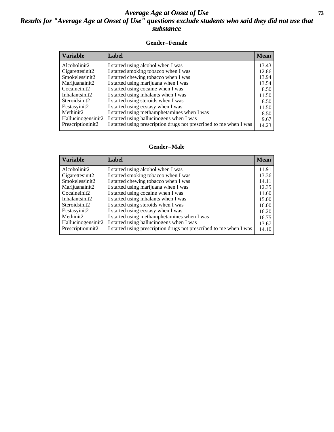## *Average Age at Onset of Use* **73** *Results for "Average Age at Onset of Use" questions exclude students who said they did not use that substance*

## **Gender=Female**

| <b>Variable</b>                 | Label                                                              | <b>Mean</b> |
|---------------------------------|--------------------------------------------------------------------|-------------|
| Alcoholinit2                    | I started using alcohol when I was                                 | 13.43       |
| Cigarettesinit2                 | I started smoking tobacco when I was                               | 12.86       |
| Smokelessinit2                  | I started chewing tobacco when I was                               | 13.94       |
| Marijuanainit2                  | I started using marijuana when I was                               | 13.54       |
| Cocaineinit2                    | I started using cocaine when I was                                 | 8.50        |
| Inhalantsinit2                  | I started using inhalants when I was                               | 11.50       |
| Steroidsinit2                   | I started using steroids when I was                                | 8.50        |
| Ecstasyinit2                    | I started using ecstasy when I was                                 | 11.50       |
| Methinit2                       | I started using methamphetamines when I was                        | 8.50        |
| Hallucinogensinit2              | I started using hallucinogens when I was                           | 9.67        |
| Prescription in it <sub>2</sub> | I started using prescription drugs not prescribed to me when I was | 14.23       |

## **Gender=Male**

| <b>Variable</b>                 | Label                                                              | <b>Mean</b> |
|---------------------------------|--------------------------------------------------------------------|-------------|
| Alcoholinit2                    | I started using alcohol when I was                                 | 11.91       |
| Cigarettesinit2                 | I started smoking tobacco when I was                               | 13.36       |
| Smokelessinit2                  | I started chewing tobacco when I was                               | 14.11       |
| Marijuanainit2                  | I started using marijuana when I was                               | 12.35       |
| Cocaineinit2                    | I started using cocaine when I was                                 | 11.60       |
| Inhalantsinit2                  | I started using inhalants when I was                               | 15.00       |
| Steroidsinit2                   | I started using steroids when I was                                | 16.00       |
| Ecstasyinit2                    | I started using ecstasy when I was                                 | 16.20       |
| Methinit <sub>2</sub>           | I started using methamphetamines when I was                        | 16.75       |
| Hallucinogensinit2              | I started using hallucinogens when I was                           | 13.67       |
| Prescription in it <sub>2</sub> | I started using prescription drugs not prescribed to me when I was | 14.10       |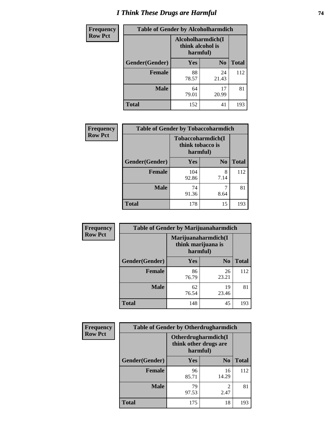# *I Think These Drugs are Harmful* **74**

| <b>Frequency</b> | <b>Table of Gender by Alcoholharmdich</b> |                  |                               |              |
|------------------|-------------------------------------------|------------------|-------------------------------|--------------|
| <b>Row Pct</b>   |                                           | think alcohol is | Alcoholharmdich(I<br>harmful) |              |
|                  | Gender(Gender)                            | Yes              | N <sub>0</sub>                | <b>Total</b> |
|                  | <b>Female</b>                             | 88<br>78.57      | 24<br>21.43                   | 112          |
|                  | <b>Male</b>                               | 64<br>79.01      | 17<br>20.99                   | 81           |
|                  | <b>Total</b>                              | 152              | 41                            | 193          |

| Frequency      | <b>Table of Gender by Tobaccoharmdich</b> |                              |                   |              |
|----------------|-------------------------------------------|------------------------------|-------------------|--------------|
| <b>Row Pct</b> |                                           | think tobacco is<br>harmful) | Tobaccoharmdich(I |              |
|                | Gender(Gender)                            | Yes                          | N <sub>0</sub>    | <b>Total</b> |
|                | <b>Female</b>                             | 104<br>92.86                 | 8<br>7.14         | 112          |
|                | <b>Male</b>                               | 74<br>91.36                  | 8.64              | 81           |
|                | <b>Total</b>                              | 178                          | 15                | 193          |

| Frequency      | <b>Table of Gender by Marijuanaharmdich</b> |                                                       |                |              |
|----------------|---------------------------------------------|-------------------------------------------------------|----------------|--------------|
| <b>Row Pct</b> |                                             | Marijuanaharmdich(I<br>think marijuana is<br>harmful) |                |              |
|                | Gender(Gender)                              | <b>Yes</b>                                            | N <sub>0</sub> | <b>Total</b> |
|                | <b>Female</b>                               | 86<br>76.79                                           | 26<br>23.21    | 112          |
|                | <b>Male</b>                                 | 62<br>76.54                                           | 19<br>23.46    | 81           |
|                | <b>Total</b>                                | 148                                                   | 45             | 193          |

| <b>Frequency</b> | <b>Table of Gender by Otherdrugharmdich</b> |                                                          |                |              |
|------------------|---------------------------------------------|----------------------------------------------------------|----------------|--------------|
| <b>Row Pct</b>   |                                             | Otherdrugharmdich(I<br>think other drugs are<br>harmful) |                |              |
|                  | Gender(Gender)                              | Yes                                                      | N <sub>0</sub> | <b>Total</b> |
|                  | <b>Female</b>                               | 96<br>85.71                                              | 16<br>14.29    | 112          |
|                  | <b>Male</b>                                 | 79<br>97.53                                              | 2<br>2.47      | 81           |
|                  | <b>Total</b>                                | 175                                                      | 18             | 193          |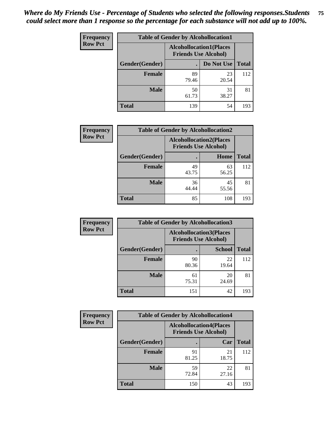| <b>Frequency</b> | <b>Table of Gender by Alcohollocation1</b>                    |             |             |              |
|------------------|---------------------------------------------------------------|-------------|-------------|--------------|
| <b>Row Pct</b>   | <b>Alcohollocation1(Places</b><br><b>Friends Use Alcohol)</b> |             |             |              |
|                  | Gender(Gender)                                                |             | Do Not Use  | <b>Total</b> |
|                  | <b>Female</b>                                                 | 89<br>79.46 | 23<br>20.54 | 112          |
|                  | <b>Male</b>                                                   | 50<br>61.73 | 31<br>38.27 | 81           |
|                  | <b>Total</b>                                                  | 139         | 54          | 193          |

| <b>Frequency</b> | <b>Table of Gender by Alcohollocation2</b> |                                                               |             |              |
|------------------|--------------------------------------------|---------------------------------------------------------------|-------------|--------------|
| <b>Row Pct</b>   |                                            | <b>Alcohollocation2(Places</b><br><b>Friends Use Alcohol)</b> |             |              |
|                  | Gender(Gender)                             |                                                               | Home        | <b>Total</b> |
|                  | Female                                     | 49<br>43.75                                                   | 63<br>56.25 | 112          |
|                  | <b>Male</b>                                | 36<br>44.44                                                   | 45<br>55.56 | 81           |
|                  | <b>Total</b>                               | 85                                                            | 108         | 193          |

| Frequency      | <b>Table of Gender by Alcohollocation3</b> |                                                               |               |              |
|----------------|--------------------------------------------|---------------------------------------------------------------|---------------|--------------|
| <b>Row Pct</b> |                                            | <b>Alcohollocation3(Places</b><br><b>Friends Use Alcohol)</b> |               |              |
|                | Gender(Gender)                             |                                                               | <b>School</b> | <b>Total</b> |
|                | <b>Female</b>                              | 90<br>80.36                                                   | 22<br>19.64   | 112          |
|                | <b>Male</b>                                | 61<br>75.31                                                   | 20<br>24.69   | 81           |
|                | <b>Total</b>                               | 151                                                           | 42            | 193          |

| <b>Frequency</b> | <b>Table of Gender by Alcohollocation4</b> |                                                               |             |              |
|------------------|--------------------------------------------|---------------------------------------------------------------|-------------|--------------|
| <b>Row Pct</b>   |                                            | <b>Alcohollocation4(Places</b><br><b>Friends Use Alcohol)</b> |             |              |
|                  | Gender(Gender)                             |                                                               | Car         | <b>Total</b> |
|                  | <b>Female</b>                              | 91<br>81.25                                                   | 21<br>18.75 | 112          |
|                  | <b>Male</b>                                | 59<br>72.84                                                   | 22<br>27.16 | 81           |
|                  | <b>Total</b>                               | 150                                                           | 43          | 193          |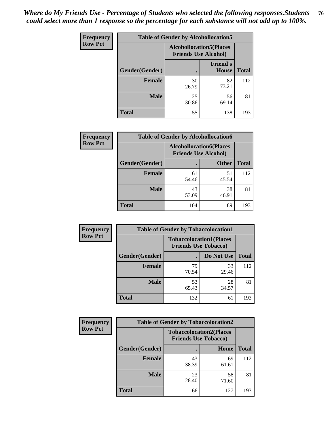| <b>Frequency</b> | <b>Table of Gender by Alcohollocation5</b> |                                 |                                 |              |
|------------------|--------------------------------------------|---------------------------------|---------------------------------|--------------|
| <b>Row Pct</b>   |                                            | <b>Alcohollocation5</b> (Places | <b>Friends Use Alcohol)</b>     |              |
|                  | Gender(Gender)                             |                                 | <b>Friend's</b><br><b>House</b> | <b>Total</b> |
|                  | <b>Female</b>                              | 30<br>26.79                     | 82<br>73.21                     | 112          |
|                  | <b>Male</b>                                | 25<br>30.86                     | 56<br>69.14                     | 81           |
|                  | <b>Total</b>                               | 55                              | 138                             | 193          |

| <b>Frequency</b> | <b>Table of Gender by Alcohollocation6</b> |                                                               |              |              |
|------------------|--------------------------------------------|---------------------------------------------------------------|--------------|--------------|
| <b>Row Pct</b>   |                                            | <b>Alcohollocation6(Places</b><br><b>Friends Use Alcohol)</b> |              |              |
|                  | Gender(Gender)                             |                                                               | <b>Other</b> | <b>Total</b> |
|                  | <b>Female</b>                              | 61<br>54.46                                                   | 51<br>45.54  | 112          |
|                  | <b>Male</b>                                | 43<br>53.09                                                   | 38<br>46.91  | 81           |
|                  | <b>Total</b>                               | 104                                                           | 89           | 193          |

| Frequency      | <b>Table of Gender by Tobaccolocation1</b> |                                                               |             |              |  |
|----------------|--------------------------------------------|---------------------------------------------------------------|-------------|--------------|--|
| <b>Row Pct</b> |                                            | <b>Tobaccolocation1(Places</b><br><b>Friends Use Tobacco)</b> |             |              |  |
|                | Gender(Gender)                             |                                                               | Do Not Use  | <b>Total</b> |  |
|                | Female                                     | 79<br>70.54                                                   | 33<br>29.46 | 112          |  |
|                | <b>Male</b>                                | 53<br>65.43                                                   | 28<br>34.57 | 81           |  |
|                | <b>Total</b>                               | 132                                                           | 61          | 193          |  |

| <b>Frequency</b> |                | <b>Table of Gender by Tobaccolocation2</b> |                                |              |
|------------------|----------------|--------------------------------------------|--------------------------------|--------------|
| <b>Row Pct</b>   |                | <b>Friends Use Tobacco)</b>                | <b>Tobaccolocation2(Places</b> |              |
|                  | Gender(Gender) |                                            | Home                           | <b>Total</b> |
|                  | Female         | 43<br>38.39                                | 69<br>61.61                    | 112          |
|                  | <b>Male</b>    | 23<br>28.40                                | 58<br>71.60                    | 81           |
|                  | <b>Total</b>   | 66                                         | 127                            | 193          |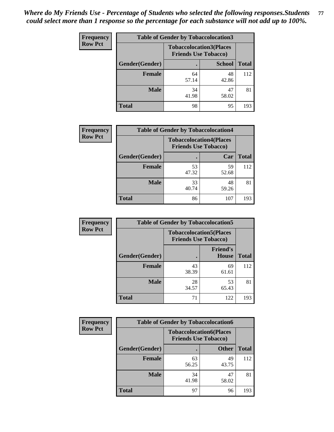| <b>Frequency</b> | <b>Table of Gender by Tobaccolocation3</b> |                             |                                |              |
|------------------|--------------------------------------------|-----------------------------|--------------------------------|--------------|
| <b>Row Pct</b>   |                                            | <b>Friends Use Tobacco)</b> | <b>Tobaccolocation3(Places</b> |              |
|                  | Gender(Gender)                             |                             | <b>School</b>                  | <b>Total</b> |
|                  | <b>Female</b>                              | 64<br>57.14                 | 48<br>42.86                    | 112          |
|                  | <b>Male</b>                                | 34<br>41.98                 | 47<br>58.02                    | 81           |
|                  | <b>Total</b>                               | 98                          | 95                             | 193          |

| <b>Frequency</b> | <b>Table of Gender by Tobaccolocation4</b> |                                                               |             |              |
|------------------|--------------------------------------------|---------------------------------------------------------------|-------------|--------------|
| <b>Row Pct</b>   |                                            | <b>Tobaccolocation4(Places</b><br><b>Friends Use Tobacco)</b> |             |              |
|                  | Gender(Gender)                             |                                                               | Car         | <b>Total</b> |
|                  | <b>Female</b>                              | 53<br>47.32                                                   | 59<br>52.68 | 112          |
|                  | <b>Male</b>                                | 33<br>40.74                                                   | 48<br>59.26 | 81           |
|                  | <b>Total</b>                               | 86                                                            | 107         | 193          |

| <b>Frequency</b> | <b>Table of Gender by Tobaccolocation5</b> |             |                                                               |              |
|------------------|--------------------------------------------|-------------|---------------------------------------------------------------|--------------|
| <b>Row Pct</b>   |                                            |             | <b>Tobaccolocation5(Places</b><br><b>Friends Use Tobacco)</b> |              |
|                  | Gender(Gender)                             |             | <b>Friend's</b><br><b>House</b>                               | <b>Total</b> |
|                  | <b>Female</b>                              | 43<br>38.39 | 69<br>61.61                                                   | 112          |
|                  | <b>Male</b>                                | 28<br>34.57 | 53<br>65.43                                                   | 81           |
|                  | <b>Total</b>                               | 71          | 122                                                           | 193          |

| <b>Frequency</b> | <b>Table of Gender by Tobaccolocation6</b> |             |                                                               |              |
|------------------|--------------------------------------------|-------------|---------------------------------------------------------------|--------------|
| <b>Row Pct</b>   |                                            |             | <b>Tobaccolocation6(Places</b><br><b>Friends Use Tobacco)</b> |              |
|                  | Gender(Gender)                             |             | <b>Other</b>                                                  | <b>Total</b> |
|                  | Female                                     | 63<br>56.25 | 49<br>43.75                                                   | 112          |
|                  | <b>Male</b>                                | 34<br>41.98 | 47<br>58.02                                                   | 81           |
|                  | <b>Total</b>                               | 97          | 96                                                            | 193          |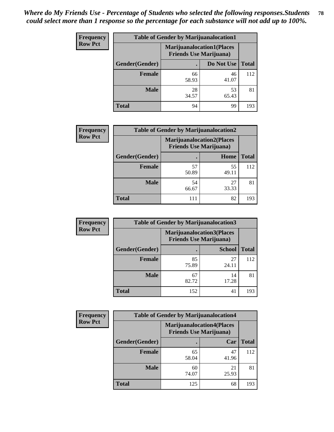| <b>Frequency</b> | <b>Table of Gender by Marijuanalocation1</b> |                                                                    |             |              |
|------------------|----------------------------------------------|--------------------------------------------------------------------|-------------|--------------|
| <b>Row Pct</b>   |                                              | <b>Marijuanalocation1(Places</b><br><b>Friends Use Marijuana</b> ) |             |              |
|                  | Gender(Gender)                               |                                                                    | Do Not Use  | <b>Total</b> |
|                  | <b>Female</b>                                | 66<br>58.93                                                        | 46<br>41.07 | 112          |
|                  | <b>Male</b>                                  | 28<br>34.57                                                        | 53<br>65.43 | 81           |
|                  | <b>Total</b>                                 | 94                                                                 | 99          | 193          |

| <b>Frequency</b> |                | <b>Table of Gender by Marijuanalocation2</b>                       |             |              |
|------------------|----------------|--------------------------------------------------------------------|-------------|--------------|
| <b>Row Pct</b>   |                | <b>Marijuanalocation2(Places</b><br><b>Friends Use Marijuana</b> ) |             |              |
|                  | Gender(Gender) |                                                                    | Home        | <b>Total</b> |
|                  | <b>Female</b>  | 57<br>50.89                                                        | 55<br>49.11 | 112          |
|                  | <b>Male</b>    | 54<br>66.67                                                        | 27<br>33.33 | 81           |
|                  | <b>Total</b>   | 111                                                                | 82          | 193          |

| Frequency      | <b>Table of Gender by Marijuanalocation3</b> |             |                                                                    |              |
|----------------|----------------------------------------------|-------------|--------------------------------------------------------------------|--------------|
| <b>Row Pct</b> |                                              |             | <b>Marijuanalocation3(Places</b><br><b>Friends Use Marijuana</b> ) |              |
|                | Gender(Gender)                               |             | <b>School</b>                                                      | <b>Total</b> |
|                | Female                                       | 85<br>75.89 | 27<br>24.11                                                        | 112          |
|                | <b>Male</b>                                  | 67<br>82.72 | 14<br>17.28                                                        | 81           |
|                | <b>Total</b>                                 | 152         | 41                                                                 | 193          |

| <b>Frequency</b> | <b>Table of Gender by Marijuanalocation4</b> |                                |                                  |              |  |
|------------------|----------------------------------------------|--------------------------------|----------------------------------|--------------|--|
| <b>Row Pct</b>   |                                              | <b>Friends Use Marijuana</b> ) | <b>Marijuanalocation4(Places</b> |              |  |
|                  | Gender(Gender)                               |                                | Car                              | <b>Total</b> |  |
|                  | <b>Female</b>                                | 65<br>58.04                    | 47<br>41.96                      | 112          |  |
|                  | <b>Male</b>                                  | 60<br>74.07                    | 21<br>25.93                      | 81           |  |
|                  | <b>Total</b>                                 | 125                            | 68                               | 193          |  |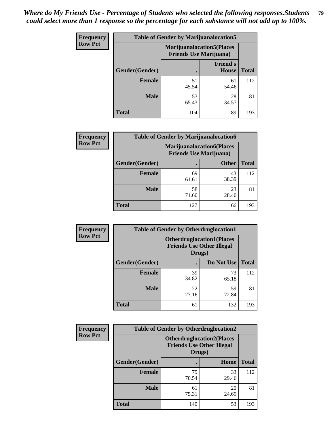| <b>Frequency</b> | <b>Table of Gender by Marijuanalocation5</b> |                                                                    |                                 |              |
|------------------|----------------------------------------------|--------------------------------------------------------------------|---------------------------------|--------------|
| <b>Row Pct</b>   |                                              | <b>Marijuanalocation5(Places</b><br><b>Friends Use Marijuana</b> ) |                                 |              |
|                  | Gender(Gender)                               |                                                                    | <b>Friend's</b><br><b>House</b> | <b>Total</b> |
|                  | <b>Female</b>                                | 51<br>45.54                                                        | 61<br>54.46                     | 112          |
|                  | <b>Male</b>                                  | 53<br>65.43                                                        | 28<br>34.57                     | 81           |
|                  | <b>Total</b>                                 | 104                                                                | 89                              | 193          |

| <b>Frequency</b> |                        | <b>Table of Gender by Marijuanalocation6</b> |                                                                    |              |
|------------------|------------------------|----------------------------------------------|--------------------------------------------------------------------|--------------|
| <b>Row Pct</b>   |                        |                                              | <b>Marijuanalocation6(Places</b><br><b>Friends Use Marijuana</b> ) |              |
|                  | <b>Gender</b> (Gender) |                                              | <b>Other</b>                                                       | <b>Total</b> |
|                  | <b>Female</b>          | 69<br>61.61                                  | 43<br>38.39                                                        | 112          |
|                  | <b>Male</b>            | 58<br>71.60                                  | 23<br>28.40                                                        | 81           |
|                  | <b>Total</b>           | 127                                          | 66                                                                 | 193          |

| <b>Frequency</b> | <b>Table of Gender by Otherdruglocation1</b> |                                                                                |             |              |
|------------------|----------------------------------------------|--------------------------------------------------------------------------------|-------------|--------------|
| <b>Row Pct</b>   |                                              | <b>Otherdruglocation1(Places</b><br><b>Friends Use Other Illegal</b><br>Drugs) |             |              |
|                  | Gender(Gender)                               |                                                                                | Do Not Use  | <b>Total</b> |
|                  | Female                                       | 39<br>34.82                                                                    | 73<br>65.18 | 112          |
|                  | <b>Male</b>                                  | 22<br>27.16                                                                    | 59<br>72.84 | 81           |
|                  | <b>Total</b>                                 | 61                                                                             | 132         | 193          |

| Frequency      | <b>Table of Gender by Otherdruglocation2</b> |                                            |                                  |              |
|----------------|----------------------------------------------|--------------------------------------------|----------------------------------|--------------|
| <b>Row Pct</b> |                                              | <b>Friends Use Other Illegal</b><br>Drugs) | <b>Otherdruglocation2(Places</b> |              |
|                | Gender(Gender)                               |                                            | <b>Home</b>                      | <b>Total</b> |
|                | Female                                       | 79<br>70.54                                | 33<br>29.46                      | 112          |
|                | <b>Male</b>                                  | 61<br>75.31                                | 20<br>24.69                      | 81           |
|                | <b>Total</b>                                 | 140                                        | 53                               | 193          |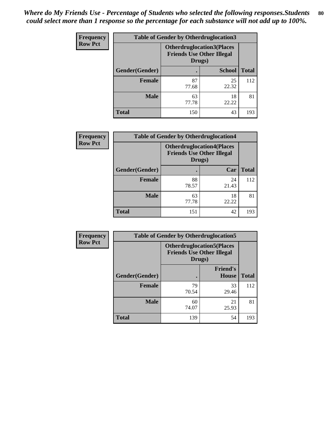| <b>Frequency</b> | <b>Table of Gender by Otherdruglocation3</b> |                                                                                |               |              |
|------------------|----------------------------------------------|--------------------------------------------------------------------------------|---------------|--------------|
| <b>Row Pct</b>   |                                              | <b>Otherdruglocation3(Places</b><br><b>Friends Use Other Illegal</b><br>Drugs) |               |              |
|                  | Gender(Gender)                               |                                                                                | <b>School</b> | <b>Total</b> |
|                  | <b>Female</b>                                | 87<br>77.68                                                                    | 25<br>22.32   | 112          |
|                  | <b>Male</b>                                  | 63<br>77.78                                                                    | 18<br>22.22   | 81           |
|                  | <b>Total</b>                                 | 150                                                                            | 43            | 193          |

| Frequency      |                | <b>Table of Gender by Otherdruglocation4</b> |                                  |              |
|----------------|----------------|----------------------------------------------|----------------------------------|--------------|
| <b>Row Pct</b> |                | <b>Friends Use Other Illegal</b><br>Drugs)   | <b>Otherdruglocation4(Places</b> |              |
|                | Gender(Gender) |                                              | Car                              | <b>Total</b> |
|                | <b>Female</b>  | 88<br>78.57                                  | 24<br>21.43                      | 112          |
|                | <b>Male</b>    | 63<br>77.78                                  | 18<br>22.22                      | 81           |
|                | <b>Total</b>   | 151                                          | 42                               | 193          |

| Frequency      | <b>Table of Gender by Otherdruglocation5</b>                                   |             |                                 |              |
|----------------|--------------------------------------------------------------------------------|-------------|---------------------------------|--------------|
| <b>Row Pct</b> | <b>Otherdruglocation5(Places</b><br><b>Friends Use Other Illegal</b><br>Drugs) |             |                                 |              |
|                | Gender(Gender)                                                                 |             | <b>Friend's</b><br><b>House</b> | <b>Total</b> |
|                | <b>Female</b>                                                                  | 79<br>70.54 | 33<br>29.46                     | 112          |
|                | <b>Male</b>                                                                    | 60<br>74.07 | 21<br>25.93                     | 81           |
|                | <b>Total</b>                                                                   | 139         | 54                              | 193          |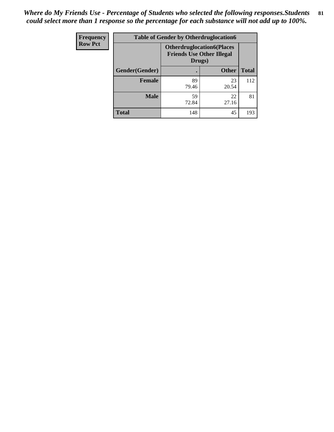| Frequency      | <b>Table of Gender by Otherdruglocation6</b> |                                                                                |              |              |
|----------------|----------------------------------------------|--------------------------------------------------------------------------------|--------------|--------------|
| <b>Row Pct</b> |                                              | <b>Otherdruglocation6(Places</b><br><b>Friends Use Other Illegal</b><br>Drugs) |              |              |
|                | Gender(Gender)                               |                                                                                | <b>Other</b> | <b>Total</b> |
|                | Female                                       | 89<br>79.46                                                                    | 23<br>20.54  | 112          |
|                | <b>Male</b>                                  | 59<br>72.84                                                                    | 22<br>27.16  | 81           |
|                | <b>Total</b>                                 | 148                                                                            | 45           | 193          |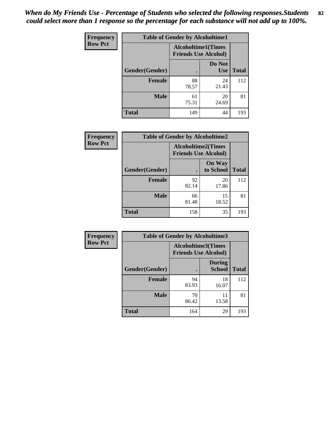| <b>Frequency</b> | <b>Table of Gender by Alcoholtime1</b> |                                                          |                      |              |
|------------------|----------------------------------------|----------------------------------------------------------|----------------------|--------------|
| <b>Row Pct</b>   |                                        | <b>Alcoholtime1(Times</b><br><b>Friends Use Alcohol)</b> |                      |              |
|                  | Gender(Gender)                         | $\bullet$                                                | Do Not<br><b>Use</b> | <b>Total</b> |
|                  | <b>Female</b>                          | 88<br>78.57                                              | 24<br>21.43          | 112          |
|                  | <b>Male</b>                            | 61<br>75.31                                              | 20<br>24.69          | 81           |
|                  | <b>Total</b>                           | 149                                                      | 44                   | 193          |

| <b>Frequency</b> | <b>Table of Gender by Alcoholtime2</b> |                                                          |                            |              |
|------------------|----------------------------------------|----------------------------------------------------------|----------------------------|--------------|
| <b>Row Pct</b>   |                                        | <b>Alcoholtime2(Times</b><br><b>Friends Use Alcohol)</b> |                            |              |
|                  | Gender(Gender)                         |                                                          | <b>On Way</b><br>to School | <b>Total</b> |
|                  | <b>Female</b>                          | 92<br>82.14                                              | 20<br>17.86                | 112          |
|                  | <b>Male</b>                            | 66<br>81.48                                              | 15<br>18.52                | 81           |
|                  | <b>Total</b>                           | 158                                                      | 35                         | 193          |

| Frequency      | <b>Table of Gender by Alcoholtime3</b> |                                                   |                                |              |
|----------------|----------------------------------------|---------------------------------------------------|--------------------------------|--------------|
| <b>Row Pct</b> |                                        | Alcoholtime3(Times<br><b>Friends Use Alcohol)</b> |                                |              |
|                | Gender(Gender)                         |                                                   | <b>During</b><br><b>School</b> | <b>Total</b> |
|                | Female                                 | 94<br>83.93                                       | 18<br>16.07                    | 112          |
|                | <b>Male</b>                            | 70<br>86.42                                       | 11<br>13.58                    | 81           |
|                | <b>Total</b>                           | 164                                               | 29                             | 193          |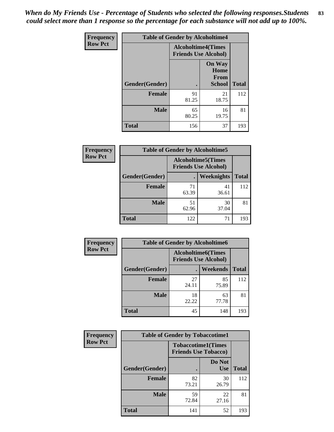*When do My Friends Use - Percentage of Students who selected the following responses.Students could select more than 1 response so the percentage for each substance will not add up to 100%.* **83**

| <b>Frequency</b> | <b>Table of Gender by Alcoholtime4</b> |                                                          |                                         |              |
|------------------|----------------------------------------|----------------------------------------------------------|-----------------------------------------|--------------|
| <b>Row Pct</b>   |                                        | <b>Alcoholtime4(Times</b><br><b>Friends Use Alcohol)</b> |                                         |              |
|                  | Gender(Gender)                         | $\bullet$                                                | <b>On Way</b><br>Home<br>From<br>School | <b>Total</b> |
|                  | <b>Female</b>                          | 91<br>81.25                                              | 21<br>18.75                             | 112          |
|                  | <b>Male</b>                            | 65<br>80.25                                              | 16<br>19.75                             | 81           |
|                  | <b>Total</b>                           | 156                                                      | 37                                      | 193          |

| <b>Frequency</b> | <b>Table of Gender by Alcoholtime5</b>                    |             |             |              |
|------------------|-----------------------------------------------------------|-------------|-------------|--------------|
| <b>Row Pct</b>   | <b>Alcoholtime5</b> (Times<br><b>Friends Use Alcohol)</b> |             |             |              |
|                  | Gender(Gender)                                            |             | Weeknights  | <b>Total</b> |
|                  | <b>Female</b>                                             | 71<br>63.39 | 41<br>36.61 | 112          |
|                  | <b>Male</b>                                               | 51<br>62.96 | 30<br>37.04 | 81           |
|                  | <b>Total</b>                                              | 122         | 71          | 193          |

| <b>Frequency</b> | <b>Table of Gender by Alcoholtime6</b> |             |                                                           |              |
|------------------|----------------------------------------|-------------|-----------------------------------------------------------|--------------|
| <b>Row Pct</b>   |                                        |             | <b>Alcoholtime6</b> (Times<br><b>Friends Use Alcohol)</b> |              |
|                  | Gender(Gender)                         |             | <b>Weekends</b>                                           | <b>Total</b> |
|                  | <b>Female</b>                          | 27<br>24.11 | 85<br>75.89                                               | 112          |
|                  | <b>Male</b>                            | 18<br>22.22 | 63<br>77.78                                               | 81           |
|                  | Total                                  | 45          | 148                                                       | 193          |

| Frequency      | <b>Table of Gender by Tobaccotime1</b> |                             |                           |              |
|----------------|----------------------------------------|-----------------------------|---------------------------|--------------|
| <b>Row Pct</b> |                                        | <b>Friends Use Tobacco)</b> | <b>Tobaccotime1(Times</b> |              |
|                | Gender(Gender)                         |                             | Do Not<br><b>Use</b>      | <b>Total</b> |
|                | Female                                 | 82<br>73.21                 | 30<br>26.79               | 112          |
|                | <b>Male</b>                            | 59<br>72.84                 | 22<br>27.16               | 81           |
|                | <b>Total</b>                           | 141                         | 52                        | 193          |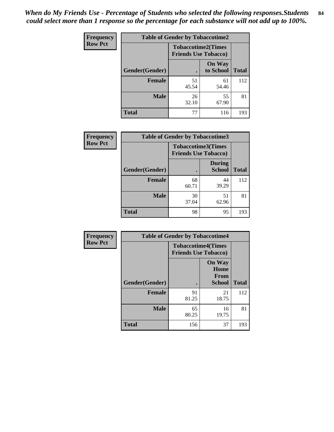*When do My Friends Use - Percentage of Students who selected the following responses.Students could select more than 1 response so the percentage for each substance will not add up to 100%.* **84**

| Frequency      | <b>Table of Gender by Tobaccotime2</b> |                                                          |                            |              |
|----------------|----------------------------------------|----------------------------------------------------------|----------------------------|--------------|
| <b>Row Pct</b> |                                        | <b>Tobaccotime2(Times</b><br><b>Friends Use Tobacco)</b> |                            |              |
|                | Gender(Gender)                         |                                                          | <b>On Way</b><br>to School | <b>Total</b> |
|                | <b>Female</b>                          | 51<br>45.54                                              | 61<br>54.46                | 112          |
|                | <b>Male</b>                            | 26<br>32.10                                              | 55<br>67.90                | 81           |
|                | Total                                  | 77                                                       | 116                        | 193          |

| Frequency      | <b>Table of Gender by Tobaccotime3</b> |                                                          |                                |              |
|----------------|----------------------------------------|----------------------------------------------------------|--------------------------------|--------------|
| <b>Row Pct</b> |                                        | <b>Tobaccotime3(Times</b><br><b>Friends Use Tobacco)</b> |                                |              |
|                | Gender(Gender)                         |                                                          | <b>During</b><br><b>School</b> | <b>Total</b> |
|                | Female                                 | 68<br>60.71                                              | 44<br>39.29                    | 112          |
|                | <b>Male</b>                            | 30<br>37.04                                              | 51<br>62.96                    | 81           |
|                | <b>Total</b>                           | 98                                                       | 95                             | 193          |

| Frequency      | <b>Table of Gender by Tobaccotime4</b> |                                                          |                                                |              |
|----------------|----------------------------------------|----------------------------------------------------------|------------------------------------------------|--------------|
| <b>Row Pct</b> |                                        | <b>Tobaccotime4(Times</b><br><b>Friends Use Tobacco)</b> |                                                |              |
|                | Gender(Gender)                         |                                                          | <b>On Way</b><br>Home<br>From<br><b>School</b> | <b>Total</b> |
|                | <b>Female</b>                          | 91<br>81.25                                              | 21<br>18.75                                    | 112          |
|                | <b>Male</b>                            | 65<br>80.25                                              | 16<br>19.75                                    | 81           |
|                | <b>Total</b>                           | 156                                                      | 37                                             | 193          |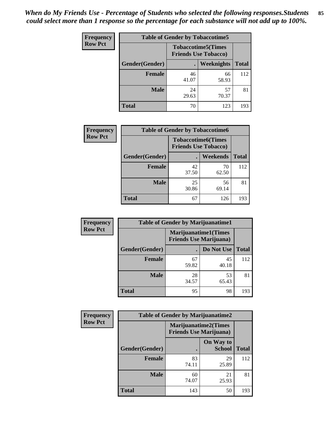| <b>Frequency</b> | <b>Table of Gender by Tobaccotime5</b> |             |                                                           |              |  |
|------------------|----------------------------------------|-------------|-----------------------------------------------------------|--------------|--|
| <b>Row Pct</b>   |                                        |             | <b>Tobaccotime5</b> (Times<br><b>Friends Use Tobacco)</b> |              |  |
|                  | <b>Gender</b> (Gender)                 |             | Weeknights                                                | <b>Total</b> |  |
|                  | <b>Female</b>                          | 46<br>41.07 | 66<br>58.93                                               | 112          |  |
|                  | <b>Male</b>                            | 24<br>29.63 | 57<br>70.37                                               | 81           |  |
|                  | <b>Total</b>                           | 70          | 123                                                       | 193          |  |

| Frequency      | <b>Table of Gender by Tobaccotime6</b> |                                                          |                 |              |
|----------------|----------------------------------------|----------------------------------------------------------|-----------------|--------------|
| <b>Row Pct</b> |                                        | <b>Tobaccotime6(Times</b><br><b>Friends Use Tobacco)</b> |                 |              |
|                | Gender(Gender)                         |                                                          | <b>Weekends</b> | <b>Total</b> |
|                | <b>Female</b>                          | 42<br>37.50                                              | 70<br>62.50     | 112          |
|                | <b>Male</b>                            | 25<br>30.86                                              | 56<br>69.14     | 81           |
|                | <b>Total</b>                           | 67                                                       | 126             | 193          |

| <b>Frequency</b> | <b>Table of Gender by Marijuanatime1</b> |                                |                             |              |
|------------------|------------------------------------------|--------------------------------|-----------------------------|--------------|
| <b>Row Pct</b>   |                                          | <b>Friends Use Marijuana</b> ) | <b>Marijuanatime1(Times</b> |              |
|                  | Gender(Gender)                           |                                | Do Not Use                  | <b>Total</b> |
|                  | <b>Female</b>                            | 67<br>59.82                    | 45<br>40.18                 | 112          |
|                  | <b>Male</b>                              | 28<br>34.57                    | 53<br>65.43                 | 81           |
|                  | <b>Total</b>                             | 95                             | 98                          | 193          |

| <b>Frequency</b> | <b>Table of Gender by Marijuanatime2</b> |                                                        |                            |              |
|------------------|------------------------------------------|--------------------------------------------------------|----------------------------|--------------|
| <b>Row Pct</b>   |                                          | Marijuanatime2(Times<br><b>Friends Use Marijuana</b> ) |                            |              |
|                  | Gender(Gender)                           |                                                        | On Way to<br><b>School</b> | <b>Total</b> |
|                  | <b>Female</b>                            | 83<br>74.11                                            | 29<br>25.89                | 112          |
|                  | <b>Male</b>                              | 60<br>74.07                                            | 21<br>25.93                | 81           |
|                  | <b>Total</b>                             | 143                                                    | 50                         | 193          |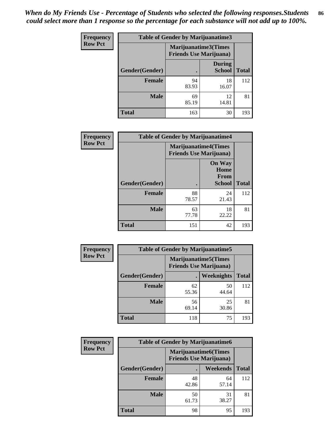| Frequency      | <b>Table of Gender by Marijuanatime3</b> |                                                        |                                |              |
|----------------|------------------------------------------|--------------------------------------------------------|--------------------------------|--------------|
| <b>Row Pct</b> |                                          | Marijuanatime3(Times<br><b>Friends Use Marijuana</b> ) |                                |              |
|                | Gender(Gender)                           |                                                        | <b>During</b><br><b>School</b> | <b>Total</b> |
|                | <b>Female</b>                            | 94<br>83.93                                            | 18<br>16.07                    | 112          |
|                | <b>Male</b>                              | 69<br>85.19                                            | 12<br>14.81                    | 81           |
|                | <b>Total</b>                             | 163                                                    | 30                             | 193          |

| <b>Frequency</b> | <b>Table of Gender by Marijuanatime4</b> |                                |                                                |              |
|------------------|------------------------------------------|--------------------------------|------------------------------------------------|--------------|
| <b>Row Pct</b>   |                                          | <b>Friends Use Marijuana</b> ) | <b>Marijuanatime4(Times</b>                    |              |
|                  | Gender(Gender)                           | ٠                              | <b>On Way</b><br>Home<br>From<br><b>School</b> | <b>Total</b> |
|                  | <b>Female</b>                            | 88<br>78.57                    | 24<br>21.43                                    | 112          |
|                  | <b>Male</b>                              | 63<br>77.78                    | 18<br>22.22                                    | 81           |
|                  | <b>Total</b>                             | 151                            | 42                                             | 193          |

| Frequency      | <b>Table of Gender by Marijuanatime5</b> |             |                                                                |              |
|----------------|------------------------------------------|-------------|----------------------------------------------------------------|--------------|
| <b>Row Pct</b> |                                          |             | <b>Marijuanatime5</b> (Times<br><b>Friends Use Marijuana</b> ) |              |
|                | Gender(Gender)                           | ٠           | Weeknights                                                     | <b>Total</b> |
|                | <b>Female</b>                            | 62<br>55.36 | 50<br>44.64                                                    | 112          |
|                | <b>Male</b>                              | 56<br>69.14 | 25<br>30.86                                                    | 81           |
|                | <b>Total</b>                             | 118         | 75                                                             | 193          |

| Frequency      | <b>Table of Gender by Marijuanatime6</b> |                                                               |                 |              |  |
|----------------|------------------------------------------|---------------------------------------------------------------|-----------------|--------------|--|
| <b>Row Pct</b> |                                          | <b>Marijuanatime6(Times</b><br><b>Friends Use Marijuana</b> ) |                 |              |  |
|                | Gender(Gender)                           |                                                               | <b>Weekends</b> | <b>Total</b> |  |
|                | <b>Female</b>                            | 48<br>42.86                                                   | 64<br>57.14     | 112          |  |
|                | <b>Male</b>                              | 50<br>61.73                                                   | 31<br>38.27     | 81           |  |
|                | <b>Total</b>                             | 98                                                            | 95              | 193          |  |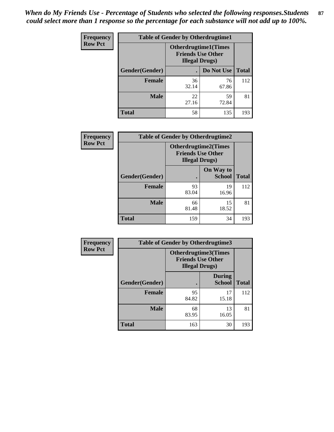*When do My Friends Use - Percentage of Students who selected the following responses.Students could select more than 1 response so the percentage for each substance will not add up to 100%.* **87**

| <b>Frequency</b> | <b>Table of Gender by Otherdrugtime1</b> |                                                                                    |                    |     |  |
|------------------|------------------------------------------|------------------------------------------------------------------------------------|--------------------|-----|--|
| <b>Row Pct</b>   |                                          | <b>Otherdrugtime1</b> (Times<br><b>Friends Use Other</b><br><b>Illegal Drugs</b> ) |                    |     |  |
|                  | Gender(Gender)                           |                                                                                    | Do Not Use   Total |     |  |
|                  | <b>Female</b>                            | 36<br>32.14                                                                        | 76<br>67.86        | 112 |  |
|                  | <b>Male</b>                              | 22<br>27.16                                                                        | 59<br>72.84        | 81  |  |
|                  | <b>Total</b>                             | 58                                                                                 | 135                | 193 |  |

| Frequency      | <b>Table of Gender by Otherdrugtime2</b> |                                                                                   |                            |              |  |
|----------------|------------------------------------------|-----------------------------------------------------------------------------------|----------------------------|--------------|--|
| <b>Row Pct</b> |                                          | <b>Otherdrugtime2(Times</b><br><b>Friends Use Other</b><br><b>Illegal Drugs</b> ) |                            |              |  |
|                | Gender(Gender)                           |                                                                                   | On Way to<br><b>School</b> | <b>Total</b> |  |
|                | <b>Female</b>                            | 93<br>83.04                                                                       | 19<br>16.96                | 112          |  |
|                | <b>Male</b>                              | 66<br>81.48                                                                       | 15<br>18.52                | 81           |  |
|                | <b>Total</b>                             | 159                                                                               | 34                         | 193          |  |

| Frequency      | <b>Table of Gender by Otherdrugtime3</b> |                                                                                   |                                |              |  |
|----------------|------------------------------------------|-----------------------------------------------------------------------------------|--------------------------------|--------------|--|
| <b>Row Pct</b> |                                          | <b>Otherdrugtime3(Times</b><br><b>Friends Use Other</b><br><b>Illegal Drugs</b> ) |                                |              |  |
|                | Gender(Gender)                           |                                                                                   | <b>During</b><br><b>School</b> | <b>Total</b> |  |
|                | <b>Female</b>                            | 95<br>84.82                                                                       | 17<br>15.18                    | 112          |  |
|                | <b>Male</b>                              | 68<br>83.95                                                                       | 13<br>16.05                    | 81           |  |
|                | <b>Total</b>                             | 163                                                                               | 30                             | 193          |  |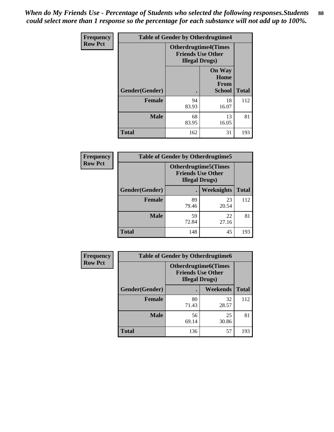*When do My Friends Use - Percentage of Students who selected the following responses.Students could select more than 1 response so the percentage for each substance will not add up to 100%.* **88**

| <b>Frequency</b> | <b>Table of Gender by Otherdrugtime4</b> |                                                                                   |                                                       |              |  |
|------------------|------------------------------------------|-----------------------------------------------------------------------------------|-------------------------------------------------------|--------------|--|
| <b>Row Pct</b>   |                                          | <b>Otherdrugtime4(Times</b><br><b>Friends Use Other</b><br><b>Illegal Drugs</b> ) |                                                       |              |  |
|                  | Gender(Gender)                           |                                                                                   | <b>On Way</b><br>Home<br><b>From</b><br><b>School</b> | <b>Total</b> |  |
|                  | <b>Female</b>                            | 94<br>83.93                                                                       | 18<br>16.07                                           | 112          |  |
|                  | <b>Male</b>                              | 68<br>83.95                                                                       | 13<br>16.05                                           | 81           |  |
|                  | <b>Total</b>                             | 162                                                                               | 31                                                    | 193          |  |

| Frequency      | <b>Table of Gender by Otherdrugtime5</b> |                                                                                    |                   |              |  |
|----------------|------------------------------------------|------------------------------------------------------------------------------------|-------------------|--------------|--|
| <b>Row Pct</b> |                                          | <b>Otherdrugtime5</b> (Times<br><b>Friends Use Other</b><br><b>Illegal Drugs</b> ) |                   |              |  |
|                | Gender(Gender)                           |                                                                                    | <b>Weeknights</b> | <b>Total</b> |  |
|                | <b>Female</b>                            | 89<br>79.46                                                                        | 23<br>20.54       | 112          |  |
|                | <b>Male</b>                              | 59<br>72.84                                                                        | 22<br>27.16       | 81           |  |
|                | <b>Total</b>                             | 148                                                                                | 45                | 193          |  |

| Frequency      | <b>Table of Gender by Otherdrugtime6</b> |                                                                                   |                 |              |  |  |
|----------------|------------------------------------------|-----------------------------------------------------------------------------------|-----------------|--------------|--|--|
| <b>Row Pct</b> |                                          | <b>Otherdrugtime6(Times</b><br><b>Friends Use Other</b><br><b>Illegal Drugs</b> ) |                 |              |  |  |
|                | Gender(Gender)                           |                                                                                   | <b>Weekends</b> | <b>Total</b> |  |  |
|                | <b>Female</b>                            | 80<br>71.43                                                                       | 32<br>28.57     | 112          |  |  |
|                | <b>Male</b>                              | 56<br>69.14                                                                       | 25<br>30.86     | 81           |  |  |
|                | <b>Total</b>                             | 136                                                                               | 57              | 193          |  |  |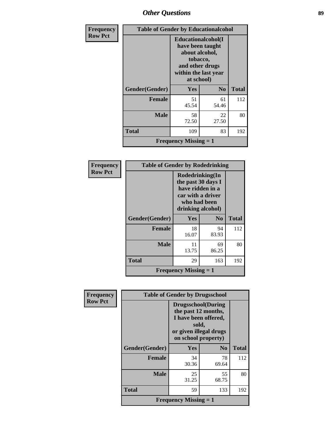# *Other Questions* **89**

| <b>Frequency</b> |                | <b>Table of Gender by Educationalcohol</b>                                                                                    |                |              |  |  |
|------------------|----------------|-------------------------------------------------------------------------------------------------------------------------------|----------------|--------------|--|--|
| <b>Row Pct</b>   |                | Educationalcohol(I<br>have been taught<br>about alcohol,<br>tobacco,<br>and other drugs<br>within the last year<br>at school) |                |              |  |  |
|                  | Gender(Gender) | Yes                                                                                                                           | N <sub>0</sub> | <b>Total</b> |  |  |
|                  | <b>Female</b>  | 51<br>45.54                                                                                                                   | 61<br>54.46    | 112          |  |  |
|                  | <b>Male</b>    | 58<br>72.50                                                                                                                   | 22<br>27.50    | 80           |  |  |
|                  | <b>Total</b>   | 109                                                                                                                           | 83             | 192          |  |  |
|                  |                | <b>Frequency Missing = 1</b>                                                                                                  |                |              |  |  |

| Frequency      | <b>Table of Gender by Rodedrinking</b> |                                                                                                                     |                |              |  |
|----------------|----------------------------------------|---------------------------------------------------------------------------------------------------------------------|----------------|--------------|--|
| <b>Row Pct</b> |                                        | Rodedrinking(In<br>the past 30 days I<br>have ridden in a<br>car with a driver<br>who had been<br>drinking alcohol) |                |              |  |
|                | Gender(Gender)                         | <b>Yes</b>                                                                                                          | N <sub>0</sub> | <b>Total</b> |  |
|                | <b>Female</b>                          | 18<br>16.07                                                                                                         | 94<br>83.93    | 112          |  |
|                | Male                                   | 11<br>13.75                                                                                                         | 69<br>86.25    | 80           |  |
|                | <b>Total</b>                           | 29                                                                                                                  | 163            | 192          |  |
|                |                                        | <b>Frequency Missing <math>= 1</math></b>                                                                           |                |              |  |

| <b>Frequency</b> | <b>Table of Gender by Drugsschool</b> |                                                                                                                                     |                        |              |  |
|------------------|---------------------------------------|-------------------------------------------------------------------------------------------------------------------------------------|------------------------|--------------|--|
| <b>Row Pct</b>   |                                       | <b>Drugsschool</b> (During<br>the past 12 months,<br>I have been offered,<br>sold,<br>or given illegal drugs<br>on school property) |                        |              |  |
|                  | Gender(Gender)                        | <b>Yes</b>                                                                                                                          | $\mathbf{N}\mathbf{0}$ | <b>Total</b> |  |
|                  | <b>Female</b>                         | 34<br>30.36                                                                                                                         | 78<br>69.64            | 112          |  |
|                  | <b>Male</b>                           | 25<br>31.25                                                                                                                         | 55<br>68.75            | 80           |  |
|                  | <b>Total</b>                          | 59                                                                                                                                  | 133                    | 192          |  |
|                  |                                       | <b>Frequency Missing = 1</b>                                                                                                        |                        |              |  |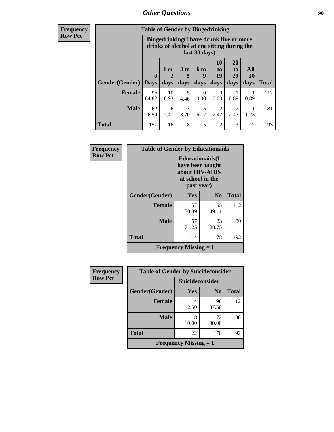# *Other Questions* **90**

**Frequency Row Pct**

| <b>Table of Gender by Bingedrinking</b> |                         |                                                                                                         |                   |                   |                               |                               |                   |              |
|-----------------------------------------|-------------------------|---------------------------------------------------------------------------------------------------------|-------------------|-------------------|-------------------------------|-------------------------------|-------------------|--------------|
|                                         |                         | Bingedrinking(I have drunk five or more<br>drinks of alcohol at one sitting during the<br>last 30 days) |                   |                   |                               |                               |                   |              |
| <b>Gender</b> (Gender)                  | $\bf{0}$<br><b>Days</b> | 1 or<br>days                                                                                            | 3 to<br>5<br>days | 6 to<br>9<br>days | <b>10</b><br>to<br>19<br>days | <b>20</b><br>to<br>29<br>days | All<br>30<br>days | <b>Total</b> |
| <b>Female</b>                           | 95<br>84.82             | 10<br>8.93                                                                                              | 5<br>4.46         | 0.00              | 0<br>0.00                     | 0.89                          | 0.89              | 112          |
| <b>Male</b>                             | 62<br>76.54             | 6<br>7.41                                                                                               | 3<br>3.70         | 5<br>6.17         | 2<br>2.47                     | 2<br>2.47                     | 1.23              | 81           |
| <b>Total</b>                            | 157                     | 16                                                                                                      | 8                 | 5                 | $\overline{2}$                | 3                             | $\mathfrak{D}$    | 193          |

| Frequency      | <b>Table of Gender by Educationaids</b> |                                                                                                 |                |              |  |
|----------------|-----------------------------------------|-------------------------------------------------------------------------------------------------|----------------|--------------|--|
| <b>Row Pct</b> |                                         | <b>Educationaids</b> (I<br>have been taught<br>about HIV/AIDS<br>at school in the<br>past year) |                |              |  |
|                | Gender(Gender)                          | Yes                                                                                             | N <sub>0</sub> | <b>Total</b> |  |
|                | <b>Female</b>                           | 57<br>50.89                                                                                     | 55<br>49.11    | 112          |  |
|                | <b>Male</b>                             | 57<br>71.25                                                                                     | 23<br>28.75    | 80           |  |
|                | <b>Total</b>                            | 114                                                                                             | 78             | 192          |  |
|                |                                         | Frequency Missing $= 1$                                                                         |                |              |  |

| Frequency      | <b>Table of Gender by Suicideconsider</b> |                 |                |              |
|----------------|-------------------------------------------|-----------------|----------------|--------------|
| <b>Row Pct</b> |                                           | Suicideconsider |                |              |
|                | Gender(Gender)                            | Yes             | N <sub>0</sub> | <b>Total</b> |
|                | Female                                    | 14<br>12.50     | 98<br>87.50    | 112          |
|                | <b>Male</b>                               | 8<br>10.00      | 72<br>90.00    | 80           |
|                | <b>Total</b>                              | 22              | 170            | 192          |
|                | <b>Frequency Missing <math>= 1</math></b> |                 |                |              |